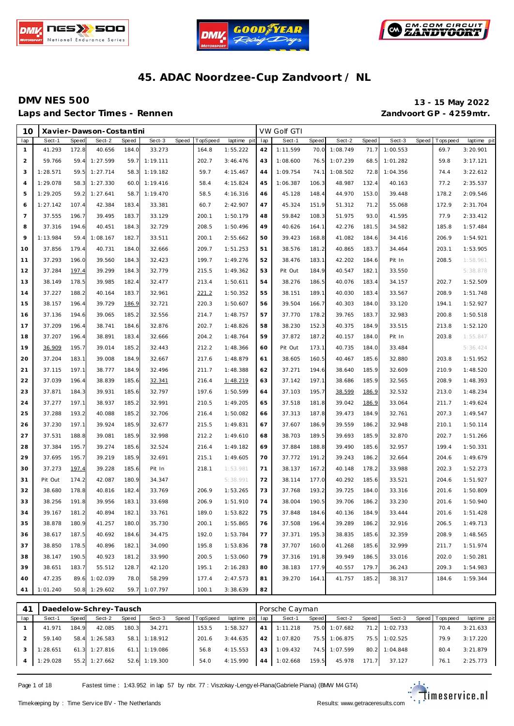





Laps and Sector Times - Rennen *Zandvoort GP - 4259mtr.* 

**DMV NES 500 13 - 15 May 2022**

| 10             |          |              | Xavier-Dawson-Costantini |       |               |       |          |             |     | VW Golf GTI |       |          |       |          |       |             |             |
|----------------|----------|--------------|--------------------------|-------|---------------|-------|----------|-------------|-----|-------------|-------|----------|-------|----------|-------|-------------|-------------|
| lap            | Sect-1   | <b>Speed</b> | Sect-2                   | Speed | Sect-3        | Speed | TopSpeed | laptime pit | lap | Sect-1      | Speed | Sect-2   | Speed | Sect-3   | Speed | T ops pee d | laptime pit |
| $\mathbf{1}$   | 41.293   | 172.8        | 40.656                   | 184.0 | 33.273        |       | 164.8    | 1:55.222    | 42  | 1:11.599    | 70.0  | 1:08.749 | 71.7  | 1:00.553 |       | 69.7        | 3:20.901    |
| $\overline{2}$ | 59.766   | 59.4         | 1:27.599                 | 59.7  | 1:19.111      |       | 202.7    | 3:46.476    | 43  | 1:08.600    | 76.5  | 1:07.239 | 68.5  | 1:01.282 |       | 59.8        | 3:17.121    |
| 3              | 1:28.571 | 59.5         | 1:27.714                 | 58.3  | 1:19.182      |       | 59.7     | 4:15.467    | 44  | 1:09.754    | 74.1  | 1:08.502 | 72.8  | 1:04.356 |       | 74.4        | 3:22.612    |
| $\overline{4}$ | 1:29.078 | 58.3         | 1:27.330                 | 60.0  | 1:19.416      |       | 58.4     | 4:15.824    | 45  | 1:06.387    | 106.3 | 48.987   | 132.4 | 40.163   |       | 77.2        | 2:35.537    |
| 5              | 1:29.205 | 59.2         | 1:27.641                 | 58.7  | 1:19.470      |       | 58.5     | 4:16.316    | 46  | 45.128      | 148.4 | 44.970   | 153.0 | 39.448   |       | 178.2       | 2:09.546    |
| 6              | 1:27.142 | 107.4        | 42.384                   | 183.4 | 33.381        |       | 60.7     | 2:42.907    | 47  | 45.324      | 151.9 | 51.312   | 71.2  | 55.068   |       | 172.9       | 2:31.704    |
| $\overline{7}$ | 37.555   | 196.7        | 39.495                   | 183.7 | 33.129        |       | 200.1    | 1:50.179    | 48  | 59.842      | 108.3 | 51.975   | 93.0  | 41.595   |       | 77.9        | 2:33.412    |
| 8              | 37.316   | 194.6        | 40.451                   | 184.3 | 32.729        |       | 208.5    | 1:50.496    | 49  | 40.626      | 164.1 | 42.276   | 181.5 | 34.582   |       | 185.8       | 1:57.484    |
| 9              | 1:13.984 | 59.4         | 1:08.167                 | 182.7 | 33.511        |       | 200.1    | 2:55.662    | 50  | 39.423      | 168.8 | 41.082   | 184.6 | 34.416   |       | 206.9       | 1:54.921    |
| 10             | 37.856   | 179.4        | 40.731                   | 184.0 | 32.666        |       | 209.7    | 1:51.253    | 51  | 38.576      | 181.2 | 40.865   | 183.7 | 34.464   |       | 203.1       | 1:53.905    |
| 11             | 37.293   | 196.0        | 39.560                   | 184.3 | 32.423        |       | 199.7    | 1:49.276    | 52  | 38.476      | 183.1 | 42.202   | 184.6 | Pit In   |       | 208.5       | 1:58.961    |
| 12             | 37.284   | 197.4        | 39.299                   | 184.3 | 32.779        |       | 215.5    | 1:49.362    | 53  | Pit Out     | 184.9 | 40.547   | 182.1 | 33.550   |       |             | 5:38.878    |
| 13             | 38.149   | 178.5        | 39.985                   | 182.4 | 32.477        |       | 213.4    | 1:50.611    | 54  | 38.276      | 186.5 | 40.076   | 183.4 | 34.157   |       | 202.7       | 1:52.509    |
| 14             | 37.227   | 188.2        | 40.164                   | 183.7 | 32.961        |       | 221.2    | 1:50.352    | 55  | 38.151      | 189.1 | 40.030   | 183.4 | 33.567   |       | 208.9       | 1:51.748    |
| 15             | 38.157   | 196.4        | 39.729                   | 186.9 | 32.721        |       | 220.3    | 1:50.607    | 56  | 39.504      | 166.7 | 40.303   | 184.0 | 33.120   |       | 194.1       | 1:52.927    |
| 16             | 37.136   | 194.6        | 39.065                   | 185.2 | 32.556        |       | 214.7    | 1:48.757    | 57  | 37.770      | 178.2 | 39.765   | 183.7 | 32.983   |       | 200.8       | 1:50.518    |
| 17             | 37.209   | 196.4        | 38.741                   | 184.6 | 32.876        |       | 202.7    | 1:48.826    | 58  | 38.230      | 152.3 | 40.375   | 184.9 | 33.515   |       | 213.8       | 1:52.120    |
| 18             | 37.207   | 196.4        | 38.891                   | 183.4 | 32.666        |       | 204.2    | 1:48.764    | 59  | 37.872      | 187.2 | 40.157   | 184.0 | Pit In   |       | 203.8       | 1:55.847    |
| 19             | 36.909   | 195.7        | 39.014                   | 185.2 | 32.443        |       | 212.2    | 1:48.366    | 60  | Pit Out     | 173.1 | 40.735   | 184.0 | 33.484   |       |             | 5:36.424    |
| 20             | 37.204   | 183.1        | 39.008                   | 184.9 | 32.667        |       | 217.6    | 1:48.879    | 61  | 38.605      | 160.5 | 40.467   | 185.6 | 32.880   |       | 203.8       | 1:51.952    |
| 21             | 37.115   | 197.1        | 38.777                   | 184.9 | 32.496        |       | 211.7    | 1:48.388    | 62  | 37.271      | 194.6 | 38.640   | 185.9 | 32.609   |       | 210.9       | 1:48.520    |
| 22             | 37.039   | 196.4        | 38.839                   | 185.6 | 32.341        |       | 216.4    | 1:48.219    | 63  | 37.142      | 197.1 | 38.686   | 185.9 | 32.565   |       | 208.9       | 1:48.393    |
| 23             | 37.871   | 184.3        | 39.931                   | 185.6 | 32.797        |       | 197.6    | 1:50.599    | 64  | 37.103      | 195.7 | 38.599   | 186.9 | 32.532   |       | 213.0       | 1:48.234    |
| 24             | 37.277   | 197.1        | 38.937                   | 185.2 | 32.991        |       | 210.5    | 1:49.205    | 65  | 37.518      | 181.8 | 39.042   | 186.9 | 33.064   |       | 211.7       | 1:49.624    |
| 25             | 37.288   | 193.2        | 40.088                   | 185.2 | 32.706        |       | 216.4    | 1:50.082    | 66  | 37.313      | 187.8 | 39.473   | 184.9 | 32.761   |       | 207.3       | 1:49.547    |
| 26             | 37.230   | 197.1        | 39.924                   | 185.9 | 32.677        |       | 215.5    | 1:49.831    | 67  | 37.607      | 186.9 | 39.559   | 186.2 | 32.948   |       | 210.1       | 1:50.114    |
| 27             | 37.531   | 188.8        | 39.081                   | 185.9 | 32.998        |       | 212.2    | 1:49.610    | 68  | 38.703      | 189.5 | 39.693   | 185.9 | 32.870   |       | 202.7       | 1:51.266    |
| 28             | 37.384   | 195.7        | 39.274                   | 185.6 | 32.524        |       | 216.4    | 1:49.182    | 69  | 37.884      | 188.8 | 39.490   | 185.6 | 32.957   |       | 199.4       | 1:50.331    |
| 29             | 37.695   | 195.7        | 39.219                   | 185.9 | 32.691        |       | 215.1    | 1:49.605    | 70  | 37.772      | 191.2 | 39.243   | 186.2 | 32.664   |       | 204.6       | 1:49.679    |
| 30             | 37.273   | 197.4        | 39.228                   | 185.6 | Pit In        |       | 218.1    | 1:53.981    | 71  | 38.137      | 167.2 | 40.148   | 178.2 | 33.988   |       | 202.3       | 1:52.273    |
| 31             | Pit Out  | 174.2        | 42.087                   | 180.9 | 34.347        |       |          | 5:38.991    | 72  | 38.114      | 177.0 | 40.292   | 185.6 | 33.521   |       | 204.6       | 1:51.927    |
| 32             | 38.680   | 178.8        | 40.816                   | 182.4 | 33.769        |       | 206.9    | 1:53.265    | 73  | 37.768      | 193.2 | 39.725   | 184.0 | 33.316   |       | 201.6       | 1:50.809    |
| 33             | 38.256   | 191.8        | 39.956                   | 183.1 | 33.698        |       | 206.9    | 1:51.910    | 74  | 38.004      | 190.5 | 39.706   | 186.2 | 33.230   |       | 201.6       | 1:50.940    |
| 34             | 39.167   | 181.2        | 40.894                   | 182.1 | 33.761        |       | 189.0    | 1:53.822    | 75  | 37.848      | 184.6 | 40.136   | 184.9 | 33.444   |       | 201.6       | 1:51.428    |
| 35             | 38.878   | 180.9        | 41.257                   | 180.0 | 35.730        |       | 200.1    | 1:55.865    | 76  | 37.508      | 196.4 | 39.289   | 186.2 | 32.916   |       | 206.5       | 1:49.713    |
| 36             | 38.617   | 187.5        | 40.692                   | 184.6 | 34.475        |       | 192.0    | 1:53.784    | 77  | 37.371      | 195.3 | 38.835   | 185.6 | 32.359   |       | 208.9       | 1:48.565    |
| 37             | 38.850   | 178.5        | 40.896                   | 182.1 | 34.090        |       | 195.8    | 1:53.836    | 78  | 37.707      | 160.0 | 41.268   | 185.6 | 32.999   |       | 211.7       | 1:51.974    |
| 38             | 38.147   | 190.5        | 40.923                   | 181.2 | 33.990        |       | 200.5    | 1:53.060    | 79  | 37.316      | 191.8 | 39.949   | 186.5 | 33.016   |       | 202.0       | 1:50.281    |
| 39             | 38.651   | 183.7        | 55.512                   | 128.7 | 42.120        |       | 195.1    | 2:16.283    | 80  | 38.183      | 177.9 | 40.557   | 179.7 | 36.243   |       | 209.3       | 1:54.983    |
| 40             | 47.235   |              | 89.6 1:02.039            | 78.0  | 58.299        |       | 177.4    | 2:47.573    | 81  | 39.270      | 164.1 | 41.757   | 185.2 | 38.317   |       | 184.6       | 1:59.344    |
| 41             | 1:01.240 |              | 50.8 1:29.602            |       | 59.7 1:07.797 |       | 100.1    | 3:38.639    | 82  |             |       |          |       |          |       |             |             |

| $4^{\prime}$ |          |       | Daedelow-Schrey-Tausch |       |                 |                |                 |    | Porsche Cayman |       |               |       |               |                 |             |
|--------------|----------|-------|------------------------|-------|-----------------|----------------|-----------------|----|----------------|-------|---------------|-------|---------------|-----------------|-------------|
| lap          | Sect-1   | Speed | Sect-2                 | Speed | Sect-3          | Speed TopSpeed | laptime pit lap |    | Sect-1         | Speed | Sect-2        | Speed | Sect-3        | Speed Tops peed | laptime pit |
|              | 41.971   | 184.9 | 42.085                 | 180.3 | 34.271          | 153.5          | 1:58.327        | 41 | 1:11.218       | 75.0  | 1:07.682      |       | 71.2 1:02.733 | 70.4            | 3:21.633    |
|              | 59.140   |       | 58.4 1:26.583          |       | 58.1 1:18.912   | 201.6          | 3:44.635        | 42 | 1:07.820       |       | 75.5 1:06.875 | 75.5  | 1:02.525      | 79.9            | 3:17.220    |
|              | 1:28.651 | 61.3  | 1:27.816               |       | $61.1$ 1:19.086 | 56.8           | 4:15.553        | 43 | 1:09.432       | 74.5  | 1:07.599      | 80.2  | 1:04.848      | 80.4            | 3:21.879    |
|              | 1:29.028 |       | 55.2 1:27.662          |       | 52.6 1:19.300   | 54.0           | 4:15.990        | 44 | 1:02.668       | 159.5 | 45.978        | 171.7 | 37.127        | 76.1            | 2:25.773    |

Page 1 of 18 Fastest time : 1:43.952 in lap 57 by nbr. 77 : Viszokay -Lengy el-Piana (Gabriele Piana) (BMW M4 GT4)

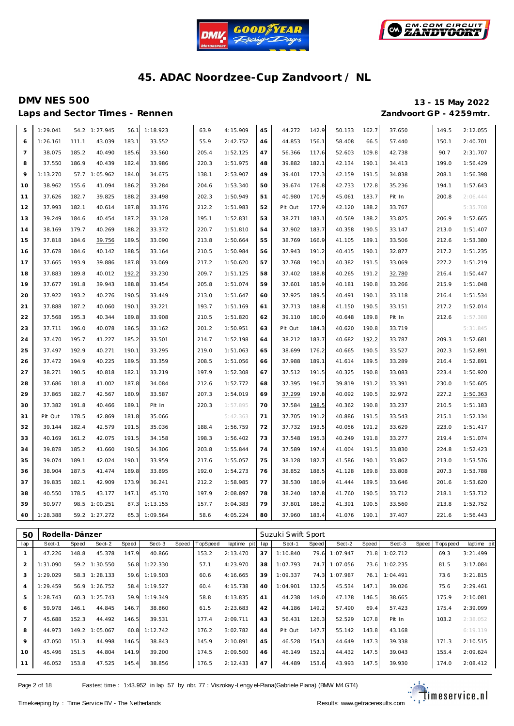



Laps and Sector Times - Rennen *Zandvoort GP - 4259mtr.* 

# **DMV NES 500 13 - 15 May 2022**

| 5               | 1:29.041 | 54.2  | 1:27.945 | 56.1  | 1:18.923 | 63.9  | 4:15.909 | 45 | 44.272  | 142.9 | 50.133 | 162.7 | 37.650 | 149.5 | 2:12.055 |
|-----------------|----------|-------|----------|-------|----------|-------|----------|----|---------|-------|--------|-------|--------|-------|----------|
| 6               | 1:26.161 | 111.1 | 43.039   | 183.1 | 33.552   | 55.9  | 2:42.752 | 46 | 44.853  | 156.1 | 58.408 | 66.5  | 57.440 | 150.1 | 2:40.701 |
| $7\overline{ }$ | 38.075   | 185.2 | 40.490   | 185.6 | 33.560   | 205.4 | 1:52.125 | 47 | 56.366  | 117.6 | 52.603 | 109.8 | 42.738 | 90.7  | 2:31.707 |
| 8               | 37.550   | 186.9 | 40.439   | 182.4 | 33.986   | 220.3 | 1:51.975 | 48 | 39.882  | 182.1 | 42.134 | 190.1 | 34.413 | 199.0 | 1:56.429 |
| 9               | 1:13.270 | 57.7  | 1:05.962 | 184.0 | 34.675   | 138.1 | 2:53.907 | 49 | 39.401  | 177.3 | 42.159 | 191.5 | 34.838 | 208.1 | 1:56.398 |
| 10              | 38.962   | 155.6 | 41.094   | 186.2 | 33.284   | 204.6 | 1:53.340 | 50 | 39.674  | 176.8 | 42.733 | 172.8 | 35.236 | 194.1 | 1:57.643 |
| 11              | 37.626   | 182.7 | 39.825   | 188.2 | 33.498   | 202.3 | 1:50.949 | 51 | 40.980  | 170.9 | 45.061 | 183.7 | Pit In | 200.8 | 2:06.444 |
| 12              | 37.993   | 182.1 | 40.614   | 187.8 | 33.376   | 212.2 | 1:51.983 | 52 | Pit Out | 177.9 | 42.120 | 188.2 | 33.767 |       | 5:35.708 |
| 13              | 39.249   | 184.6 | 40.454   | 187.2 | 33.128   | 195.1 | 1:52.831 | 53 | 38.271  | 183.1 | 40.569 | 188.2 | 33.825 | 206.9 | 1:52.665 |
| 14              | 38.169   | 179.7 | 40.269   | 188.2 | 33.372   | 220.7 | 1:51.810 | 54 | 37.902  | 183.7 | 40.358 | 190.5 | 33.147 | 213.0 | 1:51.407 |
| 15              | 37.818   | 184.6 | 39.756   | 189.5 | 33.090   | 213.8 | 1:50.664 | 55 | 38.769  | 166.9 | 41.105 | 189.1 | 33.506 | 212.6 | 1:53.380 |
| 16              | 37.678   | 184.6 | 40.142   | 188.5 | 33.164   | 210.5 | 1:50.984 | 56 | 37.943  | 191.2 | 40.415 | 190.1 | 32.877 | 217.2 | 1:51.235 |
| 17              | 37.665   | 193.9 | 39.886   | 187.8 | 33.069   | 217.2 | 1:50.620 | 57 | 37.768  | 190.1 | 40.382 | 191.5 | 33.069 | 227.2 | 1:51.219 |
| 18              | 37.883   | 189.8 | 40.012   | 192.2 | 33.230   | 209.7 | 1:51.125 | 58 | 37.402  | 188.8 | 40.265 | 191.2 | 32.780 | 216.4 | 1:50.447 |
| 19              | 37.677   | 191.8 | 39.943   | 188.8 | 33.454   | 205.8 | 1:51.074 | 59 | 37.601  | 185.9 | 40.181 | 190.8 | 33.266 | 215.9 | 1:51.048 |
| 20              | 37.922   | 193.2 | 40.276   | 190.5 | 33.449   | 213.0 | 1:51.647 | 60 | 37.925  | 189.5 | 40.491 | 190.1 | 33.118 | 216.4 | 1:51.534 |
| 21              | 37.888   | 187.2 | 40.060   | 190.1 | 33.221   | 193.7 | 1:51.169 | 61 | 37.713  | 188.8 | 41.150 | 190.5 | 33.151 | 217.2 | 1:52.014 |
| 22              | 37.568   | 195.3 | 40.344   | 189.8 | 33.908   | 210.5 | 1:51.820 | 62 | 39.110  | 180.0 | 40.648 | 189.8 | Pit In | 212.6 | 1:57.388 |
| 23              | 37.711   | 196.0 | 40.078   | 186.5 | 33.162   | 201.2 | 1:50.951 | 63 | Pit Out | 184.3 | 40.620 | 190.8 | 33.719 |       | 5:31.845 |
| 24              | 37.470   | 195.7 | 41.227   | 185.2 | 33.501   | 214.7 | 1:52.198 | 64 | 38.212  | 183.7 | 40.682 | 192.2 | 33.787 | 209.3 | 1:52.681 |
| 25              | 37.497   | 192.9 | 40.271   | 190.1 | 33.295   | 219.0 | 1:51.063 | 65 | 38.699  | 176.2 | 40.665 | 190.5 | 33.527 | 202.3 | 1:52.891 |
| 26              | 37.472   | 194.9 | 40.225   | 189.5 | 33.359   | 208.5 | 1:51.056 | 66 | 37.988  | 189.1 | 41.614 | 189.5 | 33.289 | 216.4 | 1:52.891 |
| 27              | 38.271   | 190.5 | 40.818   | 182.1 | 33.219   | 197.9 | 1:52.308 | 67 | 37.512  | 191.5 | 40.325 | 190.8 | 33.083 | 223.4 | 1:50.920 |
| 28              | 37.686   | 181.8 | 41.002   | 187.8 | 34.084   | 212.6 | 1:52.772 | 68 | 37.395  | 196.7 | 39.819 | 191.2 | 33.391 | 230.0 | 1:50.605 |
| 29              | 37.865   | 182.7 | 42.567   | 180.9 | 33.587   | 207.3 | 1:54.019 | 69 | 37.299  | 197.8 | 40.092 | 190.5 | 32.972 | 227.2 | 1:50.363 |
| 30              | 37.382   | 191.8 | 40.466   | 189.1 | Pit In   | 220.3 | 1:57.895 | 70 | 37.584  | 198.5 | 40.362 | 190.8 | 33.237 | 210.5 | 1:51.183 |
| 31              | Pit Out  | 178.5 | 42.869   | 181.8 | 35.066   |       | 5:42.363 | 71 | 37.705  | 191.2 | 40.886 | 191.5 | 33.543 | 215.1 | 1:52.134 |
| 32              | 39.144   | 182.4 | 42.579   | 191.5 | 35.036   | 188.4 | 1:56.759 | 72 | 37.732  | 193.5 | 40.056 | 191.2 | 33.629 | 223.0 | 1:51.417 |
| 33              | 40.169   | 161.2 | 42.075   | 191.5 | 34.158   | 198.3 | 1:56.402 | 73 | 37.548  | 195.3 | 40.249 | 191.8 | 33.277 | 219.4 | 1:51.074 |
| 34              | 39.878   | 185.2 | 41.660   | 190.5 | 34.306   | 203.8 | 1:55.844 | 74 | 37.589  | 197.4 | 41.004 | 191.5 | 33.830 | 224.8 | 1:52.423 |
| 35              | 39.074   | 189.1 | 42.024   | 190.1 | 33.959   | 217.6 | 1:55.057 | 75 | 38.128  | 182.7 | 41.586 | 190.1 | 33.862 | 213.0 | 1:53.576 |
| 36              | 38.904   | 187.5 | 41.474   | 189.8 | 33.895   | 192.0 | 1:54.273 | 76 | 38.852  | 188.5 | 41.128 | 189.8 | 33.808 | 207.3 | 1:53.788 |
| 37              | 39.835   | 182.1 | 42.909   | 173.9 | 36.241   | 212.2 | 1:58.985 | 77 | 38.530  | 186.9 | 41.444 | 189.5 | 33.646 | 201.6 | 1:53.620 |
| 38              | 40.550   | 178.5 | 43.177   | 147.1 | 45.170   | 197.9 | 2:08.897 | 78 | 38.240  | 187.8 | 41.760 | 190.5 | 33.712 | 218.1 | 1:53.712 |
| 39              | 50.977   | 98.5  | 1:00.251 | 87.3  | 1:13.155 | 157.7 | 3:04.383 | 79 | 37.801  | 186.2 | 41.391 | 190.5 | 33.560 | 213.8 | 1:52.752 |
| 40              | 1:28.388 | 59.2  | 1:27.272 | 65.3  | 1:09.564 | 58.6  | 4:05.224 | 80 | 37.960  | 183.4 | 41.076 | 190.1 | 37.407 | 221.6 | 1:56.443 |
|                 |          |       |          |       |          |       |          |    |         |       |        |       |        |       |          |

| 50             | Rodella-Dänzer |       |          |       |               |                |             |     | Suzuki Swift Sport |       |          |       |          |       |           |             |
|----------------|----------------|-------|----------|-------|---------------|----------------|-------------|-----|--------------------|-------|----------|-------|----------|-------|-----------|-------------|
| lap            | Sect-1         | Speed | Sect-2   | Speed | Sect-3        | Speed TopSpeed | laptime pit | lap | Sect-1             | Speed | Sect-2   | Speed | Sect-3   | Speed | Tops peed | laptime pit |
|                | 47.226         | 148.8 | 45.378   | 147.9 | 40.866        | 153.2          | 2:13.470    | 37  | 1:10.840           | 79.6  | 1:07.947 | 71.8  | 1:02.712 |       | 69.3      | 3:21.499    |
| $\overline{2}$ | 1:31.090       | 59.2  | 1:30.550 | 56.8  | 1:22.330      | 57.1           | 4:23.970    | 38  | 1:07.793           | 74.7  | 1:07.056 | 73.6  | 1:02.235 |       | 81.5      | 3:17.084    |
| 3              | 1:29.029       | 58.3  | 1:28.133 |       | 59.6 1:19.503 | 60.6           | 4:16.665    | 39  | 1:09.337           | 74.3  | 1:07.987 | 76.1  | 1:04.491 |       | 73.6      | 3:21.815    |
| $\overline{4}$ | 1:29.459       | 56.9  | 1:26.752 |       | 58.4 1:19.527 | 60.4           | 4:15.738    | 40  | 1:04.901           | 132.5 | 45.534   | 147.1 | 39.026   |       | 75.6      | 2:29.461    |
| 5              | 1:28.743       | 60.3  | 1:25.743 |       | 59.9 1:19.349 | 58.8           | 4:13.835    | 41  | 44.238             | 149.0 | 47.178   | 146.5 | 38.665   |       | 175.9     | 2:10.081    |
| 6              | 59.978         | 146.1 | 44.845   | 146.7 | 38.860        | 61.5           | 2:23.683    | 42  | 44.186             | 149.2 | 57.490   | 69.4  | 57.423   |       | 175.4     | 2:39.099    |
| $\overline{7}$ | 45.688         | 152.3 | 44.492   | 146.5 | 39.531        | 177.4          | 2:09.711    | 43  | 56.431             | 126.3 | 52.529   | 107.8 | Pit In   |       | 103.2     | 2:38.052    |
| 8              | 44.973         | 149.2 | 1:05.067 | 60.8  | 1:12.742      | 176.2          | 3:02.782    | 44  | Pit Out            | 147.7 | 55.142   | 143.8 | 43.168   |       |           | 6:19.119    |
| 9              | 47.050         | 151.3 | 44.998   | 146.5 | 38.843        | 145.9          | 2:10.891    | 45  | 46.528             | 154.1 | 44.649   | 147.3 | 39.338   |       | 171.3     | 2:10.515    |
| 10             | 45.496         | 151.5 | 44.804   | 141.9 | 39.200        | 174.5          | 2:09.500    | 46  | 46.149             | 152.1 | 44.432   | 147.5 | 39.043   |       | 155.4     | 2:09.624    |
| 11             | 46.052         | 153.8 | 47.525   | 145.4 | 38.856        | 176.5          | 2:12.433    | 47  | 44.489             | 153.6 | 43.993   | 147.5 | 39.930   |       | 174.0     | 2:08.412    |

Page 2 of 18 Fastest time : 1:43.952 in lap 57 by nbr. 77 : Viszokay -Lengy el-Piana (Gabriele Piana) (BMW M4 GT4)

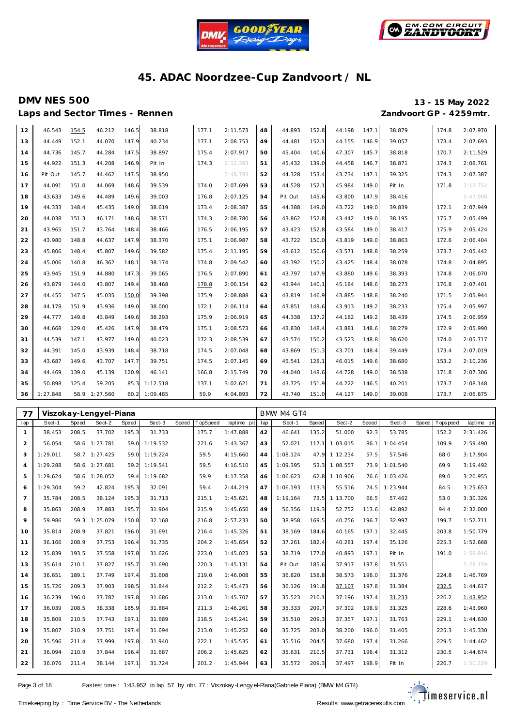



# **DMV NES 500 13 - 15 May 2022**

Laps and Sector Times - Rennen *Zandvoort GP - 4259mtr.* 

| 12 | 46.543   | 154.5 | 46.212   | 146.5 | 38.818   | 177.1 | 2:11.573 | 48 | 44.893  | 152.8 | 44.198 | 147.1 | 38.879 | 174.8 | 2:07.970 |
|----|----------|-------|----------|-------|----------|-------|----------|----|---------|-------|--------|-------|--------|-------|----------|
| 13 | 44.449   | 152.1 | 44.070   | 147.9 | 40.234   | 177.1 | 2:08.753 | 49 | 44.481  | 152.1 | 44.155 | 146.9 | 39.057 | 173.4 | 2:07.693 |
| 14 | 44.736   | 145.7 | 44.284   | 147.5 | 38.897   | 175.4 | 2:07.917 | 50 | 45.404  | 140.6 | 47.307 | 145.7 | 38.818 | 170.7 | 2:11.529 |
| 15 | 44.922   | 151.3 | 44.208   | 146.9 | Pit In   | 174.3 | 2:12.393 | 51 | 45.432  | 139.0 | 44.458 | 146.7 | 38.871 | 174.3 | 2:08.761 |
| 16 | Pit Out  | 145.7 | 44.462   | 147.5 | 38.950   |       | 5:48.793 | 52 | 44.328  | 153.4 | 43.734 | 147.1 | 39.325 | 174.3 | 2:07.387 |
| 17 | 44.091   | 151.0 | 44.069   | 148.6 | 39.539   | 174.0 | 2:07.699 | 53 | 44.528  | 152.1 | 45.984 | 149.0 | Pit In | 171.8 | 2:13.754 |
| 18 | 43.633   | 149.6 | 44.489   | 149.6 | 39.003   | 176.8 | 2:07.125 | 54 | Pit Out | 145.6 | 43.800 | 147.9 | 38.416 |       | 5:47.006 |
| 19 | 44.333   | 148.4 | 45.435   | 149.0 | 38.619   | 173.4 | 2:08.387 | 55 | 44.388  | 149.0 | 43.722 | 149.0 | 39.839 | 172.1 | 2:07.949 |
| 20 | 44.038   | 151.3 | 46.171   | 148.6 | 38.571   | 174.3 | 2:08.780 | 56 | 43.862  | 152.8 | 43.442 | 149.0 | 38.195 | 175.7 | 2:05.499 |
| 21 | 43.965   | 151.7 | 43.764   | 148.4 | 38.466   | 176.5 | 2:06.195 | 57 | 43.423  | 152.8 | 43.584 | 149.0 | 38.417 | 175.9 | 2:05.424 |
| 22 | 43.980   | 148.8 | 44.637   | 147.9 | 38.370   | 175.1 | 2:06.987 | 58 | 43.722  | 150.0 | 43.819 | 149.0 | 38.863 | 172.6 | 2:06.404 |
| 23 | 45.806   | 148.4 | 45.807   | 149.6 | 39.582   | 175.4 | 2:11.195 | 59 | 43.612  | 150.6 | 43.571 | 148.8 | 38.259 | 173.7 | 2:05.442 |
| 24 | 45.006   | 140.8 | 46.362   | 148.1 | 38.174   | 174.8 | 2:09.542 | 60 | 43.392  | 150.2 | 43.425 | 148.4 | 38.078 | 174.8 | 2:04.895 |
| 25 | 43.945   | 151.9 | 44.880   | 147.3 | 39.065   | 176.5 | 2:07.890 | 61 | 43.797  | 147.9 | 43.880 | 149.6 | 38.393 | 174.8 | 2:06.070 |
| 26 | 43.879   | 144.0 | 43.807   | 149.4 | 38.468   | 178.8 | 2:06.154 | 62 | 43.944  | 140.1 | 45.184 | 148.6 | 38.273 | 176.8 | 2:07.401 |
| 27 | 44.455   | 147.5 | 45.035   | 150.C | 39.398   | 175.9 | 2:08.888 | 63 | 43.819  | 146.9 | 43.885 | 148.8 | 38.240 | 171.5 | 2:05.944 |
| 28 | 44.178   | 151.9 | 43.936   | 149.0 | 38.000   | 172.1 | 2:06.114 | 64 | 43.851  | 149.6 | 43.913 | 149.2 | 38.233 | 175.4 | 2:05.997 |
| 29 | 44.777   | 149.8 | 43.849   | 149.6 | 38.293   | 175.9 | 2:06.919 | 65 | 44.338  | 137.2 | 44.182 | 149.2 | 38.439 | 174.5 | 2:06.959 |
| 30 | 44.668   | 129.0 | 45.426   | 147.9 | 38.479   | 175.1 | 2:08.573 | 66 | 43.830  | 148.4 | 43.881 | 148.6 | 38.279 | 172.9 | 2:05.990 |
| 31 | 44.539   | 147.1 | 43.977   | 149.0 | 40.023   | 172.3 | 2:08.539 | 67 | 43.574  | 150.2 | 43.523 | 148.8 | 38.620 | 174.0 | 2:05.717 |
| 32 | 44.391   | 145.0 | 43.939   | 148.4 | 38.718   | 174.5 | 2:07.048 | 68 | 43.869  | 151.3 | 43.701 | 148.4 | 39.449 | 173.4 | 2:07.019 |
| 33 | 43.687   | 149.6 | 43.707   | 147.7 | 39.751   | 174.5 | 2:07.145 | 69 | 45.541  | 128.1 | 46.015 | 149.6 | 38.680 | 153.2 | 2:10.236 |
| 34 | 44.469   | 139.0 | 45.139   | 120.9 | 46.141   | 166.8 | 2:15.749 | 70 | 44.040  | 148.6 | 44.728 | 149.0 | 38.538 | 171.8 | 2:07.306 |
| 35 | 50.898   | 125.4 | 59.205   | 85.3  | 1:12.518 | 137.1 | 3:02.621 | 71 | 43.725  | 151.9 | 44.222 | 146.5 | 40.201 | 173.7 | 2:08.148 |
| 36 | 1:27.848 | 58.9  | 1:27.560 | 60.2  | 1:09.485 | 59.9  | 4:04.893 | 72 | 43.740  | 151.0 | 44.127 | 149.0 | 39.008 | 173.7 | 2:06.875 |

| 77             |          |       | Viszokay-Lengyel-Piana |       |          |       |          |             |     | BMW M4 GT4 |       |                |       |          |       |           |             |
|----------------|----------|-------|------------------------|-------|----------|-------|----------|-------------|-----|------------|-------|----------------|-------|----------|-------|-----------|-------------|
| lap            | Sect-1   | Speed | Sect-2                 | Speed | Sect-3   | Speed | TopSpeed | laptime pit | lap | Sect-1     | Speed | Sect-2         | Speed | Sect-3   | Speed | Tops peed | laptime pit |
| $\mathbf{1}$   | 38.453   | 208.5 | 37.702                 | 195.3 | 31.733   |       | 175.7    | 1:47.888    | 42  | 46.641     | 135.2 | 51.000         | 92.3  | 53.785   |       | 152.2     | 2:31.426    |
| $\overline{2}$ | 56.054   | 58.6  | 1:27.781               | 59.0  | 1:19.532 |       | 221.6    | 3:43.367    | 43  | 52.021     |       | 117.1 1:03.015 | 86.1  | 1:04.454 |       | 109.9     | 2:59.490    |
| 3              | 1:29.011 | 58.7  | 1:27.425               | 59.0  | 1:19.224 |       | 59.5     | 4:15.660    | 44  | 1:08.124   |       | 47.9 1:12.234  | 57.5  | 57.546   |       | 68.0      | 3:17.904    |
| $\overline{4}$ | 1:29.288 | 58.6  | 1:27.681               | 59.2  | 1:19.541 |       | 59.5     | 4:16.510    | 45  | 1:09.395   | 53.3  | 1:08.557       | 73.9  | 1:01.540 |       | 69.9      | 3:19.492    |
| 5              | 1:29.624 | 58.6  | 1:28.052               | 59.4  | 1:19.682 |       | 59.9     | 4:17.358    | 46  | 1:06.623   | 62.8  | 1:10.906       | 76.6  | 1:03.426 |       | 89.0      | 3:20.955    |
| 6              | 1:29.304 | 59.2  | 42.824                 | 195.3 | 32.091   |       | 59.4     | 2:44.219    | 47  | 1:06.193   | 113.3 | 55.516         | 74.5  | 1:23.944 |       | 84.5      | 3:25.653    |
| $\overline{7}$ | 35.784   | 208.5 | 38.124                 | 195.3 | 31.713   |       | 215.1    | 1:45.621    | 48  | 1:19.164   | 73.5  | 1:13.700       | 66.5  | 57.462   |       | 53.0      | 3:30.326    |
| 8              | 35.863   | 208.9 | 37.883                 | 195.7 | 31.904   |       | 215.9    | 1:45.650    | 49  | 56.356     | 119.3 | 52.752         | 113.6 | 42.892   |       | 94.4      | 2:32.000    |
| $\circ$        | 59.986   | 59.3  | 1:25.079               | 150.8 | 32.168   |       | 216.8    | 2:57.233    | 50  | 38.958     | 169.5 | 40.756         | 196.7 | 32.997   |       | 199.7     | 1:52.711    |
| 10             | 35.814   | 208.9 | 37.821                 | 196.0 | 31.691   |       | 216.4    | 1:45.326    | 51  | 38.169     | 184.6 | 40.165         | 197.1 | 32.445   |       | 203.8     | 1:50.779    |
| 11             | 36.166   | 208.9 | 37.753                 | 196.4 | 31.735   |       | 204.2    | 1:45.654    | 52  | 37.261     | 182.4 | 40.281         | 197.4 | 35.126   |       | 225.3     | 1:52.668    |
| 12             | 35.839   | 193.5 | 37.558                 | 197.8 | 31.626   |       | 223.0    | 1:45.023    | 53  | 38.719     | 177.0 | 40.893         | 197.1 | Pit In   |       | 191.0     | 1:59.846    |
| 13             | 35.614   | 210.1 | 37.827                 | 195.7 | 31.690   |       | 220.3    | 1:45.131    | 54  | Pit Out    | 185.6 | 37.917         | 197.8 | 31.551   |       |           | 5:28.159    |
| 14             | 36.651   | 189.1 | 37.749                 | 197.4 | 31.608   |       | 219.0    | 1:46.008    | 55  | 36.820     | 158.8 | 38.573         | 196.0 | 31.376   |       | 224.8     | 1:46.769    |
| 15             | 35.726   | 209.3 | 37.903                 | 198.5 | 31.844   |       | 212.2    | 1:45.473    | 56  | 36.126     | 191.8 | 37.107         | 197.8 | 31.384   |       | 232.5     | 1:44.617    |
| 16             | 36.239   | 196.0 | 37.782                 | 197.8 | 31.686   |       | 213.0    | 1:45.707    | 57  | 35.523     | 210.1 | 37.196         | 197.4 | 31.233   |       | 226.2     | 1:43.952    |
| 17             | 36.039   | 208.5 | 38.338                 | 185.9 | 31.884   |       | 211.3    | 1:46.261    | 58  | 35.333     | 209.7 | 37.302         | 198.9 | 31.325   |       | 228.6     | 1:43.960    |
| 18             | 35.809   | 210.5 | 37.743                 | 197.1 | 31.689   |       | 218.5    | 1:45.241    | 59  | 35.510     | 209.3 | 37.357         | 197.1 | 31.763   |       | 229.1     | 1:44.630    |
| 19             | 35.807   | 210.9 | 37.751                 | 197.4 | 31.694   |       | 213.0    | 1:45.252    | 60  | 35.725     | 203.0 | 38.200         | 196.0 | 31.405   |       | 225.3     | 1:45.330    |
| 20             | 35.596   | 211.4 | 37.999                 | 197.8 | 31.940   |       | 222.1    | 1:45.535    | 61  | 35.516     | 204.5 | 37.680         | 197.4 | 31.266   |       | 229.5     | 1:44.462    |
| 21             | 36.094   | 210.9 | 37.844                 | 196.4 | 31.687   |       | 206.2    | 1:45.625    | 62  | 35.631     | 210.5 | 37.731         | 196.4 | 31.312   |       | 230.5     | 1:44.674    |
| 22             | 36.076   | 211.4 | 38.144                 | 197.1 | 31.724   |       | 201.2    | 1:45.944    | 63  | 35.572     | 209.3 | 37.497         | 198.9 | Pit In   |       | 226.7     | 1:50.229    |

Page 3 of 18 Fastest time : 1:43.952 in lap 57 by nbr. 77 : Viszokay -Lengy el-Piana (Gabriele Piana) (BMW M4 GT4)

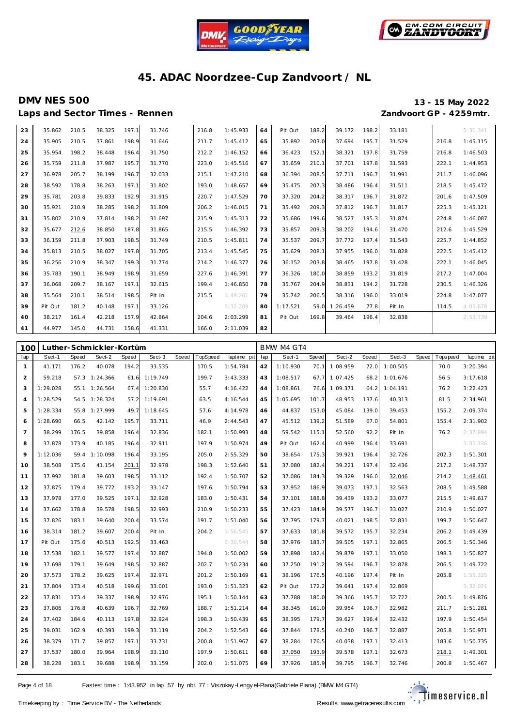



# **DMV NES 500 13 - 15 May 2022**

Laps and Sector Times - Rennen *Zandvoort GP - 4259mtr.* 

| 23 | 35.862  | 210.5 | 38.325 | 197.1 | 31.746 | 216.8 | 1:45.933 | 64 | Pit Out  | 188.2 | 39.172   | 198.2 | 33.181 |       | 5:30.341 |
|----|---------|-------|--------|-------|--------|-------|----------|----|----------|-------|----------|-------|--------|-------|----------|
| 24 | 35.905  | 210.5 | 37.861 | 198.9 | 31.646 | 211.7 | 1:45.412 | 65 | 35.892   | 203.0 | 37.694   | 195.7 | 31.529 | 216.8 | 1:45.115 |
| 25 | 35.954  | 198.2 | 38.448 | 196.4 | 31.750 | 212.2 | 1:46.152 | 66 | 36.423   | 152.1 | 38.321   | 197.8 | 31.759 | 216.8 | 1:46.503 |
| 26 | 35.759  | 211.8 | 37.987 | 195.7 | 31.770 | 223.0 | 1:45.516 | 67 | 35.659   | 210.1 | 37.701   | 197.8 | 31.593 | 222.1 | 1:44.953 |
| 27 | 36.978  | 205.7 | 38.199 | 196.7 | 32.033 | 215.1 | 1:47.210 | 68 | 36.394   | 208.5 | 37.711   | 196.7 | 31.991 | 211.7 | 1:46.096 |
| 28 | 38.592  | 178.8 | 38.263 | 197.1 | 31.802 | 193.0 | 1:48.657 | 69 | 35.475   | 207.3 | 38.486   | 196.4 | 31.511 | 218.5 | 1:45.472 |
| 29 | 35.781  | 203.8 | 39.833 | 192.9 | 31.915 | 220.7 | 1:47.529 | 70 | 37.320   | 204.2 | 38.317   | 196.7 | 31.872 | 201.6 | 1:47.509 |
| 30 | 35.921  | 210.9 | 38.285 | 198.2 | 31.809 | 206.2 | 1:46.015 | 71 | 35.492   | 209.3 | 37.812   | 196.7 | 31.817 | 225.3 | 1:45.121 |
| 31 | 35.802  | 210.9 | 37.814 | 198.2 | 31.697 | 215.9 | 1:45.313 | 72 | 35.686   | 199.6 | 38.527   | 195.3 | 31.874 | 224.8 | 1:46.087 |
| 32 | 35.677  | 212.6 | 38.850 | 187.8 | 31.865 | 215.5 | 1:46.392 | 73 | 35.857   | 209.3 | 38.202   | 194.6 | 31.470 | 212.6 | 1:45.529 |
| 33 | 36.159  | 211.8 | 37.903 | 198.5 | 31.749 | 210.5 | 1:45.811 | 74 | 35.537   | 209.7 | 37.772   | 197.4 | 31.543 | 225.7 | 1:44.852 |
| 34 | 35.813  | 210.5 | 38.027 | 197.8 | 31.705 | 213.4 | 1:45.545 | 75 | 35.629   | 208.1 | 37.955   | 196.0 | 31.828 | 222.5 | 1:45.412 |
| 35 | 36.256  | 210.9 | 38.347 | 199.3 | 31.774 | 214.2 | 1:46.377 | 76 | 36.152   | 203.8 | 38.465   | 197.8 | 31.428 | 222.1 | 1:46.045 |
| 36 | 35.783  | 190.1 | 38.949 | 198.9 | 31.659 | 227.6 | 1:46.391 | 77 | 36.326   | 180.0 | 38.859   | 193.2 | 31.819 | 217.2 | 1:47.004 |
| 37 | 36.068  | 209.7 | 38.167 | 197.1 | 32.615 | 199.4 | 1:46.850 | 78 | 35.767   | 204.9 | 38.831   | 194.2 | 31.728 | 230.5 | 1:46.326 |
| 38 | 35.564  | 210.1 | 38.514 | 198.5 | Pit In | 215.5 | 1:49.201 | 79 | 35.742   | 206.5 | 38.316   | 196.0 | 33.019 | 224.8 | 1:47.077 |
| 39 | Pit Out | 181.2 | 40.148 | 197.1 | 33.126 |       | 5:32.209 | 80 | 1:17.521 | 59.0  | 1:26.459 | 77.8  | Pit In | 114.5 | 4:05.678 |
| 40 | 38.217  | 161.4 | 42.218 | 157.9 | 42.864 | 204.6 | 2:03.299 | 81 | Pit Out  | 169.8 | 39.464   | 196.4 | 32.838 |       | 2:53.739 |
| 41 | 44.977  | 145.0 | 44.731 | 158.6 | 41.331 | 166.0 | 2:11.039 | 82 |          |       |          |       |        |       |          |

| 100            |          |       | Luther-Schmickler-Kortüm |       |          |       |          |             |     | BMW M4 GT4 |       |               |       |          |       |             |             |
|----------------|----------|-------|--------------------------|-------|----------|-------|----------|-------------|-----|------------|-------|---------------|-------|----------|-------|-------------|-------------|
| lap            | Sect-1   | Speed | Sect-2                   | Speed | Sect-3   | Speed | TopSpeed | laptime pit | lap | Sect-1     | Speed | Sect-2        | Speed | Sect-3   | Speed | T ops pee d | laptime pit |
| 1              | 41.171   | 176.2 | 40.078                   | 194.2 | 33.535   |       | 170.5    | 1:54.784    | 42  | 1:10.930   | 70.1  | 1:08.959      | 72.0  | 1:00.505 |       | 70.0        | 3:20.394    |
| 2              | 59.218   |       | 57.3 1:24.366            | 61.6  | 1:19.749 |       | 199.7    | 3:43.333    | 43  | 1:08.517   |       | 67.7 1:07.425 | 68.2  | 1:01.676 |       | 56.5        | 3:17.618    |
| 3              | 1:29.028 |       | 55.1 1:26.564            | 67.4  | 1:20.830 |       | 55.7     | 4:16.422    | 44  | 1:08.861   | 76.6  | 1:09.371      | 64.2  | 1:04.191 |       | 76.2        | 3:22.423    |
| $\overline{4}$ | 1:28.529 |       | 54.5 1:28.324            | 57.2  | 1:19.691 |       | 63.5     | 4:16.544    | 45  | 1:05.695   | 101.7 | 48.953        | 137.6 | 40.313   |       | 81.5        | 2:34.961    |
| 5              | 1:28.334 | 55.8  | 1:27.999                 | 49.7  | 1:18.645 |       | 57.6     | 4:14.978    | 46  | 44.837     | 153.0 | 45.084        | 139.0 | 39.453   |       | 155.2       | 2:09.374    |
| 6              | 1:28.690 | 66.5  | 42.142                   | 195.7 | 33.711   |       | 46.9     | 2:44.543    | 47  | 45.512     | 139.2 | 51.589        | 67.0  | 54.801   |       | 155.4       | 2:31.902    |
| $\overline{7}$ | 38.299   | 176.5 | 39.858                   | 196.4 | 32.836   |       | 182.1    | 1:50.993    | 48  | 59.542     | 115.1 | 52.560        | 92.2  | Pit In   |       | 76.2        | 2:37.894    |
| 8              | 37.878   | 173.9 | 40.185                   | 196.4 | 32.911   |       | 197.9    | 1:50.974    | 49  | Pit Out    | 162.4 | 40.999        | 196.4 | 33.691   |       |             | 5:35.736    |
| 9              | 1:12.036 | 59.4  | 1:10.098                 | 196.4 | 33.195   |       | 205.0    | 2:55.329    | 50  | 38.654     | 175.3 | 39.921        | 196.4 | 32.726   |       | 202.3       | 1:51.301    |
| 10             | 38.508   | 175.6 | 41.154                   | 201.1 | 32.978   |       | 198.3    | 1:52.640    | 51  | 37.080     | 182.4 | 39.221        | 197.4 | 32.436   |       | 217.2       | 1:48.737    |
| 11             | 37.992   | 181.8 | 39.603                   | 198.5 | 33.112   |       | 192.4    | 1:50.707    | 52  | 37.086     | 184.3 | 39.329        | 196.0 | 32.046   |       | 214.2       | 1:48.461    |
| 12             | 37.875   | 179.4 | 39.772                   | 193.2 | 33.147   |       | 197.6    | 1:50.794    | 53  | 37.952     | 186.9 | 39.073        | 197.1 | 32.563   |       | 208.5       | 1:49.588    |
| 13             | 37.978   | 177.0 | 39.525                   | 197.1 | 32.928   |       | 183.0    | 1:50.431    | 54  | 37.101     | 188.8 | 39.439        | 193.2 | 33.077   |       | 215.5       | 1:49.617    |
| 14             | 37.662   | 178.8 | 39.578                   | 198.5 | 32.993   |       | 210.9    | 1:50.233    | 55  | 37.423     | 184.9 | 39.577        | 196.7 | 33.027   |       | 210.9       | 1:50.027    |
| 15             | 37.826   | 183.1 | 39.640                   | 200.4 | 33.574   |       | 191.7    | 1:51.040    | 56  | 37.795     | 179.7 | 40.021        | 198.5 | 32.831   |       | 199.7       | 1:50.647    |
| 16             | 38.314   | 181.2 | 39.607                   | 200.4 | Pit In   |       | 204.2    | 1:56.545    | 57  | 37.633     | 181.8 | 39.572        | 195.7 | 32.234   |       | 206.2       | 1:49.439    |
| 17             | Pit Out  | 175.6 | 40.513                   | 192.5 | 33.463   |       |          | 5:30.544    | 58  | 37.976     | 183.7 | 39.505        | 197.1 | 32.865   |       | 206.5       | 1:50.346    |
| 18             | 37.538   | 182.1 | 39.577                   | 197.4 | 32.887   |       | 194.8    | 1:50.002    | 59  | 37.898     | 182.4 | 39.879        | 197.1 | 33.050   |       | 198.3       | 1:50.827    |
| 19             | 37.698   | 179.1 | 39.649                   | 198.5 | 32.887   |       | 202.7    | 1:50.234    | 60  | 37.250     | 191.2 | 39.594        | 196.7 | 32.878   |       | 206.5       | 1:49.722    |
| 20             | 37.573   | 178.2 | 39.625                   | 197.4 | 32.971   |       | 201.2    | 1:50.169    | 61  | 38.196     | 176.5 | 40.196        | 197.4 | Pit In   |       | 205.8       | 1:55.325    |
| 21             | 37.804   | 173.4 | 40.518                   | 199.6 | 33.001   |       | 193.0    | 1:51.323    | 62  | Pit Out    | 172.2 | 39.641        | 197.4 | 32.869   |       |             | 5:32.021    |
| 22             | 37.831   | 173.4 | 39.337                   | 198.9 | 32.976   |       | 195.1    | 1:50.144    | 63  | 37.788     | 180.0 | 39.366        | 195.7 | 32.722   |       | 200.5       | 1:49.876    |
| 23             | 37.806   | 176.8 | 40.639                   | 196.7 | 32.769   |       | 188.7    | 1:51.214    | 64  | 38.345     | 161.0 | 39.954        | 196.7 | 32.982   |       | 211.7       | 1:51.281    |
| 24             | 37.402   | 184.6 | 40.113                   | 197.8 | 32.924   |       | 198.3    | 1:50.439    | 65  | 38.395     | 179.7 | 39.627        | 196.4 | 32.432   |       | 197.9       | 1:50.454    |
| 25             | 39.031   | 162.9 | 40.393                   | 199.3 | 33.119   |       | 204.2    | 1:52.543    | 66  | 37.844     | 178.5 | 40.240        | 196.7 | 32.887   |       | 205.8       | 1:50.971    |
| 26             | 38.379   | 171.7 | 39.857                   | 197.1 | 33.731   |       | 200.8    | 1:51.967    | 67  | 38.284     | 176.5 | 40.038        | 197.1 | 32.413   |       | 183.6       | 1:50.735    |
| 27             | 37.537   | 180.0 | 39.964                   | 198.9 | 33.110   |       | 197.9    | 1:50.611    | 68  | 37.050     | 193.9 | 39.578        | 197.1 | 32.673   |       | 218.1       | 1:49.301    |
| 28             | 38.228   | 183.1 | 39.688                   | 198.9 | 33.159   |       | 202.0    | 1:51.075    | 69  | 37.926     | 185.9 | 39.795        | 196.7 | 32.746   |       | 200.8       | 1:50.467    |

Page 4 of 18 Fastest time : 1:43.952 in lap 57 by nbr. 77 : Viszokay -Lengy el-Piana (Gabriele Piana) (BMW M4 GT4)

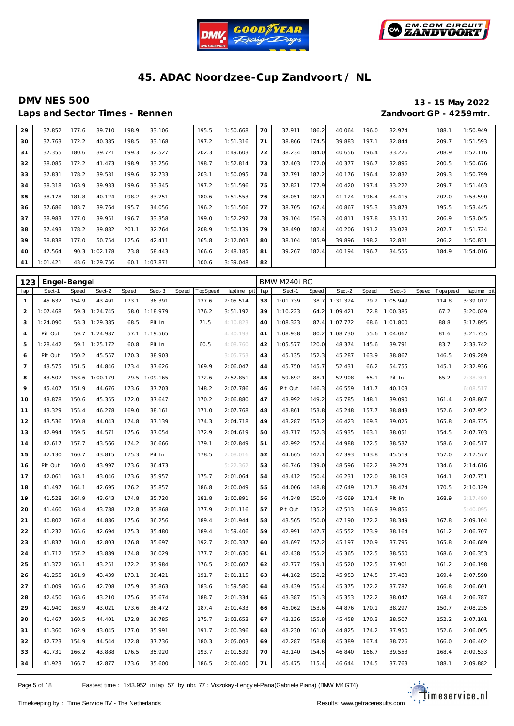



Laps and Sector Times - Rennen

# **DMV NES 500 13 - 15 May 2022**

| 29 | 37.852   | 177.6 | 39.710   | 198.9 | 33.106   | 195.5 | 1:50.668 | 70 | 37.911 | 186.2 | 40.064 | 196.0 | 32.974 | 188.1 | 1:50.949 |
|----|----------|-------|----------|-------|----------|-------|----------|----|--------|-------|--------|-------|--------|-------|----------|
| 30 | 37.763   | 172.2 | 40.385   | 198.5 | 33.168   | 197.2 | 1:51.316 | 71 | 38.866 | 174.5 | 39.883 | 197.1 | 32.844 | 209.7 | 1:51.593 |
| 31 | 37.355   | 180.6 | 39.721   | 199.3 | 32.527   | 202.3 | 1:49.603 | 72 | 38.234 | 184.0 | 40.656 | 196.4 | 33.226 | 208.9 | 1:52.116 |
| 32 | 38.085   | 172.2 | 41.473   | 198.9 | 33.256   | 198.7 | 1:52.814 | 73 | 37.403 | 172.0 | 40.377 | 196.7 | 32.896 | 200.5 | 1:50.676 |
| 33 | 37.831   | 178.2 | 39.531   | 199.6 | 32.733   | 203.1 | 1:50.095 | 74 | 37.791 | 187.2 | 40.176 | 196.4 | 32.832 | 209.3 | 1:50.799 |
| 34 | 38.318   | 163.9 | 39.933   | 199.6 | 33.345   | 197.2 | 1:51.596 | 75 | 37.821 | 177.9 | 40.420 | 197.4 | 33.222 | 209.7 | 1:51.463 |
| 35 | 38.178   | 181.8 | 40.124   | 198.2 | 33.251   | 180.6 | 1:51.553 | 76 | 38.051 | 182.1 | 41.124 | 196.4 | 34.415 | 202.0 | 1:53.590 |
| 36 | 37.686   | 183.7 | 39.764   | 195.7 | 34.056   | 196.2 | 1:51.506 | 77 | 38.705 | 167.4 | 40.867 | 195.3 | 33.873 | 195.5 | 1:53.445 |
| 37 | 38.983   | 177.0 | 39.951   | 196.7 | 33.358   | 199.0 | 1:52.292 | 78 | 39.104 | 156.3 | 40.811 | 197.8 | 33.130 | 206.9 | 1:53.045 |
| 38 | 37.493   | 178.2 | 39.882   | 201.1 | 32.764   | 208.9 | 1:50.139 | 79 | 38.490 | 182.4 | 40.206 | 191.2 | 33.028 | 202.7 | 1:51.724 |
| 39 | 38.838   | 177.0 | 50.754   | 125.6 | 42.411   | 165.8 | 2:12.003 | 80 | 38.104 | 185.9 | 39.896 | 198.2 | 32.831 | 206.2 | 1:50.831 |
| 40 | 47.564   | 90.3  | 1:02.178 | 73.8  | 58.443   | 166.6 | 2:48.185 | 81 | 39.267 | 182.4 | 40.194 | 196.7 | 34.555 | 184.9 | 1:54.016 |
| 41 | 1:01.421 | 43.6  | 1:29.756 | 60.1  | 1:07.871 | 100.6 | 3:39.048 | 82 |        |       |        |       |        |       |          |

| 123            | Engel-Bengel |              |          |       |          |              |          |             |     | BMW M240i RC |       |          |       |          |       |             |             |
|----------------|--------------|--------------|----------|-------|----------|--------------|----------|-------------|-----|--------------|-------|----------|-------|----------|-------|-------------|-------------|
| lap            | Sect-1       | <b>Speed</b> | Sect-2   | Speed | Sect-3   | <b>Speed</b> | TopSpeed | laptime pit | lap | Sect-1       | Speed | Sect-2   | Speed | Sect-3   | Speed | T ops pee d | laptime pit |
| $\mathbf{1}$   | 45.632       | 154.9        | 43.491   | 173.1 | 36.391   |              | 137.6    | 2:05.514    | 38  | 1:01.739     | 38.7  | 1:31.324 | 79.2  | 1:05.949 |       | 114.8       | 3:39.012    |
| $\overline{2}$ | 1:07.468     | 59.3         | 1:24.745 | 58.0  | 1:18.979 |              | 176.2    | 3:51.192    | 39  | 1:10.223     | 64.2  | 1:09.421 | 72.8  | 1:00.385 |       | 67.2        | 3:20.029    |
| 3              | 1:24.090     | 53.3         | 1:29.385 | 68.5  | Pit In   |              | 71.5     | 4:10.823    | 40  | 1:08.323     | 87.4  | 1:07.772 | 68.6  | 1:01.800 |       | 88.8        | 3:17.895    |
| $\overline{4}$ | Pit Out      | 59.7         | 1:24.987 | 57.1  | 1:19.565 |              |          | 4:40.193    | 41  | 1:08.938     | 80.2  | 1:08.730 | 55.6  | 1:04.067 |       | 81.6        | 3:21.735    |
| 5              | 1:28.442     | 59.1         | 1:25.172 | 60.8  | Pit In   |              | 60.5     | 4:08.760    | 42  | 1:05.577     | 120.0 | 48.374   | 145.6 | 39.791   |       | 83.7        | 2:33.742    |
| 6              | Pit Out      | 150.2        | 45.557   | 170.3 | 38.903   |              |          | 3:05.753    | 43  | 45.135       | 152.3 | 45.287   | 163.9 | 38.867   |       | 146.5       | 2:09.289    |
| $\overline{7}$ | 43.575       | 151.5        | 44.846   | 173.4 | 37.626   |              | 169.9    | 2:06.047    | 44  | 45.750       | 145.7 | 52.431   | 66.2  | 54.755   |       | 145.1       | 2:32.936    |
| 8              | 43.507       | 153.6        | 1:00.179 | 79.5  | 1:09.165 |              | 172.6    | 2:52.851    | 45  | 59.692       | 88.1  | 52.908   | 65.1  | Pit In   |       | 65.2        | 2:38.301    |
| 9              | 45.407       | 151.9        | 44.676   | 173.6 | 37.703   |              | 148.2    | 2:07.786    | 46  | Pit Out      | 146.3 | 46.559   | 141.7 | 40.103   |       |             | 6:08.517    |
| 10             | 43.878       | 150.6        | 45.355   | 172.0 | 37.647   |              | 170.2    | 2:06.880    | 47  | 43.992       | 149.2 | 45.785   | 148.1 | 39.090   |       | 161.4       | 2:08.867    |
| 11             | 43.329       | 155.4        | 46.278   | 169.0 | 38.161   |              | 171.0    | 2:07.768    | 48  | 43.861       | 153.8 | 45.248   | 157.7 | 38.843   |       | 152.6       | 2:07.952    |
| 12             | 43.536       | 150.8        | 44.043   | 174.8 | 37.139   |              | 174.3    | 2:04.718    | 49  | 43.287       | 153.2 | 46.423   | 169.3 | 39.025   |       | 165.8       | 2:08.735    |
| 13             | 42.994       | 159.5        | 44.571   | 175.6 | 37.054   |              | 172.9    | 2:04.619    | 50  | 43.717       | 152.3 | 45.935   | 163.1 | 38.051   |       | 154.5       | 2:07.703    |
| 14             | 42.617       | 157.7        | 43.566   | 174.2 | 36.666   |              | 179.1    | 2:02.849    | 51  | 42.992       | 157.4 | 44.988   | 172.5 | 38.537   |       | 158.6       | 2:06.517    |
| 15             | 42.130       | 160.7        | 43.815   | 175.3 | Pit In   |              | 178.5    | 2:08.016    | 52  | 44.665       | 147.1 | 47.393   | 143.8 | 45.519   |       | 157.0       | 2:17.577    |
| 16             | Pit Out      | 160.0        | 43.997   | 173.6 | 36.473   |              |          | 5:22.362    | 53  | 46.746       | 139.0 | 48.596   | 162.2 | 39.274   |       | 134.6       | 2:14.616    |
| 17             | 42.061       | 163.1        | 43.046   | 173.6 | 35.957   |              | 175.7    | 2:01.064    | 54  | 43.412       | 150.4 | 46.231   | 172.0 | 38.108   |       | 164.1       | 2:07.751    |
| 18             | 41.497       | 164.1        | 42.695   | 176.2 | 35.857   |              | 186.8    | 2:00.049    | 55  | 44.006       | 148.8 | 47.649   | 171.7 | 38.474   |       | 170.5       | 2:10.129    |
| 19             | 41.528       | 164.9        | 43.643   | 174.8 | 35.720   |              | 181.8    | 2:00.891    | 56  | 44.348       | 150.0 | 45.669   | 171.4 | Pit In   |       | 168.9       | 2:17.490    |
| 20             | 41.460       | 163.4        | 43.788   | 172.8 | 35.868   |              | 177.9    | 2:01.116    | 57  | Pit Out      | 135.2 | 47.513   | 166.9 | 39.856   |       |             | 5:40.095    |
| 21             | 40.802       | 167.4        | 44.886   | 175.6 | 36.256   |              | 189.4    | 2:01.944    | 58  | 43.565       | 150.0 | 47.190   | 172.2 | 38.349   |       | 167.8       | 2:09.104    |
| 22             | 41.232       | 165.6        | 42.694   | 175.3 | 35.480   |              | 189.4    | 1:59.406    | 59  | 42.991       | 147.7 | 45.552   | 173.9 | 38.164   |       | 161.2       | 2:06.707    |
| 23             | 41.837       | 161.0        | 42.803   | 176.8 | 35.697   |              | 192.7    | 2:00.337    | 60  | 43.697       | 157.2 | 45.197   | 170.9 | 37.795   |       | 165.8       | 2:06.689    |
| 24             | 41.712       | 157.2        | 43.889   | 174.8 | 36.029   |              | 177.7    | 2:01.630    | 61  | 42.438       | 155.2 | 45.365   | 172.5 | 38.550   |       | 168.6       | 2:06.353    |
| 25             | 41.372       | 165.1        | 43.251   | 172.2 | 35.984   |              | 176.5    | 2:00.607    | 62  | 42.777       | 159.1 | 45.520   | 172.5 | 37.901   |       | 161.2       | 2:06.198    |
| 26             | 41.255       | 161.9        | 43.439   | 173.1 | 36.421   |              | 191.7    | 2:01.115    | 63  | 44.162       | 150.2 | 45.953   | 174.5 | 37.483   |       | 169.4       | 2:07.598    |
| 27             | 41.009       | 165.6        | 42.708   | 175.9 | 35.863   |              | 183.6    | 1:59.580    | 64  | 43.439       | 155.4 | 45.375   | 172.2 | 37.787   |       | 166.8       | 2:06.601    |
| 28             | 42.450       | 163.6        | 43.210   | 175.6 | 35.674   |              | 188.7    | 2:01.334    | 65  | 43.387       | 151.3 | 45.353   | 172.2 | 38.047   |       | 168.4       | 2:06.787    |
| 29             | 41.940       | 163.9        | 43.021   | 173.6 | 36.472   |              | 187.4    | 2:01.433    | 66  | 45.062       | 153.6 | 44.876   | 170.1 | 38.297   |       | 150.7       | 2:08.235    |
| 30             | 41.467       | 160.5        | 44.401   | 172.8 | 36.785   |              | 175.7    | 2:02.653    | 67  | 43.136       | 155.8 | 45.458   | 170.3 | 38.507   |       | 152.2       | 2:07.101    |
| 31             | 41.360       | 162.9        | 43.045   | 177.0 | 35.991   |              | 191.7    | 2:00.396    | 68  | 43.230       | 161.0 | 44.825   | 174.2 | 37.950   |       | 152.6       | 2:06.005    |
| 32             | 42.723       | 154.9        | 44.544   | 172.8 | 37.736   |              | 180.3    | 2:05.003    | 69  | 42.287       | 158.8 | 45.389   | 167.4 | 38.726   |       | 166.0       | 2:06.402    |
| 33             | 41.731       | 166.2        | 43.888   | 176.5 | 35.920   |              | 193.7    | 2:01.539    | 70  | 43.140       | 154.5 | 46.840   | 166.7 | 39.553   |       | 168.4       | 2:09.533    |
| 34             | 41.923       | 166.7        | 42.877   | 173.6 | 35.600   |              | 186.5    | 2:00.400    | 71  | 45.475       | 115.4 | 46.644   | 174.5 | 37.763   |       | 188.1       | 2:09.882    |

Page 5 of 18 Fastest time : 1:43.952 in lap 57 by nbr. 77 : Viszokay -Lengy el-Piana (Gabriele Piana) (BMW M4 GT4)

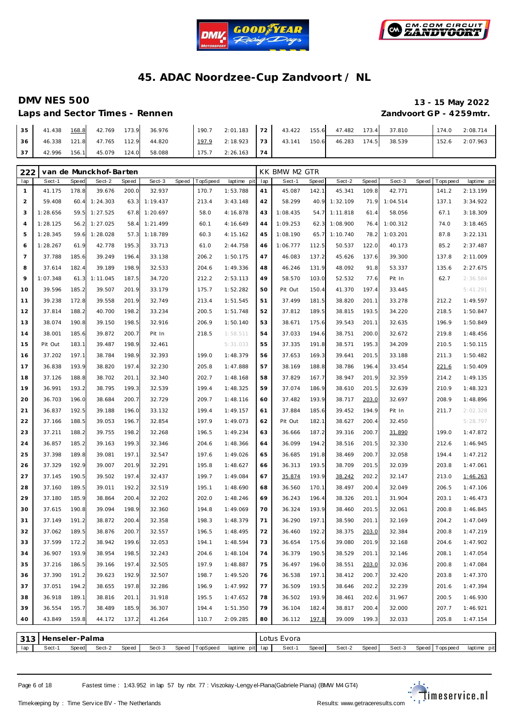



### **DMV NES 500**

Laps and Sector Times - Rennen

|                         |  | 13 - 15 May 2022 |
|-------------------------|--|------------------|
| Zandvoort GP - 4259mtr. |  |                  |

| 35 | 41.438 | 168.8 | 42.769 | 173.9 | 36.976 | 190.7 | 2:01.183 | 172 | 43.422 | 155.6 | 47.482 | 173.4 | 37.810 | 174.0 | 2:08.714 |
|----|--------|-------|--------|-------|--------|-------|----------|-----|--------|-------|--------|-------|--------|-------|----------|
| 36 | 46.338 | 121.8 | 47.765 | 112.9 | 44.820 | 197.9 | 2:18.923 | 173 | 43.141 | 150.6 | 46.283 | 174.5 | 38.539 | 152.6 | 2:07.963 |
| 37 | 42.996 | 156.1 | 45.079 | 124.0 | 58.088 | 175.7 | 2:26.163 | 174 |        |       |        |       |        |       |          |

| 222            |                |       | van de Munckhof-Barten |       |          |       |          |             |     | KK BMW M2 GTR |       |          |       |          |       |             |             |
|----------------|----------------|-------|------------------------|-------|----------|-------|----------|-------------|-----|---------------|-------|----------|-------|----------|-------|-------------|-------------|
| lap            | Sect-1         | Speed | Sect-2                 | Speed | Sect-3   | Speed | TopSpeed | laptime pit | lap | Sect-1        | Speed | Sect-2   | Speed | Sect-3   | Speed | T ops pee d | laptime pit |
| $\mathbf{1}$   | 41.175         | 178.8 | 39.676                 | 200.0 | 32.937   |       | 170.7    | 1:53.788    | 41  | 45.087        | 142.1 | 45.341   | 109.8 | 42.771   |       | 141.2       | 2:13.199    |
| $\overline{2}$ | 59.408         | 60.4  | 1:24.303               | 63.3  | 1:19.437 |       | 213.4    | 3:43.148    | 42  | 58.299        | 40.9  | 1:32.109 | 71.9  | 1:04.514 |       | 137.1       | 3:34.922    |
| 3              | 1:28.656       | 59.5  | 1:27.525               | 67.8  | 1:20.697 |       | 58.0     | 4:16.878    | 43  | 1:08.435      | 54.7  | 1:11.818 | 61.4  | 58.056   |       | 67.1        | 3:18.309    |
| $\overline{4}$ | 1:28.125       | 56.2  | 1:27.025               | 58.4  | 1:21.499 |       | 60.1     | 4:16.649    | 44  | 1:09.253      | 62.3  | 1:08.900 | 76.4  | 1:00.312 |       | 74.0        | 3:18.465    |
| 5              | 1:28.345       | 59.6  | 1:28.028               | 57.3  | 1:18.789 |       | 60.3     | 4:15.162    | 45  | 1:08.190      | 65.7  | 1:10.740 | 78.2  | 1:03.201 |       | 87.8        | 3:22.131    |
| 6              | 1:28.267       | 61.9  | 42.778                 | 195.3 | 33.713   |       | 61.0     | 2:44.758    | 46  | 1:06.777      | 112.5 | 50.537   | 122.0 | 40.173   |       | 85.2        | 2:37.487    |
| $\overline{7}$ | 37.788         | 185.6 | 39.249                 | 196.4 | 33.138   |       | 206.2    | 1:50.175    | 47  | 46.083        | 137.2 | 45.626   | 137.6 | 39.300   |       | 137.8       | 2:11.009    |
| 8              | 37.614         | 182.4 | 39.189                 | 198.9 | 32.533   |       | 204.6    | 1:49.336    | 48  | 46.246        | 131.9 | 48.092   | 91.8  | 53.337   |       | 135.6       | 2:27.675    |
| 9              | 1:07.348       | 61.3  | 1:11.045               | 187.5 | 34.720   |       | 212.2    | 2:53.113    | 49  | 58.570        | 103.0 | 52.532   | 77.6  | Pit In   |       | 62.7        | 2:36.584    |
| 10             | 39.596         | 185.2 | 39.507                 | 201.9 | 33.179   |       | 175.7    | 1:52.282    | 50  | Pit Out       | 150.4 | 41.370   | 197.4 | 33.445   |       |             | 5:41.291    |
| 11             | 39.238         | 172.8 | 39.558                 | 201.9 | 32.749   |       | 213.4    | 1:51.545    | 51  | 37.499        | 181.5 | 38.820   | 201.1 | 33.278   |       | 212.2       | 1:49.597    |
| 12             | 37.814         | 188.2 | 40.700                 | 198.2 | 33.234   |       | 200.5    | 1:51.748    | 52  | 37.812        | 189.5 | 38.815   | 193.5 | 34.220   |       | 218.5       | 1:50.847    |
| 13             | 38.074         | 190.8 | 39.150                 | 198.5 | 32.916   |       | 206.9    | 1:50.140    | 53  | 38.671        | 175.6 | 39.543   | 201.1 | 32.635   |       | 196.9       | 1:50.849    |
| 14             | 38.001         | 185.6 | 39.872                 | 200.7 | Pit In   |       | 218.5    | 1:58.511    | 54  | 37.033        | 194.6 | 38.751   | 200.0 | 32.672   |       | 219.8       | 1:48.456    |
| 15             | Pit Out        | 183.1 | 39.487                 | 198.9 | 32.461   |       |          | 5:31.033    | 55  | 37.335        | 191.8 | 38.571   | 195.3 | 34.209   |       | 210.5       | 1:50.115    |
| 16             | 37.202         | 197.1 | 38.784                 | 198.9 | 32.393   |       | 199.0    | 1:48.379    | 56  | 37.653        | 169.3 | 39.641   | 201.5 | 33.188   |       | 211.3       | 1:50.482    |
| 17             | 36.838         | 193.9 | 38.820                 | 197.4 | 32.230   |       | 205.8    | 1:47.888    | 57  | 38.169        | 188.8 | 38.786   | 196.4 | 33.454   |       | 221.6       | 1:50.409    |
| 18             | 37.126         | 188.8 | 38.702                 | 201.1 | 32.340   |       | 202.7    | 1:48.168    | 58  | 37.829        | 167.7 | 38.947   | 201.9 | 32.359   |       | 214.2       | 1:49.135    |
| 19             | 36.991         | 193.2 | 38.795                 | 199.3 | 32.539   |       | 199.4    | 1:48.325    | 59  | 37.074        | 186.9 | 38.610   | 201.5 | 32.639   |       | 210.9       | 1:48.323    |
| 20             | 36.703         | 196.0 | 38.684                 | 200.7 | 32.729   |       | 209.7    | 1:48.116    | 60  | 37.482        | 193.9 | 38.717   | 203.0 | 32.697   |       | 208.9       | 1:48.896    |
| 21             | 36.837         | 192.5 | 39.188                 | 196.0 | 33.132   |       | 199.4    | 1:49.157    | 61  | 37.884        | 185.6 | 39.452   | 194.9 | Pit In   |       | 211.7       | 2:02.328    |
| 22             | 37.166         | 188.5 | 39.053                 | 196.7 | 32.854   |       | 197.9    | 1:49.073    | 62  | Pit Out       | 182.1 | 38.627   | 200.4 | 32.450   |       |             | 5:28.797    |
| 23             | 37.211         | 188.2 | 39.755                 | 198.2 | 32.268   |       | 196.5    | 1:49.234    | 63  | 36.666        | 187.2 | 39.316   | 200.7 | 31.890   |       | 199.0       | 1:47.872    |
| 24             | 36.857         | 185.2 | 39.163                 | 199.3 | 32.346   |       | 204.6    | 1:48.366    | 64  | 36.099        | 194.2 | 38.516   | 201.5 | 32.330   |       | 212.6       | 1:46.945    |
| 25             | 37.398         | 189.8 | 39.081                 | 197.1 | 32.547   |       | 197.6    | 1:49.026    | 65  | 36.685        | 191.8 | 38.469   | 200.7 | 32.058   |       | 194.4       | 1:47.212    |
| 26             | 37.329         | 192.9 | 39.007                 | 201.9 | 32.291   |       | 195.8    | 1:48.627    | 66  | 36.313        | 193.5 | 38.709   | 201.5 | 32.039   |       | 203.8       | 1:47.061    |
| 27             | 37.145         | 190.5 | 39.502                 | 197.4 | 32.437   |       | 199.7    | 1:49.084    | 67  | 35.874        | 193.9 | 38.242   | 202.2 | 32.147   |       | 213.0       | 1:46.263    |
| 28             | 37.160         | 189.5 | 39.011                 | 192.2 | 32.519   |       | 195.1    | 1:48.690    | 68  | 36.560        | 170.1 | 38.497   | 200.4 | 32.049   |       | 206.5       | 1:47.106    |
| 29             | 37.180         | 185.9 | 38.864                 | 200.4 | 32.202   |       | 202.0    | 1:48.246    | 69  | 36.243        | 196.4 | 38.326   | 201.1 | 31.904   |       | 203.1       | 1:46.473    |
| 30             | 37.615         | 190.8 | 39.094                 | 198.9 | 32.360   |       | 194.8    | 1:49.069    | 70  | 36.324        | 193.9 | 38.460   | 201.5 | 32.061   |       | 200.8       | 1:46.845    |
| 31             | 37.149         | 191.2 | 38.872                 | 200.4 | 32.358   |       | 198.3    | 1:48.379    | 71  | 36.290        | 197.1 | 38.590   | 201.1 | 32.169   |       | 204.2       | 1:47.049    |
| 32             | 37.062         | 189.5 | 38.876                 | 200.7 | 32.557   |       | 196.5    | 1:48.495    | 72  | 36.460        | 192.2 | 38.375   | 203.0 | 32.384   |       | 200.8       | 1:47.219    |
| 33             | 37.599         | 172.2 | 38.942                 | 199.6 | 32.053   |       | 194.1    | 1:48.594    | 73  | 36.654        | 175.6 | 39.080   | 201.9 | 32.168   |       | 204.6       | 1:47.902    |
| 34             | 36.907         | 193.9 | 38.954                 | 198.5 | 32.243   |       | 204.6    | 1:48.104    | 74  | 36.379        | 190.5 | 38.529   | 201.1 | 32.146   |       | 208.1       | 1:47.054    |
| 35             | 37.216         | 186.5 | 39.166                 | 197.4 | 32.505   |       | 197.9    | 1:48.887    | 75  | 36.497        | 196.0 | 38.551   | 203.0 | 32.036   |       | 200.8       | 1:47.084    |
| 36             | 37.390         | 191.2 | 39.623                 | 192.9 | 32.507   |       | 198.7    | 1:49.520    | 76  | 36.538        | 197.1 | 38.412   | 200.7 | 32.420   |       | 203.8       | 1:47.370    |
| 37             | 37.051         | 194.2 | 38.655                 | 197.8 | 32.286   |       | 196.9    | 1:47.992    | 77  | 36.509        | 193.5 | 38.646   | 202.2 | 32.239   |       | 201.6       | 1:47.394    |
| 38             | 36.918         | 189.1 | 38.816                 | 201.1 | 31.918   |       | 195.5    | 1:47.652    | 78  | 36.502        | 193.9 | 38.461   | 202.6 | 31.967   |       | 200.5       | 1:46.930    |
| 39             | 36.554         | 195.7 | 38.489                 | 185.9 | 36.307   |       | 194.4    | 1:51.350    | 79  | 36.104        | 182.4 | 38.817   | 200.4 | 32.000   |       | 207.7       | 1:46.921    |
| 40             | 43.849         | 159.8 | 44.172                 | 137.2 | 41.264   |       | 110.7    | 2:09.285    | 80  | 36.112        | 197.8 | 39.009   | 199.3 | 32.033   |       | 205.8       | 1:47.154    |
| 313            | Henseler-Palma |       |                        |       |          |       |          |             |     | Lotus Evora   |       |          |       |          |       |             |             |
|                |                |       |                        |       |          |       |          |             |     |               |       |          |       |          |       |             |             |

lap | Sect-1 Speed| Sect-2 Speed | Sect-3 Speed |TopSpeed laptime pit lap | Sect-1 Speed Sect-2 Speed | Sect-3 Speed |Topspeed laptime pit

Page 6 of 18 Fastest time : 1:43.952 in lap 57 by nbr. 77 : Viszokay -Lengy el-Piana (Gabriele Piana) (BMW M4 GT4)

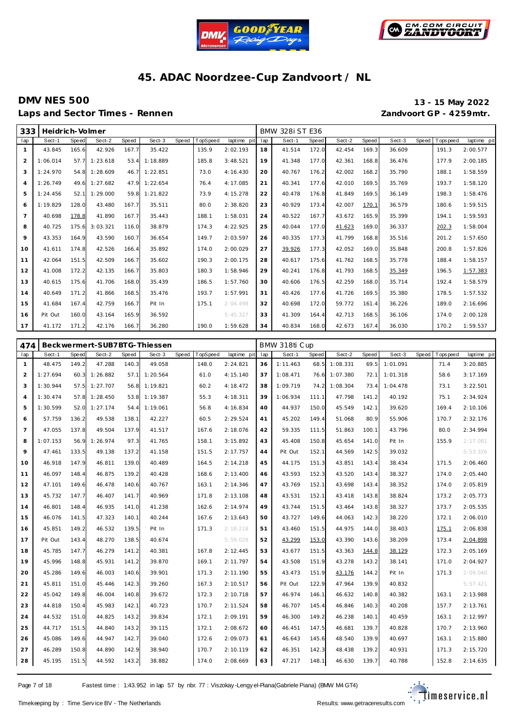



### **DMV NES 500 13 - 15 May 2022** Laps and Sector Times - Rennen *Zandvoort GP - 4259mtr.*

| 333            | Heidrich-Volmer |       |          |       |          |       |                 |             |     | <b>BMW 328i ST E36</b> |       |        |       |        |       |            |             |
|----------------|-----------------|-------|----------|-------|----------|-------|-----------------|-------------|-----|------------------------|-------|--------|-------|--------|-------|------------|-------------|
| lap            | Sect-1          | Speed | Sect-2   | Speed | Sect-3   | Speed | <b>TopSpeed</b> | laptime pit | lap | Sect-1                 | Speed | Sect-2 | Speed | Sect-3 | Speed | Tops pee d | laptime pit |
| $\mathbf{1}$   | 43.845          | 165.6 | 42.926   | 167.7 | 35.422   |       | 135.9           | 2:02.193    | 18  | 41.514                 | 172.0 | 42.454 | 169.3 | 36.609 |       | 191.3      | 2:00.577    |
| $\overline{2}$ | 1:06.014        | 57.7  | 1:23.618 | 53.4  | 1:18.889 |       | 185.8           | 3:48.521    | 19  | 41.348                 | 177.0 | 42.361 | 168.8 | 36.476 |       | 177.9      | 2:00.185    |
| 3              | 1:24.970        | 54.8  | 1:28.609 | 46.7  | 1:22.851 |       | 73.0            | 4:16.430    | 20  | 40.767                 | 176.2 | 42.002 | 168.2 | 35.790 |       | 188.1      | 1:58.559    |
| $\overline{4}$ | 1:26.749        | 49.6  | 1:27.682 | 47.9  | 1:22.654 |       | 76.4            | 4:17.085    | 21  | 40.341                 | 177.6 | 42.010 | 169.5 | 35.769 |       | 193.7      | 1:58.120    |
| 5              | 1:24.456        | 52.1  | 1:29.000 | 59.8  | 1:21.822 |       | 73.9            | 4:15.278    | 22  | 40.478                 | 176.8 | 41.849 | 169.5 | 36.149 |       | 198.3      | 1:58.476    |
| 6              | 1:19.829        | 128.0 | 43.480   | 167.7 | 35.511   |       | 80.0            | 2:38.820    | 23  | 40.929                 | 173.4 | 42.007 | 170.1 | 36.579 |       | 180.6      | 1:59.515    |
| $\overline{7}$ | 40.698          | 178.8 | 41.890   | 167.7 | 35.443   |       | 188.1           | 1:58.031    | 24  | 40.522                 | 167.7 | 43.672 | 165.9 | 35.399 |       | 194.1      | 1:59.593    |
| 8              | 40.725          | 175.6 | 3:03.321 | 116.0 | 38.879   |       | 174.3           | 4:22.925    | 25  | 40.044                 | 177.0 | 41.623 | 169.0 | 36.337 |       | 202.3      | 1:58.004    |
| 9              | 43.353          | 164.9 | 43.590   | 160.7 | 36.654   |       | 149.7           | 2:03.597    | 26  | 40.335                 | 177.3 | 41.799 | 168.8 | 35.516 |       | 201.2      | 1:57.650    |
| 10             | 41.611          | 174.8 | 42.526   | 166.4 | 35.892   |       | 174.0           | 2:00.029    | 27  | 39.926                 | 177.3 | 42.052 | 169.0 | 35.848 |       | 200.8      | 1:57.826    |
| 11             | 42.064          | 151.5 | 42.509   | 166.7 | 35.602   |       | 190.3           | 2:00.175    | 28  | 40.617                 | 175.6 | 41.762 | 168.5 | 35.778 |       | 188.4      | 1:58.157    |
| 12             | 41.008          | 172.2 | 42.135   | 166.7 | 35.803   |       | 180.3           | 1:58.946    | 29  | 40.241                 | 176.8 | 41.793 | 168.5 | 35.349 |       | 196.5      | 1:57.383    |
| 13             | 40.615          | 175.6 | 41.706   | 168.0 | 35.439   |       | 186.5           | 1:57.760    | 30  | 40.606                 | 176.5 | 42.259 | 168.0 | 35.714 |       | 192.4      | 1:58.579    |
| 14             | 40.649          | 171.2 | 41.866   | 168.5 | 35.476   |       | 193.7           | 1:57.991    | 31  | 40.426                 | 177.6 | 41.726 | 169.5 | 35.380 |       | 178.5      | 1:57.532    |
| 15             | 41.684          | 167.4 | 42.759   | 166.7 | Pit In   |       | 175.1           | 2:04.498    | 32  | 40.698                 | 172.0 | 59.772 | 161.4 | 36.226 |       | 189.0      | 2:16.696    |
| 16             | Pit Out         | 160.0 | 43.164   | 165.9 | 36.592   |       |                 | 5:45.327    | 33  | 41.309                 | 164.4 | 42.713 | 168.5 | 36.106 |       | 174.0      | 2:00.128    |
| 17             | 41.172          | 171.2 | 42.176   | 166.7 | 36.280   |       | 190.0           | 1:59.628    | 34  | 40.834                 | 168.0 | 42.673 | 167.4 | 36.030 |       | 170.2      | 1:59.537    |

| 474            |          |       |               |       | Beckwermert-SUB7BTG-Thiessen |       |          |             |     | BMW 318ti Cup |       |          |              |          |              |           |             |
|----------------|----------|-------|---------------|-------|------------------------------|-------|----------|-------------|-----|---------------|-------|----------|--------------|----------|--------------|-----------|-------------|
| lap            | Sect-1   | Speed | Sect-2        | Speed | Sect-3                       | Speed | TopSpeed | laptime pit | lap | Sect-1        | Speed | Sect-2   | <b>Speed</b> | Sect-3   | <b>Speed</b> | Tops peed | laptime pit |
| $\mathbf{1}$   | 48.475   | 149.2 | 47.288        | 140.3 | 49.058                       |       | 148.0    | 2:24.821    | 36  | 1:11.463      | 68.5  | 1:08.331 | 69.5         | 1:01.091 |              | 71.4      | 3:20.885    |
| $\overline{2}$ | 1:27.694 |       | 60.3 1:26.882 | 57.1  | 1:20.564                     |       | 61.0     | 4:15.140    | 37  | 1:08.471      | 76.6  | 1:07.380 | 72.1         | 1:01.318 |              | 58.6      | 3:17.169    |
| 3              | 1:30.944 | 57.5  | 1:27.707      | 56.8  | 1:19.821                     |       | 60.2     | 4:18.472    | 38  | 1:09.719      | 74.2  | 1:08.304 | 73.4         | 1:04.478 |              | 73.1      | 3:22.501    |
| $\overline{4}$ | 1:30.474 |       | 57.8 1:28.450 | 53.8  | 1:19.387                     |       | 55.3     | 4:18.311    | 39  | 1:06.934      | 111.1 | 47.798   | 141.2        | 40.192   |              | 75.1      | 2:34.924    |
| 5              | 1:30.599 | 52.0  | 1:27.174      | 54.4  | 1:19.061                     |       | 56.8     | 4:16.834    | 40  | 44.937        | 150.0 | 45.549   | 142.1        | 39.620   |              | 169.4     | 2:10.106    |
| 6              | 57.759   | 136.2 | 49.538        | 138.1 | 42.227                       |       | 60.5     | 2:29.524    | 41  | 45.202        | 149.4 | 51.068   | 80.9         | 55.906   |              | 170.7     | 2:32.176    |
| $\overline{7}$ | 47.055   | 137.8 | 49.504        | 137.9 | 41.517                       |       | 167.6    | 2:18.076    | 42  | 59.335        | 111.5 | 51.863   | 100.1        | 43.796   |              | 80.0      | 2:34.994    |
| 8              | 1:07.153 | 56.9  | 1:26.974      | 97.3  | 41.765                       |       | 158.1    | 3:15.892    | 43  | 45.408        | 150.8 | 45.654   | 141.0        | Pit In   |              | 155.9     | 2:17.081    |
| 9              | 47.461   | 133.5 | 49.138        | 137.2 | 41.158                       |       | 151.5    | 2:17.757    | 44  | Pit Out       | 152.1 | 44.569   | 142.5        | 39.032   |              |           | 5:53.326    |
| 10             | 46.918   | 147.9 | 46.811        | 139.0 | 40.489                       |       | 164.5    | 2:14.218    | 45  | 44.175        | 151.3 | 43.851   | 143.4        | 38.434   |              | 171.5     | 2:06.460    |
| 11             | 46.097   | 148.4 | 46.875        | 139.2 | 40.428                       |       | 168.6    | 2:13.400    | 46  | 43.593        | 152.3 | 43.520   | 143.4        | 38.327   |              | 174.0     | 2:05.440    |
| 12             | 47.101   | 149.6 | 46.478        | 140.6 | 40.767                       |       | 163.1    | 2:14.346    | 47  | 43.769        | 152.1 | 43.698   | 143.4        | 38.352   |              | 174.0     | 2:05.819    |
| 13             | 45.732   | 147.7 | 46.407        | 141.7 | 40.969                       |       | 171.8    | 2:13.108    | 48  | 43.531        | 152.1 | 43.418   | 143.8        | 38.824   |              | 173.2     | 2:05.773    |
| 14             | 46.801   | 148.4 | 46.935        | 141.0 | 41.238                       |       | 162.6    | 2:14.974    | 49  | 43.744        | 151.5 | 43.464   | 143.8        | 38.327   |              | 173.7     | 2:05.535    |
| 15             | 46.076   | 141.5 | 47.323        | 140.1 | 40.244                       |       | 167.6    | 2:13.643    | 50  | 43.727        | 149.6 | 44.063   | 142.3        | 38.220   |              | 172.1     | 2:06.010    |
| 16             | 45.851   | 149.2 | 46.532        | 139.5 | Pit In                       |       | 171.3    | 2:18.218    | 51  | 43.460        | 151.5 | 44.975   | 144.0        | 38.403   |              | 175.1     | 2:06.838    |
| 17             | Pit Out  | 143.4 | 48.270        | 138.5 | 40.674                       |       |          | 5:59.029    | 52  | 43.299        | 153.0 | 43.390   | 143.6        | 38.209   |              | 173.4     | 2:04.898    |
| 18             | 45.785   | 147.7 | 46.279        | 141.2 | 40.381                       |       | 167.8    | 2:12.445    | 53  | 43.677        | 151.5 | 43.363   | 144.8        | 38.129   |              | 172.3     | 2:05.169    |
| 19             | 45.996   | 148.8 | 45.931        | 141.2 | 39.870                       |       | 169.1    | 2:11.797    | 54  | 43.508        | 151.9 | 43.278   | 143.2        | 38.141   |              | 171.0     | 2:04.927    |
| 20             | 45.286   | 149.6 | 46.003        | 140.6 | 39.901                       |       | 171.3    | 2:11.190    | 55  | 43.473        | 151.9 | 43.176   | 144.2        | Pit In   |              | 171.3     | 2:09.040    |
| 21             | 45.811   | 151.0 | 45.446        | 142.3 | 39.260                       |       | 167.3    | 2:10.517    | 56  | Pit Out       | 122.9 | 47.964   | 139.9        | 40.832   |              |           | 5:57.421    |
| 22             | 45.042   | 149.8 | 46.004        | 140.8 | 39.672                       |       | 172.3    | 2:10.718    | 57  | 46.974        | 146.1 | 46.632   | 140.8        | 40.382   |              | 163.1     | 2:13.988    |
| 23             | 44.818   | 150.4 | 45.983        | 142.1 | 40.723                       |       | 170.7    | 2:11.524    | 58  | 46.707        | 145.4 | 46.846   | 140.3        | 40.208   |              | 157.7     | 2:13.761    |
| 24             | 44.532   | 151.0 | 44.825        | 143.2 | 39.834                       |       | 172.1    | 2:09.191    | 59  | 46.300        | 149.2 | 46.238   | 140.1        | 40.459   |              | 163.1     | 2:12.997    |
| 25             | 44.717   | 151.5 | 44.840        | 143.2 | 39.115                       |       | 172.1    | 2:08.672    | 60  | 46.451        | 147.5 | 46.681   | 139.7        | 40.828   |              | 170.7     | 2:13.960    |
| 26             | 45.086   | 149.6 | 44.947        | 142.7 | 39.040                       |       | 172.6    | 2:09.073    | 61  | 46.643        | 145.6 | 48.540   | 139.9        | 40.697   |              | 163.1     | 2:15.880    |
| 27             | 46.289   | 150.8 | 44.890        | 142.9 | 38.940                       |       | 170.7    | 2:10.119    | 62  | 46.351        | 142.3 | 48.438   | 139.2        | 40.931   |              | 171.3     | 2:15.720    |
| 28             | 45.195   | 151.5 | 44.592        | 143.2 | 38.882                       |       | 174.0    | 2:08.669    | 63  | 47.217        | 148.1 | 46.630   | 139.7        | 40.788   |              | 152.8     | 2:14.635    |

Page 7 of 18 Fastest time : 1:43.952 in lap 57 by nbr. 77 : Viszokay -Lengy el-Piana (Gabriele Piana) (BMW M4 GT4)

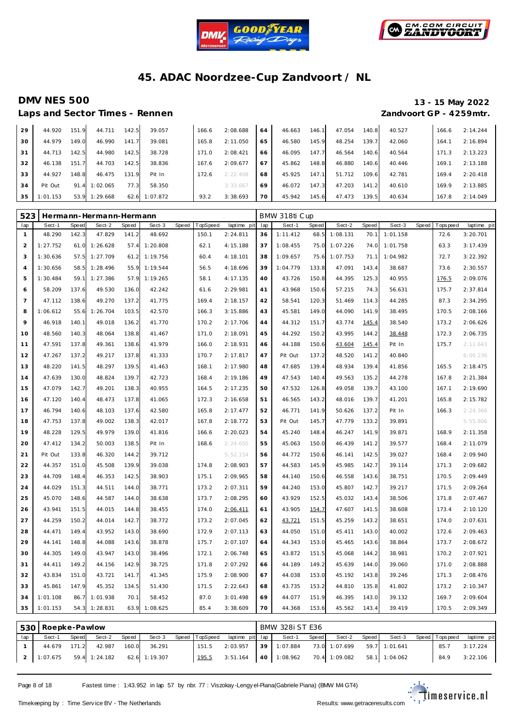



Laps and Sector Times - Rennen *Zandvoort GP - 4259mtr.* 

# **DMV NES 500 13 - 15 May 2022**

| 29 | 44.920   | 151.9 | 44.711   | 142.5 | 39.057   | 166.6 | 2:08.688 | 64 | 46.663 | 146.1 | 47.054 | 140.8 | 40.527 | 166.6 | 2:14.244 |
|----|----------|-------|----------|-------|----------|-------|----------|----|--------|-------|--------|-------|--------|-------|----------|
| 30 | 44.979   | 149.0 | 46.990   | 141.7 | 39.081   | 165.8 | 2:11.050 | 65 | 46.580 | 145.9 | 48.254 | 139.7 | 42.060 | 164.1 | 2:16.894 |
| 31 | 44.713   | 142.5 | 44.980   | 142.5 | 38.728   | 171.0 | 2:08.421 | 66 | 46.095 | 147.7 | 46.564 | 140.6 | 40.564 | 171.3 | 2:13.223 |
| 32 | 46.138   | 151.7 | 44.703   | 142.5 | 38.836   | 167.6 | 2:09.677 | 67 | 45.862 | 148.8 | 46.880 | 140.6 | 40.446 | 169.1 | 2:13.188 |
| 33 | 44.927   | 148.8 | 46.475   | 131.9 | Pit In   | 172.6 | 2:22.408 | 68 | 45.925 | 147.1 | 51.712 | 109.6 | 42.781 | 169.4 | 2:20.418 |
| 34 | Pit Out  | 91.4  | 1:02.065 | 77.3  | 58.350   |       | 3:33.667 | 69 | 46.072 | 147.3 | 47.203 | 141.2 | 40.610 | 169.9 | 2:13.885 |
| 35 | 1:01.153 | 53.9  | 1:29.668 | 62.6  | 1:07.872 | 93.2  | 3:38.693 | 70 | 45.942 | 145.6 | 47.473 | 139.5 | 40.634 | 167.8 | 2:14.049 |

| 523            |          |       | Hermann-Hermann-Hermann |       |          |       |          |             |     | BMW 318ti Cup |       |          |       |          |       |             |             |
|----------------|----------|-------|-------------------------|-------|----------|-------|----------|-------------|-----|---------------|-------|----------|-------|----------|-------|-------------|-------------|
| lap            | Sect-1   | Speed | Sect-2                  | Speed | Sect-3   | Speed | TopSpeed | laptime pit | lap | Sect-1        | Speed | Sect-2   | Speed | Sect-3   | Speed | T ops pee d | laptime pit |
| $\mathbf{1}$   | 48.290   | 142.3 | 47.829                  | 141.2 | 48.692   |       | 150.1    | 2:24.811    | 36  | 1:11.412      | 68.5  | 1:08.131 | 70.1  | 1:01.158 |       | 72.6        | 3:20.701    |
| $\overline{2}$ | 1:27.752 | 61.0  | 1:26.628                | 57.4  | 1:20.808 |       | 62.1     | 4:15.188    | 37  | 1:08.455      | 75.0  | 1:07.226 | 74.0  | 1:01.758 |       | 63.3        | 3:17.439    |
| 3              | 1:30.636 | 57.5  | 1:27.709                | 61.2  | 1:19.756 |       | 60.4     | 4:18.101    | 38  | 1:09.657      | 75.6  | 1:07.753 | 71.1  | 1:04.982 |       | 72.7        | 3:22.392    |
| $\overline{4}$ | 1:30.656 | 58.5  | 1:28.496                | 55.9  | 1:19.544 |       | 56.5     | 4:18.696    | 39  | 1:04.779      | 133.8 | 47.091   | 143.4 | 38.687   |       | 73.6        | 2:30.557    |
| 5              | 1:30.484 | 59.1  | 1:27.386                | 57.9  | 1:19.265 |       | 58.1     | 4:17.135    | 40  | 43.726        | 150.8 | 44.395   | 125.3 | 40.955   |       | 176.5       | 2:09.076    |
| 6              | 58.209   | 137.6 | 49.530                  | 136.0 | 42.242   |       | 61.6     | 2:29.981    | 41  | 43.968        | 150.6 | 57.215   | 74.3  | 56.631   |       | 175.7       | 2:37.814    |
| $\overline{7}$ | 47.112   | 138.6 | 49.270                  | 137.2 | 41.775   |       | 169.4    | 2:18.157    | 42  | 58.541        | 120.3 | 51.469   | 114.3 | 44.285   |       | 87.3        | 2:34.295    |
| 8              | 1:06.612 | 55.6  | 1:26.704                | 103.5 | 42.570   |       | 166.3    | 3:15.886    | 43  | 45.581        | 149.0 | 44.090   | 141.9 | 38.495   |       | 170.5       | 2:08.166    |
| 9              | 46.918   | 140.1 | 49.018                  | 136.2 | 41.770   |       | 170.2    | 2:17.706    | 44  | 44.312        | 151.7 | 43.774   | 145.4 | 38.540   |       | 173.2       | 2:06.626    |
| 10             | 48.560   | 140.3 | 48.064                  | 138.8 | 41.467   |       | 171.0    | 2:18.091    | 45  | 44.292        | 150.2 | 43.995   | 144.2 | 38.448   |       | 172.3       | 2:06.735    |
| 11             | 47.591   | 137.8 | 49.361                  | 138.6 | 41.979   |       | 166.0    | 2:18.931    | 46  | 44.188        | 150.6 | 43.604   | 145.4 | Pit In   |       | 175.7       | 2:11.643    |
| 12             | 47.267   | 137.2 | 49.217                  | 137.8 | 41.333   |       | 170.7    | 2:17.817    | 47  | Pit Out       | 137.2 | 48.520   | 141.2 | 40.840   |       |             | 6:00.236    |
| 13             | 48.220   | 141.5 | 48.297                  | 139.5 | 41.463   |       | 168.1    | 2:17.980    | 48  | 47.685        | 139.4 | 48.934   | 139.4 | 41.856   |       | 165.5       | 2:18.475    |
| 14             | 47.639   | 130.0 | 48.824                  | 139.7 | 42.723   |       | 168.4    | 2:19.186    | 49  | 47.543        | 140.4 | 49.563   | 135.2 | 44.278   |       | 167.8       | 2:21.384    |
| 15             | 47.079   | 142.7 | 49.201                  | 138.3 | 40.955   |       | 164.5    | 2:17.235    | 50  | 47.532        | 126.8 | 49.058   | 139.7 | 43.100   |       | 167.1       | 2:19.690    |
| 16             | 47.120   | 140.4 | 48.473                  | 137.8 | 41.065   |       | 172.3    | 2:16.658    | 51  | 46.565        | 143.2 | 48.016   | 139.7 | 41.201   |       | 165.8       | 2:15.782    |
| 17             | 46.794   | 140.6 | 48.103                  | 137.6 | 42.580   |       | 165.8    | 2:17.477    | 52  | 46.771        | 141.9 | 50.626   | 137.2 | Pit In   |       | 166.3       | 2:24.366    |
| 18             | 47.753   | 137.8 | 49.002                  | 138.3 | 42.017   |       | 167.8    | 2:18.772    | 53  | Pit Out       | 145.7 | 47.779   | 133.2 | 39.891   |       |             | 5:55.806    |
| 19             | 48.228   | 129.5 | 49.979                  | 139.0 | 41.816   |       | 166.6    | 2:20.023    | 54  | 45.240        | 148.4 | 46.247   | 141.9 | 39.871   |       | 168.9       | 2:11.358    |
| 20             | 47.412   | 134.2 | 50.003                  | 138.5 | Pit In   |       | 168.6    | 2:24.650    | 55  | 45.063        | 150.0 | 46.439   | 141.2 | 39.577   |       | 168.4       | 2:11.079    |
| 21             | Pit Out  | 133.8 | 46.320                  | 144.2 | 39.712   |       |          | 5:52.154    | 56  | 44.772        | 150.6 | 46.141   | 142.5 | 39.027   |       | 168.4       | 2:09.940    |
| 22             | 44.357   | 151.0 | 45.508                  | 139.9 | 39.038   |       | 174.8    | 2:08.903    | 57  | 44.583        | 145.9 | 45.985   | 142.7 | 39.114   |       | 171.3       | 2:09.682    |
| 23             | 44.709   | 148.4 | 46.353                  | 142.5 | 38.903   |       | 175.1    | 2:09.965    | 58  | 44.140        | 150.6 | 46.558   | 143.6 | 38.751   |       | 170.5       | 2:09.449    |
| 24             | 44.029   | 151.3 | 44.511                  | 144.0 | 38.771   |       | 173.2    | 2:07.311    | 59  | 44.240        | 153.0 | 45.807   | 142.7 | 39.217   |       | 171.5       | 2:09.264    |
| 25             | 45.070   | 148.6 | 44.587                  | 144.0 | 38.638   |       | 173.7    | 2:08.295    | 60  | 43.929        | 152.5 | 45.032   | 143.4 | 38.506   |       | 171.8       | 2:07.467    |
| 26             | 43.941   | 151.5 | 44.015                  | 144.8 | 38.455   |       | 174.0    | 2:06.411    | 61  | 43.905        | 154.7 | 47.607   | 141.5 | 38.608   |       | 173.4       | 2:10.120    |
| 27             | 44.259   | 150.2 | 44.014                  | 142.7 | 38.772   |       | 173.2    | 2:07.045    | 62  | 43.721        | 151.5 | 45.259   | 143.2 | 38.651   |       | 174.0       | 2:07.631    |
| 28             | 44.471   | 149.4 | 43.952                  | 143.0 | 38.690   |       | 172.9    | 2:07.113    | 63  | 44.050        | 151.0 | 45.411   | 143.0 | 40.002   |       | 172.6       | 2:09.463    |
| 29             | 44.141   | 148.8 | 44.088                  | 143.6 | 38.878   |       | 175.7    | 2:07.107    | 64  | 44.343        | 153.0 | 45.465   | 143.6 | 38.864   |       | 173.7       | 2:08.672    |
| 30             | 44.305   | 149.0 | 43.947                  | 143.0 | 38.496   |       | 172.1    | 2:06.748    | 65  | 43.872        | 151.5 | 45.068   | 144.2 | 38.981   |       | 170.2       | 2:07.921    |
| 31             | 44.411   | 149.2 | 44.156                  | 142.9 | 38.725   |       | 171.8    | 2:07.292    | 66  | 44.189        | 149.2 | 45.639   | 144.0 | 39.060   |       | 171.0       | 2:08.888    |
| 32             | 43.834   | 151.0 | 43.721                  | 141.7 | 41.345   |       | 175.9    | 2:08.900    | 67  | 44.038        | 153.0 | 45.192   | 143.8 | 39.246   |       | 171.3       | 2:08.476    |
| 33             | 45.861   | 147.9 | 45.352                  | 134.5 | 51.430   |       | 171.5    | 2:22.643    | 68  | 43.735        | 153.2 | 44.810   | 135.8 | 41.802   |       | 173.2       | 2:10.347    |
| 34             | 1:01.108 | 86.7  | 1:01.938                | 70.1  | 58.452   |       | 87.0     | 3:01.498    | 69  | 44.077        | 151.9 | 46.395   | 143.0 | 39.132   |       | 169.7       | 2:09.604    |
| 35             | 1:01.153 | 54.3  | 1:28.831                | 63.9  | 1:08.625 |       | 85.4     | 3:38.609    | 70  | 44.368        | 153.6 | 45.562   | 143.4 | 39.419   |       | 170.5       | 2:09.349    |
|                |          |       |                         |       |          |       |          |             |     |               |       |          |       |          |       |             |             |

|     | 530   Roepke-Pawlow      |       |        |       |               |                |                                    |      | BMW 328i ST E36 |         |               |       |               |                   |             |
|-----|--------------------------|-------|--------|-------|---------------|----------------|------------------------------------|------|-----------------|---------|---------------|-------|---------------|-------------------|-------------|
| lap | Sect-1                   | Speed | Sect-2 | Speed | Sect-3        | Speed TopSpeed | laptime pit lap                    |      | Sect-1          | Speed I | Sect-2        | Speed | Sect-3        | Speed   Tops peed | laptime pit |
|     | 44.679                   | 171.2 | 42.987 | 160.0 | 36.291        | 151.5          | 2:03.957                           | 39 I | 1:07.884        |         | 73.0 1:07.699 |       | 59.7 1:01.641 | 85.7              | 3:17.224    |
|     | 2 1:07.675 59.4 1:24.182 |       |        |       | 62.6 1:19.307 | <u> 195.5</u>  | 3:51.164 40 1:08.962 70.4 1:09.082 |      |                 |         |               |       | 58.1 1:04.062 | 84.9              | 3:22.106    |

Page 8 of 18 Fastest time : 1:43.952 in lap 57 by nbr. 77 : Viszokay -Lengy el-Piana (Gabriele Piana) (BMW M4 GT4)

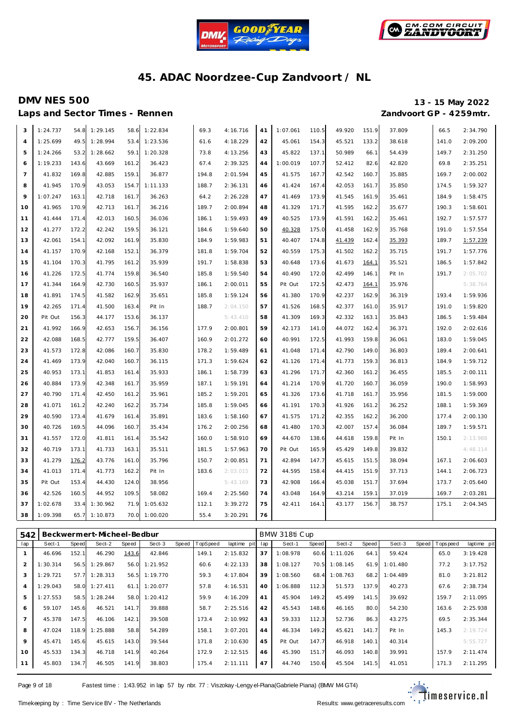



Laps and Sector Times - Rennen *Zandvoort GP - 4259mtr.* 

# **DMV NES 500 13 - 15 May 2022**

| 3              | 1:24.737 | 54.8  | 1:29.145 | 58.6  | 1:22.834 | 69.3  | 4:16.716 | 41 | 1:07.061 | 110.5 | 49.920 | 151.9 | 37.809 | 66.5  | 2:34.790 |
|----------------|----------|-------|----------|-------|----------|-------|----------|----|----------|-------|--------|-------|--------|-------|----------|
| $\overline{4}$ | 1:25.699 | 49.5  | 1:28.994 | 53.4  | 1:23.536 | 61.6  | 4:18.229 | 42 | 45.061   | 154.3 | 45.521 | 133.2 | 38.618 | 141.0 | 2:09.200 |
| 5              | 1:24.266 | 53.2  | 1:28.662 | 59.1  | 1:20.328 | 73.8  | 4:13.256 | 43 | 45.822   | 137.1 | 50.989 | 66.1  | 54.439 | 149.7 | 2:31.250 |
| 6              | 1:19.233 | 143.6 | 43.669   | 161.2 | 36.423   | 67.4  | 2:39.325 | 44 | 1:00.019 | 107.7 | 52.412 | 82.6  | 42.820 | 69.8  | 2:35.251 |
| $\overline{7}$ | 41.832   | 169.8 | 42.885   | 159.1 | 36.877   | 194.8 | 2:01.594 | 45 | 41.575   | 167.7 | 42.542 | 160.7 | 35.885 | 169.7 | 2:00.002 |
| 8              | 41.945   | 170.9 | 43.053   | 154.7 | 1:11.133 | 188.7 | 2:36.131 | 46 | 41.424   | 167.4 | 42.053 | 161.7 | 35.850 | 174.5 | 1:59.327 |
| 9              | 1:07.247 | 163.1 | 42.718   | 161.7 | 36.263   | 64.2  | 2:26.228 | 47 | 41.469   | 173.9 | 41.545 | 161.9 | 35.461 | 184.9 | 1:58.475 |
| 10             | 41.965   | 170.9 | 42.713   | 161.7 | 36.216   | 189.7 | 2:00.894 | 48 | 41.329   | 171.7 | 41.595 | 162.2 | 35.677 | 190.3 | 1:58.601 |
| 11             | 41.444   | 171.4 | 42.013   | 160.5 | 36.036   | 186.1 | 1:59.493 | 49 | 40.525   | 173.9 | 41.591 | 162.2 | 35.461 | 192.7 | 1:57.577 |
| 12             | 41.277   | 172.2 | 42.242   | 159.5 | 36.121   | 184.6 | 1:59.640 | 50 | 40.328   | 175.0 | 41.458 | 162.9 | 35.768 | 191.0 | 1:57.554 |
| 13             | 42.061   | 154.1 | 42.092   | 161.9 | 35.830   | 184.9 | 1:59.983 | 51 | 40.407   | 174.8 | 41.439 | 162.4 | 35.393 | 189.7 | 1:57.239 |
| 14             | 41.157   | 170.9 | 42.168   | 152.1 | 36.379   | 181.8 | 1:59.704 | 52 | 40.559   | 175.3 | 41.502 | 162.2 | 35.715 | 191.7 | 1:57.776 |
| 15             | 41.104   | 170.3 | 41.795   | 161.2 | 35.939   | 191.7 | 1:58.838 | 53 | 40.648   | 173.6 | 41.673 | 164.1 | 35.521 | 186.5 | 1:57.842 |
| 16             | 41.226   | 172.5 | 41.774   | 159.8 | 36.540   | 185.8 | 1:59.540 | 54 | 40.490   | 172.0 | 42.499 | 146.1 | Pit In | 191.7 | 2:05.702 |
| 17             | 41.344   | 164.9 | 42.730   | 160.5 | 35.937   | 186.1 | 2:00.011 | 55 | Pit Out  | 172.5 | 42.473 | 164.1 | 35.976 |       | 5:38.764 |
| 18             | 41.891   | 174.5 | 41.582   | 162.9 | 35.651   | 185.8 | 1:59.124 | 56 | 41.380   | 170.9 | 42.237 | 162.9 | 36.319 | 193.4 | 1:59.936 |
| 19             | 42.265   | 171.4 | 41.500   | 163.4 | Pit In   | 188.7 | 2:04.150 | 57 | 41.526   | 168.5 | 42.377 | 161.0 | 35.917 | 191.0 | 1:59.820 |
| 20             | Pit Out  | 156.3 | 44.177   | 153.6 | 36.137   |       | 5:43.410 | 58 | 41.309   | 169.3 | 42.332 | 163.1 | 35.843 | 186.5 | 1:59.484 |
| 21             | 41.992   | 166.9 | 42.653   | 156.7 | 36.156   | 177.9 | 2:00.801 | 59 | 42.173   | 141.0 | 44.072 | 162.4 | 36.371 | 192.0 | 2:02.616 |
| 22             | 42.088   | 168.5 | 42.777   | 159.5 | 36.407   | 160.9 | 2:01.272 | 60 | 40.991   | 172.5 | 41.993 | 159.8 | 36.061 | 183.0 | 1:59.045 |
| 23             | 41.573   | 172.8 | 42.086   | 160.7 | 35.830   | 178.2 | 1:59.489 | 61 | 41.048   | 171.4 | 42.790 | 149.0 | 36.803 | 189.4 | 2:00.641 |
| 24             | 41.469   | 173.9 | 42.040   | 160.7 | 36.115   | 171.3 | 1:59.624 | 62 | 41.126   | 171.4 | 41.773 | 159.3 | 36.813 | 184.9 | 1:59.712 |
| 25             | 40.953   | 173.1 | 41.853   | 161.4 | 35.933   | 186.1 | 1:58.739 | 63 | 41.296   | 171.7 | 42.360 | 161.2 | 36.455 | 185.5 | 2:00.111 |
| 26             | 40.884   | 173.9 | 42.348   | 161.7 | 35.959   | 187.1 | 1:59.191 | 64 | 41.214   | 170.9 | 41.720 | 160.7 | 36.059 | 190.0 | 1:58.993 |
| 27             | 40.790   | 171.4 | 42.450   | 161.2 | 35.961   | 185.2 | 1:59.201 | 65 | 41.326   | 173.6 | 41.718 | 161.7 | 35.956 | 181.5 | 1:59.000 |
| 28             | 41.071   | 161.2 | 42.240   | 162.2 | 35.734   | 185.8 | 1:59.045 | 66 | 41.191   | 170.3 | 41.926 | 161.2 | 36.252 | 188.1 | 1:59.369 |
| 29             | 40.590   | 173.4 | 41.679   | 161.4 | 35.891   | 183.6 | 1:58.160 | 67 | 41.575   | 171.2 | 42.355 | 162.2 | 36.200 | 177.4 | 2:00.130 |
| 30             | 40.726   | 169.5 | 44.096   | 160.7 | 35.434   | 176.2 | 2:00.256 | 68 | 41.480   | 170.3 | 42.007 | 157.4 | 36.084 | 189.7 | 1:59.571 |
| 31             | 41.557   | 172.0 | 41.811   | 161.4 | 35.542   | 160.0 | 1:58.910 | 69 | 44.670   | 138.6 | 44.618 | 159.8 | Pit In | 150.1 | 2:13.988 |
| 32             | 40.719   | 173.1 | 41.733   | 163.1 | 35.511   | 181.5 | 1:57.963 | 70 | Pit Out  | 165.9 | 45.429 | 149.8 | 39.832 |       | 4:48.114 |
| 33             | 41.279   | 176.2 | 43.776   | 161.0 | 35.796   | 150.7 | 2:00.851 | 71 | 42.894   | 147.7 | 45.615 | 151.5 | 38.094 | 167.1 | 2:06.603 |
| 34             | 41.013   | 171.4 | 41.773   | 162.2 | Pit In   | 183.6 | 2:03.015 | 72 | 44.595   | 158.4 | 44.415 | 151.9 | 37.713 | 144.1 | 2:06.723 |
| 35             | Pit Out  | 153.4 | 44.430   | 124.0 | 38.956   |       | 5:43.169 | 73 | 42.908   | 166.4 | 45.038 | 151.7 | 37.694 | 173.7 | 2:05.640 |
| 36             | 42.526   | 160.5 | 44.952   | 109.5 | 58.082   | 169.4 | 2:25.560 | 74 | 43.048   | 164.9 | 43.214 | 159.1 | 37.019 | 169.7 | 2:03.281 |
| 37             | 1:02.678 | 33.4  | 1:30.962 | 71.9  | 1:05.632 | 112.1 | 3:39.272 | 75 | 42.411   | 164.1 | 43.177 | 156.7 | 38.757 | 175.1 | 2:04.345 |
| 38             | 1:09.398 | 65.7  | 1:10.873 | 70.0  | 1:00.020 | 55.4  | 3:20.291 | 76 |          |       |        |       |        |       |          |

| 542            |          |       | Beckwermert-Micheel-Bedbur |       |          |       |          |             |     | BMW 318ti Cup |       |          |       |          |       |            |             |
|----------------|----------|-------|----------------------------|-------|----------|-------|----------|-------------|-----|---------------|-------|----------|-------|----------|-------|------------|-------------|
| lap            | Sect-1   | Speed | Sect-2                     | Speed | Sect-3   | Speed | TopSpeed | laptime pit | lap | Sect-1        | Speed | Sect-2   | Speed | Sect-3   | Speed | Tops pee d | laptime pit |
|                | 46.696   | 152.1 | 46.290                     | 143.6 | 42.846   |       | 149.1    | 2:15.832    | 37  | 1:08.978      | 60.6  | 1:11.026 | 64.1  | 59.424   |       | 65.0       | 3:19.428    |
| $\overline{2}$ | 1:30.314 | 56.5  | 1:29.867                   | 56.0  | 1:21.952 |       | 60.6     | 4:22.133    | 38  | 1:08.127      | 70.5  | 1:08.145 | 61.9  | 1:01.480 |       | 77.2       | 3:17.752    |
| 3              | 1:29.721 | 57.7  | 1:28.313                   | 56.5  | 1:19.770 |       | 59.3     | 4:17.804    | 39  | 1:08.560      | 68.4  | 1:08.763 | 68.2  | 1:04.489 |       | 81.0       | 3:21.812    |
| $\overline{4}$ | 1:29.043 | 58.0  | 1:27.411                   | 61.1  | 1:20.077 |       | 57.8     | 4:16.531    | 40  | 1:06.888      | 112.3 | 51.573   | 137.9 | 40.273   |       | 67.6       | 2:38.734    |
| 5              | 1:27.553 | 58.5  | 1:28.244                   | 58.0  | 1:20.412 |       | 59.9     | 4:16.209    | 41  | 45.904        | 149.2 | 45.499   | 141.5 | 39.692   |       | 159.7      | 2:11.095    |
| 6              | 59.107   | 145.6 | 46.521                     | 141.7 | 39.888   |       | 58.7     | 2:25.516    | 42  | 45.543        | 148.6 | 46.165   | 80.0  | 54.230   |       | 163.6      | 2:25.938    |
| $\overline{7}$ | 45.378   | 147.5 | 46.106                     | 142.1 | 39.508   |       | 173.4    | 2:10.992    | 43  | 59.333        | 112.3 | 52.736   | 86.3  | 43.275   |       | 69.5       | 2:35.344    |
| 8              | 47.024   | 118.9 | 1:25.888                   | 58.8  | 54.289   |       | 158.1    | 3:07.201    | 44  | 46.334        | 149.2 | 45.621   | 141.7 | Pit In   |       | 145.3      | 2:19.724    |
| 9              | 45.471   | 145.6 | 45.615                     | 143.0 | 39.544   |       | 171.8    | 2:10.630    | 45  | Pit Out       | 147.7 | 46.918   | 140.1 | 40.314   |       |            | 5:55.727    |
| 10             | 45.533   | 134.3 | 46.718                     | 141.9 | 40.264   |       | 172.9    | 2:12.515    | 46  | 45.390        | 151.7 | 46.093   | 140.8 | 39.991   |       | 157.9      | 2:11.474    |
| 11             | 45.803   | 134.7 | 46.505                     | 141.9 | 38.803   |       | 175.4    | 2:11.111    | 47  | 44.740        | 150.6 | 45.504   | 141.5 | 41.051   |       | 171.3      | 2:11.295    |

Page 9 of 18 Fastest time : 1:43.952 in lap 57 by nbr. 77 : Viszokay -Lengy el-Piana (Gabriele Piana) (BMW M4 GT4)

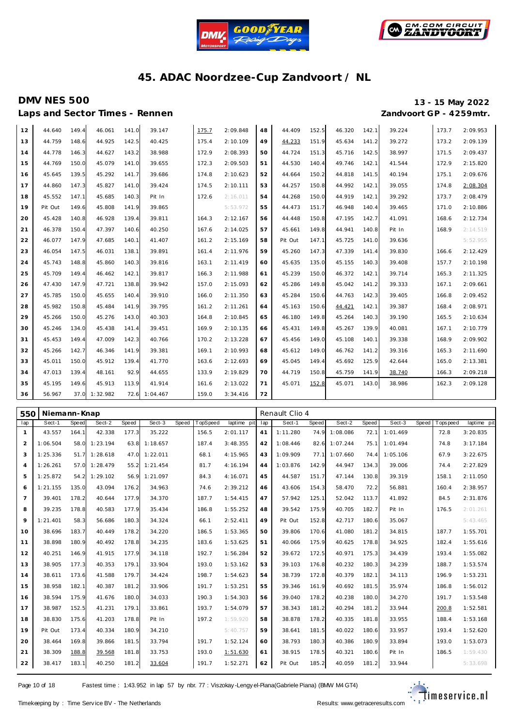



Laps and Sector Times - Rennen *Zandvoort GP - 4259mtr.* 

# **DMV NES 500 13 - 15 May 2022**

| 12 | 44.640  | 149.4 | 46.061   | 141.0 | 39.147   | 175.7 | 2:09.848 | 48 | 44.409  | 152.5 | 46.320 | 142.1 | 39.224 | 173.7 | 2:09.953 |
|----|---------|-------|----------|-------|----------|-------|----------|----|---------|-------|--------|-------|--------|-------|----------|
| 13 | 44.759  | 148.6 | 44.925   | 142.5 | 40.425   | 175.4 | 2:10.109 | 49 | 44.233  | 151.9 | 45.634 | 141.2 | 39.272 | 173.2 | 2:09.139 |
| 14 | 44.778  | 146.3 | 44.627   | 143.2 | 38.988   | 172.9 | 2:08.393 | 50 | 44.724  | 151.3 | 45.716 | 142.5 | 38.997 | 171.5 | 2:09.437 |
| 15 | 44.769  | 150.0 | 45.079   | 141.0 | 39.655   | 172.3 | 2:09.503 | 51 | 44.530  | 140.4 | 49.746 | 142.1 | 41.544 | 172.9 | 2:15.820 |
| 16 | 45.645  | 139.5 | 45.292   | 141.7 | 39.686   | 174.8 | 2:10.623 | 52 | 44.664  | 150.2 | 44.818 | 141.5 | 40.194 | 175.1 | 2:09.676 |
| 17 | 44.860  | 147.3 | 45.827   | 141.0 | 39.424   | 174.5 | 2:10.111 | 53 | 44.257  | 150.8 | 44.992 | 142.1 | 39.055 | 174.8 | 2:08.304 |
| 18 | 45.552  | 147.1 | 45.685   | 140.3 | Pit In   | 172.6 | 2:16.011 | 54 | 44.268  | 150.0 | 44.919 | 142.1 | 39.292 | 173.7 | 2:08.479 |
| 19 | Pit Out | 149.6 | 45.808   | 141.9 | 39.865   |       | 5:53.972 | 55 | 44.473  | 151.7 | 46.948 | 140.4 | 39.465 | 171.0 | 2:10.886 |
| 20 | 45.428  | 140.8 | 46.928   | 139.4 | 39.811   | 164.3 | 2:12.167 | 56 | 44.448  | 150.8 | 47.195 | 142.7 | 41.091 | 168.6 | 2:12.734 |
| 21 | 46.378  | 150.4 | 47.397   | 140.6 | 40.250   | 167.6 | 2:14.025 | 57 | 45.661  | 149.8 | 44.941 | 140.8 | Pit In | 168.9 | 2:14.519 |
| 22 | 46.077  | 147.9 | 47.685   | 140.1 | 41.407   | 161.2 | 2:15.169 | 58 | Pit Out | 147.1 | 45.725 | 141.0 | 39.636 |       | 5:52.955 |
| 23 | 46.054  | 147.5 | 46.031   | 138.1 | 39.891   | 161.4 | 2:11.976 | 59 | 45.260  | 147.3 | 47.339 | 141.4 | 39.830 | 166.6 | 2:12.429 |
| 24 | 45.743  | 148.8 | 45.860   | 140.3 | 39.816   | 163.1 | 2:11.419 | 60 | 45.635  | 135.0 | 45.155 | 140.3 | 39.408 | 157.7 | 2:10.198 |
| 25 | 45.709  | 149.4 | 46.462   | 142.1 | 39.817   | 166.3 | 2:11.988 | 61 | 45.239  | 150.0 | 46.372 | 142.1 | 39.714 | 165.3 | 2:11.325 |
| 26 | 47.430  | 147.9 | 47.721   | 138.8 | 39.942   | 157.0 | 2:15.093 | 62 | 45.286  | 149.8 | 45.042 | 141.2 | 39.333 | 167.1 | 2:09.661 |
| 27 | 45.785  | 150.0 | 45.655   | 140.4 | 39.910   | 166.0 | 2:11.350 | 63 | 45.284  | 150.6 | 44.763 | 142.3 | 39.405 | 166.8 | 2:09.452 |
| 28 | 45.982  | 150.8 | 45.484   | 141.9 | 39.795   | 161.2 | 2:11.261 | 64 | 45.163  | 150.6 | 44.421 | 142.1 | 39.387 | 168.4 | 2:08.971 |
| 29 | 45.266  | 150.0 | 45.276   | 143.0 | 40.303   | 164.8 | 2:10.845 | 65 | 46.180  | 149.8 | 45.264 | 140.3 | 39.190 | 165.5 | 2:10.634 |
| 30 | 45.246  | 134.0 | 45.438   | 141.4 | 39.451   | 169.9 | 2:10.135 | 66 | 45.431  | 149.8 | 45.267 | 139.9 | 40.081 | 167.1 | 2:10.779 |
| 31 | 45.453  | 149.4 | 47.009   | 142.3 | 40.766   | 170.2 | 2:13.228 | 67 | 45.456  | 149.0 | 45.108 | 140.1 | 39.338 | 168.9 | 2:09.902 |
| 32 | 45.266  | 142.7 | 46.346   | 141.9 | 39.381   | 169.1 | 2:10.993 | 68 | 45.612  | 149.0 | 46.762 | 141.2 | 39.316 | 165.3 | 2:11.690 |
| 33 | 45.011  | 150.0 | 45.912   | 139.4 | 41.770   | 163.6 | 2:12.693 | 69 | 45.045  | 149.4 | 45.692 | 125.9 | 42.644 | 165.0 | 2:13.381 |
| 34 | 47.013  | 139.4 | 48.161   | 92.9  | 44.655   | 133.9 | 2:19.829 | 70 | 44.719  | 150.8 | 45.759 | 141.9 | 38.740 | 166.3 | 2:09.218 |
| 35 | 45.195  | 149.6 | 45.913   | 113.9 | 41.914   | 161.6 | 2:13.022 | 71 | 45.071  | 152.8 | 45.071 | 143.0 | 38.986 | 162.3 | 2:09.128 |
| 36 | 56.967  | 37.0  | 1:32.982 | 72.6  | 1:04.467 | 159.0 | 3:34.416 | 72 |         |       |        |       |        |       |          |

| 550            | Niemann-Knap |       |               |       |          |       |          |             |     | Renault Clio 4 |       |          |       |          |       |            |             |
|----------------|--------------|-------|---------------|-------|----------|-------|----------|-------------|-----|----------------|-------|----------|-------|----------|-------|------------|-------------|
| lap            | Sect-1       | Speed | Sect-2        | Speed | $Sect-3$ | Speed | TopSpeed | laptime pit | lap | Sect-1         | Speed | Sect-2   | Speed | $Sect-3$ | Speed | Tops pee d | laptime pit |
| $\mathbf{1}$   | 43.557       | 164.1 | 42.338        | 177.3 | 35.222   |       | 156.5    | 2:01.117    | 41  | 1:11.280       | 74.9  | 1:08.086 | 72.1  | 1:01.469 |       | 72.8       | 3:20.835    |
| 2              | 1:06.504     | 58.0  | 1:23.194      | 63.8  | 1:18.657 |       | 187.4    | 3:48.355    | 42  | 1:08.446       | 82.6  | 1:07.244 | 75.1  | 1:01.494 |       | 74.8       | 3:17.184    |
| 3              | 1:25.336     |       | 51.7 1:28.618 | 47.0  | 1:22.011 |       | 68.1     | 4:15.965    | 43  | 1:09.909       | 77.1  | 1:07.660 | 74.4  | 1:05.106 |       | 67.9       | 3:22.675    |
| $\overline{4}$ | 1:26.261     | 57.0  | 1:28.479      | 55.2  | 1:21.454 |       | 81.7     | 4:16.194    | 44  | 1:03.876       | 142.9 | 44.947   | 134.3 | 39.006   |       | 74.4       | 2:27.829    |
| 5              | 1:25.872     | 54.2  | 1:29.102      | 56.9  | 1:21.097 |       | 84.3     | 4:16.071    | 45  | 44.587         | 151.7 | 47.144   | 130.8 | 39.319   |       | 158.1      | 2:11.050    |
| 6              | 1:21.155     | 135.0 | 43.094        | 176.2 | 34.963   |       | 74.6     | 2:39.212    | 46  | 43.606         | 154.3 | 58.470   | 72.2  | 56.881   |       | 160.4      | 2:38.957    |
| $\overline{7}$ | 39.401       | 178.2 | 40.644        | 177.9 | 34.370   |       | 187.7    | 1:54.415    | 47  | 57.942         | 125.1 | 52.042   | 113.7 | 41.892   |       | 84.5       | 2:31.876    |
| 8              | 39.235       | 178.8 | 40.583        | 177.9 | 35.434   |       | 186.8    | 1:55.252    | 48  | 39.542         | 175.9 | 40.705   | 182.7 | Pit In   |       | 176.5      | 2:01.261    |
| 9              | 1:21.401     | 58.3  | 56.686        | 180.3 | 34.324   |       | 66.1     | 2:52.411    | 49  | Pit Out        | 152.8 | 42.717   | 180.6 | 35.067   |       |            | 5:43.465    |
| 10             | 38.696       | 183.7 | 40.449        | 178.2 | 34.220   |       | 186.5    | 1:53.365    | 50  | 39.806         | 170.6 | 41.080   | 181.2 | 34.815   |       | 187.7      | 1:55.701    |
| 11             | 38.898       | 180.9 | 40.492        | 178.8 | 34.235   |       | 183.6    | 1:53.625    | 51  | 40.066         | 175.9 | 40.625   | 178.8 | 34.925   |       | 182.4      | 1:55.616    |
| 12             | 40.251       | 146.9 | 41.915        | 177.9 | 34.118   |       | 192.7    | 1:56.284    | 52  | 39.672         | 172.5 | 40.971   | 175.3 | 34.439   |       | 193.4      | 1:55.082    |
| 13             | 38.905       | 177.3 | 40.353        | 179.1 | 33.904   |       | 193.0    | 1:53.162    | 53  | 39.103         | 176.8 | 40.232   | 180.3 | 34.239   |       | 188.7      | 1:53.574    |
| 14             | 38.611       | 173.6 | 41.588        | 179.7 | 34.424   |       | 198.7    | 1:54.623    | 54  | 38.739         | 172.8 | 40.379   | 182.1 | 34.113   |       | 196.9      | 1:53.231    |
| 15             | 38.958       | 182.1 | 40.387        | 181.2 | 33.906   |       | 191.7    | 1:53.251    | 55  | 39.346         | 161.9 | 40.692   | 181.5 | 35.974   |       | 186.8      | 1:56.012    |
| 16             | 38.594       | 175.9 | 41.676        | 180.0 | 34.033   |       | 190.3    | 1:54.303    | 56  | 39.040         | 178.2 | 40.238   | 180.0 | 34.270   |       | 191.7      | 1:53.548    |
| 17             | 38.987       | 152.5 | 41.231        | 179.1 | 33.861   |       | 193.7    | 1:54.079    | 57  | 38.343         | 181.2 | 40.294   | 181.2 | 33.944   |       | 200.8      | 1:52.581    |
| 18             | 38.830       | 175.6 | 41.203        | 178.8 | Pit In   |       | 197.2    | 1:59.920    | 58  | 38.878         | 178.2 | 40.335   | 181.8 | 33.955   |       | 188.4      | 1:53.168    |
| 19             | Pit Out      | 173.4 | 40.334        | 180.9 | 34.210   |       |          | 5:40.757    | 59  | 38.641         | 181.5 | 40.022   | 180.6 | 33.957   |       | 193.4      | 1:52.620    |
| 20             | 38.464       | 169.8 | 39.866        | 181.5 | 33.794   |       | 191.7    | 1:52.124    | 60  | 38.793         | 180.3 | 40.386   | 180.9 | 33.894   |       | 193.0      | 1:53.073    |
| 21             | 38.309       | 188.8 | 39.568        | 181.8 | 33.753   |       | 193.0    | 1:51.630    | 61  | 38.915         | 178.5 | 40.321   | 180.6 | Pit In   |       | 186.5      | 1:59.430    |
| 22             | 38.417       | 183.1 | 40.250        | 181.2 | 33.604   |       | 191.7    | 1:52.271    | 62  | Pit Out        | 185.2 | 40.059   | 181.2 | 33.944   |       |            | 5:33.698    |

Page 10 of 18 Fastest time : 1:43.952 in lap 57 by nbr. 77 : Viszokay -Lengy el-Piana (Gabriele Piana) (BMW M4 GT4)

![](_page_9_Picture_13.jpeg)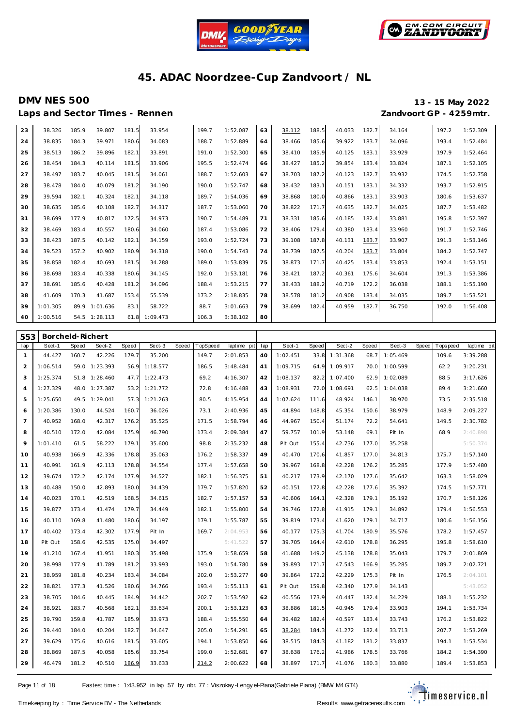![](_page_10_Picture_0.jpeg)

![](_page_10_Picture_1.jpeg)

# **DMV NES 500 13 - 15 May 2022**

Laps and Sector Times - Rennen *Zandvoort GP - 4259mtr.* 

| 23 | 38.326   | 185.9 | 39.807   | 181.5 | 33.954   | 199.7 | 1:52.087 | 63 | 38.112 | 188.5 | 40.033 | 182.7 | 34.164 | 197.2 | 1:52.309 |
|----|----------|-------|----------|-------|----------|-------|----------|----|--------|-------|--------|-------|--------|-------|----------|
| 24 | 38.835   | 184.3 | 39.971   | 180.6 | 34.083   | 188.7 | 1:52.889 | 64 | 38.466 | 185.6 | 39.922 | 183.7 | 34.096 | 193.4 | 1:52.484 |
| 25 | 38.513   | 186.2 | 39.896   | 182.1 | 33.891   | 191.0 | 1:52.300 | 65 | 38.410 | 185.9 | 40.125 | 183.1 | 33.929 | 197.9 | 1:52.464 |
| 26 | 38.454   | 184.3 | 40.114   | 181.5 | 33.906   | 195.5 | 1:52.474 | 66 | 38.427 | 185.2 | 39.854 | 183.4 | 33.824 | 187.1 | 1:52.105 |
| 27 | 38.497   | 183.7 | 40.045   | 181.5 | 34.061   | 188.7 | 1:52.603 | 67 | 38.703 | 187.2 | 40.123 | 182.7 | 33.932 | 174.5 | 1:52.758 |
| 28 | 38.478   | 184.0 | 40.079   | 181.2 | 34.190   | 190.0 | 1:52.747 | 68 | 38.432 | 183.1 | 40.151 | 183.1 | 34.332 | 193.7 | 1:52.915 |
| 29 | 39.594   | 182.1 | 40.324   | 182.1 | 34.118   | 189.7 | 1:54.036 | 69 | 38.868 | 180.0 | 40.866 | 183.1 | 33.903 | 180.6 | 1:53.637 |
| 30 | 38.635   | 185.6 | 40.108   | 182.7 | 34.317   | 187.7 | 1:53.060 | 70 | 38.822 | 171.7 | 40.635 | 182.7 | 34.025 | 187.7 | 1:53.482 |
| 31 | 38.699   | 177.9 | 40.817   | 172.5 | 34.973   | 190.7 | 1:54.489 | 71 | 38.331 | 185.6 | 40.185 | 182.4 | 33.881 | 195.8 | 1:52.397 |
| 32 | 38.469   | 183.4 | 40.557   | 180.6 | 34.060   | 187.4 | 1:53.086 | 72 | 38.406 | 179.4 | 40.380 | 183.4 | 33.960 | 191.7 | 1:52.746 |
| 33 | 38.423   | 187.5 | 40.142   | 182.1 | 34.159   | 193.0 | 1:52.724 | 73 | 39.108 | 187.8 | 40.131 | 183.7 | 33.907 | 191.3 | 1:53.146 |
| 34 | 39.523   | 157.2 | 40.902   | 180.9 | 34.318   | 190.0 | 1:54.743 | 74 | 38.739 | 187.5 | 40.204 | 183.7 | 33.804 | 184.2 | 1:52.747 |
| 35 | 38.858   | 182.4 | 40.693   | 181.5 | 34.288   | 189.0 | 1:53.839 | 75 | 38.873 | 171.7 | 40.425 | 183.4 | 33.853 | 192.4 | 1:53.151 |
| 36 | 38.698   | 183.4 | 40.338   | 180.6 | 34.145   | 192.0 | 1:53.181 | 76 | 38.421 | 187.2 | 40.361 | 175.6 | 34.604 | 191.3 | 1:53.386 |
| 37 | 38.691   | 185.6 | 40.428   | 181.2 | 34.096   | 188.4 | 1:53.215 | 77 | 38.433 | 188.2 | 40.719 | 172.2 | 36.038 | 188.1 | 1:55.190 |
| 38 | 41.609   | 170.3 | 41.687   | 153.4 | 55.539   | 173.2 | 2:18.835 | 78 | 38.578 | 181.2 | 40.908 | 183.4 | 34.035 | 189.7 | 1:53.521 |
| 39 | 1:01.305 | 89.9  | 1:01.636 | 83.1  | 58.722   | 88.7  | 3:01.663 | 79 | 38.699 | 182.4 | 40.959 | 182.7 | 36.750 | 192.0 | 1:56.408 |
| 40 | 1:00.516 | 54.5  | 1:28.113 | 61.8  | 1:09.473 | 106.3 | 3:38.102 | 80 |        |       |        |       |        |       |          |

| 553            | Borcheld-Richert |       |          |       |          |       |          |             |     |          |              |               |       |          |       |            |             |
|----------------|------------------|-------|----------|-------|----------|-------|----------|-------------|-----|----------|--------------|---------------|-------|----------|-------|------------|-------------|
| lap            | Sect-1           | Speed | Sect-2   | Speed | Sect-3   | Speed | TopSpeed | laptime pit | lap | Sect-1   | <b>Speed</b> | Sect-2        | Speed | Sect-3   | Speed | Tops pee d | laptime pit |
| $\mathbf{1}$   | 44.427           | 160.7 | 42.226   | 179.7 | 35.200   |       | 149.7    | 2:01.853    | 40  | 1:02.451 | 33.8         | 1:31.368      | 68.7  | 1:05.469 |       | 109.6      | 3:39.288    |
| 2              | 1:06.514         | 59.0  | 1:23.393 | 56.9  | 1:18.577 |       | 186.5    | 3:48.484    | 41  | 1:09.715 |              | 64.9 1:09.917 | 70.0  | 1:00.599 |       | 62.2       | 3:20.231    |
| 3              | 1:25.374         | 51.8  | 1:28.460 | 47.7  | 1:22.473 |       | 69.2     | 4:16.307    | 42  | 1:08.137 | 82.2         | 1:07.400      | 62.9  | 1:02.089 |       | 88.5       | 3:17.626    |
| $\overline{4}$ | 1:27.329         | 48.0  | 1:27.387 | 53.2  | 1:21.772 |       | 72.8     | 4:16.488    | 43  | 1:08.931 | 72.0         | 1:08.691      | 62.5  | 1:04.038 |       | 89.4       | 3:21.660    |
| 5              | 1:25.650         | 49.5  | 1:29.041 | 57.3  | 1:21.263 |       | 80.5     | 4:15.954    | 44  | 1:07.624 | 111.6        | 48.924        | 146.1 | 38.970   |       | 73.5       | 2:35.518    |
| 6              | 1:20.386         | 130.0 | 44.524   | 160.7 | 36.026   |       | 73.1     | 2:40.936    | 45  | 44.894   | 148.8        | 45.354        | 150.6 | 38.979   |       | 148.9      | 2:09.227    |
| $\overline{7}$ | 40.952           | 168.0 | 42.317   | 176.2 | 35.525   |       | 171.5    | 1:58.794    | 46  | 44.967   | 150.4        | 51.174        | 72.2  | 54.641   |       | 149.5      | 2:30.782    |
| 8              | 40.510           | 172.0 | 42.084   | 175.9 | 46.790   |       | 173.4    | 2:09.384    | 47  | 59.757   | 101.9        | 53.148        | 69.1  | Pit In   |       | 68.9       | 2:40.898    |
| 9              | 1:01.410         | 61.5  | 58.222   | 179.1 | 35.600   |       | 98.8     | 2:35.232    | 48  | Pit Out  | 155.4        | 42.736        | 177.0 | 35.258   |       |            | 5:50.374    |
| 10             | 40.938           | 166.9 | 42.336   | 178.8 | 35.063   |       | 176.2    | 1:58.337    | 49  | 40.470   | 170.6        | 41.857        | 177.0 | 34.813   |       | 175.7      | 1:57.140    |
| 11             | 40.991           | 161.9 | 42.113   | 178.8 | 34.554   |       | 177.4    | 1:57.658    | 50  | 39.967   | 168.8        | 42.228        | 176.2 | 35.285   |       | 177.9      | 1:57.480    |
| 12             | 39.674           | 172.2 | 42.174   | 177.9 | 34.527   |       | 182.1    | 1:56.375    | 51  | 40.217   | 173.9        | 42.170        | 177.6 | 35.642   |       | 163.3      | 1:58.029    |
| 13             | 40.488           | 150.0 | 42.893   | 180.0 | 34.439   |       | 179.7    | 1:57.820    | 52  | 40.151   | 172.8        | 42.228        | 177.6 | 35.392   |       | 174.5      | 1:57.771    |
| 14             | 40.023           | 170.1 | 42.519   | 168.5 | 34.615   |       | 182.7    | 1:57.157    | 53  | 40.606   | 164.1        | 42.328        | 179.1 | 35.192   |       | 170.7      | 1:58.126    |
| 15             | 39.877           | 173.4 | 41.474   | 179.7 | 34.449   |       | 182.1    | 1:55.800    | 54  | 39.746   | 172.8        | 41.915        | 179.1 | 34.892   |       | 179.4      | 1:56.553    |
| 16             | 40.110           | 169.8 | 41.480   | 180.6 | 34.197   |       | 179.1    | 1:55.787    | 55  | 39.819   | 173.4        | 41.620        | 179.1 | 34.717   |       | 180.6      | 1:56.156    |
| 17             | 40.402           | 173.4 | 42.302   | 177.9 | Pit In   |       | 169.7    | 2:04.953    | 56  | 40.177   | 175.3        | 41.704        | 180.9 | 35.576   |       | 178.2      | 1:57.457    |
| 18             | Pit Out          | 158.6 | 42.535   | 175.0 | 34.497   |       |          | 5:41.522    | 57  | 39.705   | 164.4        | 42.610        | 178.8 | 36.295   |       | 195.8      | 1:58.610    |
| 19             | 41.210           | 167.4 | 41.951   | 180.3 | 35.498   |       | 175.9    | 1:58.659    | 58  | 41.688   | 149.2        | 45.138        | 178.8 | 35.043   |       | 179.7      | 2:01.869    |
| 20             | 38.998           | 177.9 | 41.789   | 181.2 | 33.993   |       | 193.0    | 1:54.780    | 59  | 39.893   | 171.7        | 47.543        | 166.9 | 35.285   |       | 189.7      | 2:02.721    |
| 21             | 38.959           | 181.8 | 40.234   | 183.4 | 34.084   |       | 202.0    | 1:53.277    | 60  | 39.864   | 172.2        | 42.229        | 175.3 | Pit In   |       | 176.5      | 2:04.101    |
| 22             | 38.821           | 177.3 | 41.526   | 180.6 | 34.766   |       | 193.4    | 1:55.113    | 61  | Pit Out  | 159.8        | 42.340        | 177.9 | 34.143   |       |            | 5:43.052    |
| 23             | 38.705           | 184.6 | 40.445   | 184.9 | 34.442   |       | 202.7    | 1:53.592    | 62  | 40.556   | 173.9        | 40.447        | 182.4 | 34.229   |       | 188.1      | 1:55.232    |
| 24             | 38.921           | 183.7 | 40.568   | 182.1 | 33.634   |       | 200.1    | 1:53.123    | 63  | 38.886   | 181.5        | 40.945        | 179.4 | 33.903   |       | 194.1      | 1:53.734    |
| 25             | 39.790           | 159.8 | 41.787   | 185.9 | 33.973   |       | 188.4    | 1:55.550    | 64  | 39.482   | 182.4        | 40.597        | 183.4 | 33.743   |       | 176.2      | 1:53.822    |
| 26             | 39.440           | 184.0 | 40.204   | 182.7 | 34.647   |       | 205.0    | 1:54.291    | 65  | 38.284   | 184.3        | 41.272        | 182.4 | 33.713   |       | 207.7      | 1:53.269    |
| 27             | 39.629           | 175.6 | 40.616   | 181.5 | 33.605   |       | 194.1    | 1:53.850    | 66  | 38.515   | 184.3        | 41.182        | 181.2 | 33.837   |       | 194.1      | 1:53.534    |
| 28             | 38.869           | 187.5 | 40.058   | 185.6 | 33.754   |       | 199.0    | 1:52.681    | 67  | 38.638   | 176.2        | 41.986        | 178.5 | 33.766   |       | 184.2      | 1:54.390    |
| 29             | 46.479           | 181.2 | 40.510   | 186.9 | 33.633   |       | 214.2    | 2:00.622    | 68  | 38.897   | 171.7        | 41.076        | 180.3 | 33.880   |       | 189.4      | 1:53.853    |

Page 11 of 18 Fastest time : 1:43.952 in lap 57 by nbr. 77 : Viszokay -Lengy el-Piana (Gabriele Piana) (BMW M4 GT4)

![](_page_10_Picture_13.jpeg)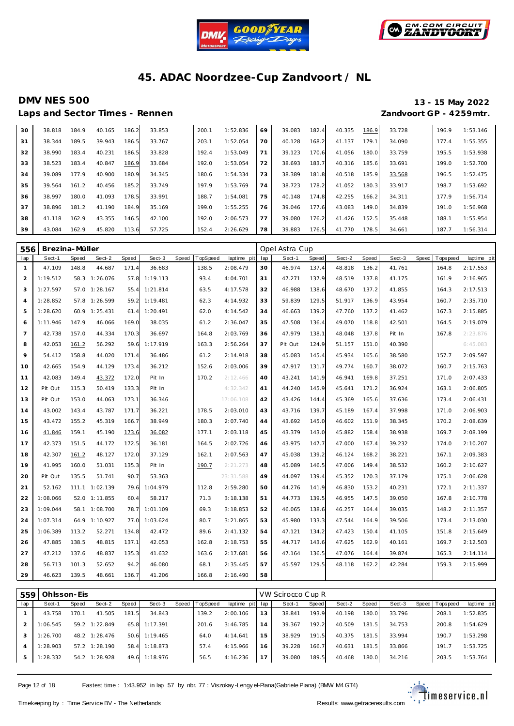![](_page_11_Picture_0.jpeg)

![](_page_11_Picture_1.jpeg)

# **Laps and Sector Times - Rennen**

**DMV NES 500 13 - 15 May 2022**

|    |        |       |        |       | .      |       |          |    |        |       |        |       |        |       |          |
|----|--------|-------|--------|-------|--------|-------|----------|----|--------|-------|--------|-------|--------|-------|----------|
| 30 | 38.818 | 184.9 | 40.165 | 186.2 | 33.853 | 200.1 | 1:52.836 | 69 | 39.083 | 182.4 | 40.335 | 186.9 | 33.728 | 196.9 | 1:53.146 |
| 31 | 38.344 | 189.5 | 39.943 | 186.5 | 33.767 | 203.1 | 1:52.054 | 70 | 40.128 | 168.2 | 41.137 | 179.1 | 34.090 | 177.4 | 1:55.355 |
| 32 | 38.990 | 183.4 | 40.231 | 186.5 | 33.828 | 192.4 | 1:53.049 | 71 | 39.123 | 170.6 | 41.056 | 180.0 | 33.759 | 195.5 | 1:53.938 |
| 33 | 38.523 | 183.4 | 40.847 | 186.9 | 33.684 | 192.0 | 1:53.054 | 72 | 38.693 | 183.7 | 40.316 | 185.6 | 33.691 | 199.0 | 1:52.700 |
| 34 | 39.089 | 177.9 | 40.900 | 180.9 | 34.345 | 180.6 | 1:54.334 | 73 | 38.389 | 181.8 | 40.518 | 185.9 | 33.568 | 196.5 | 1:52.475 |
| 35 | 39.564 | 161.2 | 40.456 | 185.2 | 33.749 | 197.9 | 1:53.769 | 74 | 38.723 | 178.2 | 41.052 | 180.3 | 33.917 | 198.7 | 1:53.692 |
| 36 | 38.997 | 180.0 | 41.093 | 178.5 | 33.991 | 188.7 | 1:54.081 | 75 | 40.148 | 174.8 | 42.255 | 166.2 | 34.311 | 177.9 | 1:56.714 |
| 37 | 38.896 | 181.2 | 41.190 | 184.9 | 35.169 | 199.0 | 1:55.255 | 76 | 39.046 | 177.6 | 43.083 | 149.0 | 34.839 | 191.0 | 1:56.968 |
| 38 | 41.118 | 162.9 | 43.355 | 146.5 | 42.100 | 192.0 | 2:06.573 | 77 | 39.080 | 176.2 | 41.426 | 152.5 | 35.448 | 188.1 | 1:55.954 |
| 39 | 43.084 | 162.9 | 45.820 | 113.6 | 57.725 | 152.4 | 2:26.629 | 78 | 39.883 | 176.5 | 41.770 | 178.5 | 34.661 | 187.7 | 1:56.314 |

| 556            | Brezina-Müller |       |               |       |          |              |          |             |     | Opel Astra Cup |       |        |       |        |              |            |             |
|----------------|----------------|-------|---------------|-------|----------|--------------|----------|-------------|-----|----------------|-------|--------|-------|--------|--------------|------------|-------------|
| lap            | Sect-1         | Speed | Sect-2        | Speed | Sect-3   | <b>Speed</b> | TopSpeed | laptime pit | lap | Sect-1         | Speed | Sect-2 | Speed | Sect-3 | <b>Speed</b> | T ops peed | laptime pit |
| $\mathbf{1}$   | 47.109         | 148.8 | 44.687        | 171.4 | 36.683   |              | 138.5    | 2:08.479    | 30  | 46.974         | 137.4 | 48.818 | 136.2 | 41.761 |              | 164.8      | 2:17.553    |
| 2              | 1:19.512       | 58.3  | 1:26.076      | 57.8  | 1:19.113 |              | 93.4     | 4:04.701    | 31  | 47.271         | 137.9 | 48.519 | 137.8 | 41.175 |              | 161.9      | 2:16.965    |
| 3              | 1:27.597       |       | 57.0 1:28.167 | 55.4  | 1:21.814 |              | 63.5     | 4:17.578    | 32  | 46.988         | 138.6 | 48.670 | 137.2 | 41.855 |              | 164.3      | 2:17.513    |
| $\overline{4}$ | 1:28.852       | 57.8  | 1:26.599      | 59.2  | 1:19.481 |              | 62.3     | 4:14.932    | 33  | 59.839         | 129.5 | 51.917 | 136.9 | 43.954 |              | 160.7      | 2:35.710    |
| 5              | 1:28.620       | 60.9  | 1:25.431      | 61.4  | 1:20.491 |              | 62.0     | 4:14.542    | 34  | 46.663         | 139.2 | 47.760 | 137.2 | 41.462 |              | 167.3      | 2:15.885    |
| 6              | 1:11.946       | 147.9 | 46.066        | 169.0 | 38.035   |              | 61.2     | 2:36.047    | 35  | 47.508         | 136.4 | 49.070 | 118.8 | 42.501 |              | 164.5      | 2:19.079    |
| 7              | 42.738         | 157.0 | 44.334        | 170.3 | 36.697   |              | 164.8    | 2:03.769    | 36  | 47.979         | 138.1 | 48.048 | 137.8 | Pit In |              | 167.8      | 2:23.876    |
| 8              | 42.053         | 161.2 | 56.292        | 59.6  | 1:17.919 |              | 163.3    | 2:56.264    | 37  | Pit Out        | 124.9 | 51.157 | 151.0 | 40.390 |              |            | 6:45.083    |
| 9              | 54.412         | 158.8 | 44.020        | 171.4 | 36.486   |              | 61.2     | 2:14.918    | 38  | 45.083         | 145.4 | 45.934 | 165.6 | 38.580 |              | 157.7      | 2:09.597    |
| 10             | 42.665         | 154.9 | 44.129        | 173.4 | 36.212   |              | 152.6    | 2:03.006    | 39  | 47.917         | 131.7 | 49.774 | 160.7 | 38.072 |              | 160.7      | 2:15.763    |
| 11             | 42.083         | 149.4 | 43.372        | 172.0 | Pit In   |              | 170.2    | 2:12.466    | 40  | 43.241         | 141.9 | 46.941 | 169.8 | 37.251 |              | 171.0      | 2:07.433    |
| 12             | Pit Out        | 115.3 | 50.419        | 133.3 | Pit In   |              |          | 4:32.342    | 41  | 44.240         | 145.9 | 45.641 | 171.2 | 36.924 |              | 163.1      | 2:06.805    |
| 13             | Pit Out        | 153.0 | 44.063        | 173.1 | 36.346   |              |          | 17:06.108   | 42  | 43.426         | 144.4 | 45.369 | 165.6 | 37.636 |              | 173.4      | 2:06.431    |
| 14             | 43.002         | 143.4 | 43.787        | 171.7 | 36.221   |              | 178.5    | 2:03.010    | 43  | 43.716         | 139.7 | 45.189 | 167.4 | 37.998 |              | 171.0      | 2:06.903    |
| 15             | 43.472         | 155.2 | 45.319        | 166.7 | 38.949   |              | 180.3    | 2:07.740    | 44  | 43.692         | 145.0 | 46.602 | 151.9 | 38.345 |              | 170.2      | 2:08.639    |
| 16             | 41.846         | 159.1 | 45.190        | 173.6 | 36.082   |              | 177.1    | 2:03.118    | 45  | 43.379         | 143.0 | 45.882 | 158.4 | 38.938 |              | 169.7      | 2:08.199    |
| 17             | 42.373         | 151.5 | 44.172        | 172.5 | 36.181   |              | 164.5    | 2:02.726    | 46  | 43.975         | 147.7 | 47.000 | 167.4 | 39.232 |              | 174.0      | 2:10.207    |
| 18             | 42.307         | 161.2 | 48.127        | 172.0 | 37.129   |              | 162.1    | 2:07.563    | 47  | 45.038         | 139.2 | 46.124 | 168.2 | 38.221 |              | 167.1      | 2:09.383    |
| 19             | 41.995         | 160.0 | 51.031        | 135.3 | Pit In   |              | 190.7    | 2:21.273    | 48  | 45.089         | 146.5 | 47.006 | 149.4 | 38.532 |              | 160.2      | 2:10.627    |
| 20             | Pit Out        | 135.5 | 51.741        | 90.7  | 53.363   |              |          | 23:31.588   | 49  | 44.097         | 139.4 | 45.352 | 170.3 | 37.179 |              | 175.1      | 2:06.628    |
| 21             | 52.162         | 111.1 | 1:02.139      | 79.6  | 1:04.979 |              | 112.8    | 2:59.280    | 50  | 44.276         | 141.9 | 46.830 | 153.2 | 40.231 |              | 172.1      | 2:11.337    |
| 22             | 1:08.066       | 52.0  | 1:11.855      | 60.4  | 58.217   |              | 71.3     | 3:18.138    | 51  | 44.773         | 139.5 | 46.955 | 147.5 | 39.050 |              | 167.8      | 2:10.778    |
| 23             | 1:09.044       | 58.1  | 1:08.700      | 78.7  | 1:01.109 |              | 69.3     | 3:18.853    | 52  | 46.065         | 138.6 | 46.257 | 164.4 | 39.035 |              | 148.2      | 2:11.357    |
| 24             | 1:07.314       | 64.9  | 1:10.927      | 77.0  | 1:03.624 |              | 80.7     | 3:21.865    | 53  | 45.980         | 133.3 | 47.544 | 164.9 | 39.506 |              | 173.4      | 2:13.030    |
| 25             | 1:06.389       | 113.2 | 52.271        | 134.8 | 42.472   |              | 89.6     | 2:41.132    | 54  | 47.121         | 134.2 | 47.423 | 150.4 | 41.105 |              | 151.8      | 2:15.649    |
| 26             | 47.885         | 138.5 | 48.815        | 137.1 | 42.053   |              | 162.8    | 2:18.753    | 55  | 44.717         | 143.6 | 47.625 | 162.9 | 40.161 |              | 169.7      | 2:12.503    |
| 27             | 47.212         | 137.6 | 48.837        | 135.3 | 41.632   |              | 163.6    | 2:17.681    | 56  | 47.164         | 136.5 | 47.076 | 164.4 | 39.874 |              | 165.3      | 2:14.114    |
| 28             | 56.713         | 101.3 | 52.652        | 94.2  | 46.080   |              | 68.1     | 2:35.445    | 57  | 45.597         | 129.5 | 48.118 | 162.2 | 42.284 |              | 159.3      | 2:15.999    |
| 29             | 46.623         | 139.5 | 48.661        | 136.7 | 41.206   |              | 166.8    | 2:16.490    | 58  |                |       |        |       |        |              |            |             |

| 559 | Ohlsson-Eis |       |                 |       |               |       |          |                 |    | VW Scirocco Cup R |       |        |       |        |                 |             |
|-----|-------------|-------|-----------------|-------|---------------|-------|----------|-----------------|----|-------------------|-------|--------|-------|--------|-----------------|-------------|
| lap | Sect-1      | Speed | Sect-2          | Speed | Sect-3        | Speed | TopSpeed | laptime pit lap |    | Sect-1            | Speed | Sect-2 | Speed | Sect-3 | Speed Tops peed | laptime pit |
|     | 43.758      | 170.1 | 41.505          | 181.5 | 34.843        |       | 139.2    | 2:00.106        | 13 | 38.841            | 193.9 | 40.198 | 180.0 | 33.796 | 208.            | 1:52.835    |
|     | 1:06.545    | 59.2  | 1:22.849        | 65.8  | 1:17.391      |       | 201.6    | 3:46.785        | 14 | 39.367            | 192.2 | 40.509 | 181.5 | 34.753 | 200.8           | 1:54.629    |
|     | 1:26.700    |       | 48.2 1:28.476   | 50.6  | 1:19.465      |       | 64.0     | 4:14.641        | 15 | 38.929            | 191.5 | 40.375 | 181.5 | 33.994 | 190.7           | 1:53.298    |
|     | 1:28.903    |       | $57.2$ 1:28.190 |       | 58.4 1:18.873 |       | 57.4     | 4:15.966        | 16 | 39.228            | 166.7 | 40.631 | 181.5 | 33.866 | 191.7           | 1:53.725    |
| 5   | 1:28.332    |       | 54.2 1:28.928   |       | 49.6 1:18.976 |       | 56.5     | 4:16.236        | 17 | 39.080            | 189.5 | 40.468 | 180.0 | 34.216 | 203.5           | 1:53.764    |

Page 12 of 18 Fastest time : 1:43.952 in lap 57 by nbr. 77 : Viszokay -Lengy el-Piana (Gabriele Piana) (BMW M4 GT4)

![](_page_11_Picture_10.jpeg)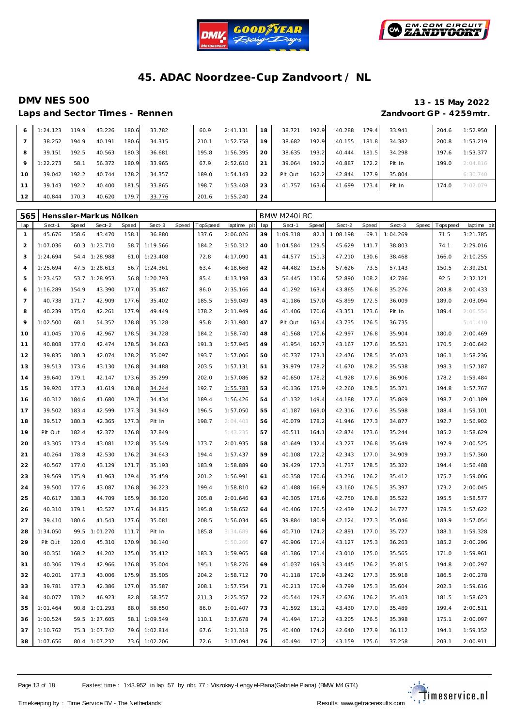![](_page_12_Picture_0.jpeg)

![](_page_12_Picture_1.jpeg)

Laps and Sector Times - Rennen *Zandvoort GP - 4259mtr.* 

# **DMV NES 500 13 - 15 May 2022**

| 6        | 1:24.123 | 119.9 | 43.226 | 180.6 | 33.782 | 60.9  | 2:41.131 | 18 | 38.721  | 192.9 | 40.288 | 179.4 | 33.941 | 204.6 | 1:52.950 |
|----------|----------|-------|--------|-------|--------|-------|----------|----|---------|-------|--------|-------|--------|-------|----------|
|          | 38.252   | 194.9 | 40.191 | 180.6 | 34.315 | 210.1 | 1:52.758 | 19 | 38.682  | 192.9 | 40.155 | 181.8 | 34.382 | 200.8 | 1:53.219 |
| 8        | 39.151   | 192.5 | 40.563 | 180.3 | 36.681 | 195.8 | 1:56.395 | 20 | 38.635  | 193.2 | 40.444 | 181.5 | 34.298 | 197.6 | 1:53.377 |
| 9        | 1:22.273 | 58.1  | 56.372 | 180.9 | 33.965 | 67.9  | 2:52.610 | 21 | 39.064  | 192.2 | 40.887 | 172.2 | Pit In | 199.0 | 2:04.816 |
| $10^{-}$ | 39.042   | 192.2 | 40.744 | 178.2 | 34.357 | 189.0 | 1:54.143 | 22 | Pit Out | 162.2 | 42.844 | 177.9 | 35.804 |       | 6:30.740 |
| 11       | 39.143   | 192.2 | 40.400 | 181.5 | 33.865 | 198.7 | 1:53.408 | 23 | 41.757  | 163.6 | 41.699 | 173.4 | Pit In | 174.0 | 2:02.079 |
| 12       | 40.844   | 170.3 | 40.620 | 179.7 | 33.776 | 201.6 | 1:55.240 | 24 |         |       |        |       |        |       |          |

| 565            |          |       | Henssler-Markus Nölken |       |          |       |          |             |     | BMW M240i RC |       |          |       |          |       |             |             |
|----------------|----------|-------|------------------------|-------|----------|-------|----------|-------------|-----|--------------|-------|----------|-------|----------|-------|-------------|-------------|
| lap            | Sect-1   | Speed | Sect-2                 | Speed | Sect-3   | Speed | TopSpeed | laptime pit | lap | Sect-1       | Speed | Sect-2   | Speed | Sect-3   | Speed | T ops pee d | laptime pit |
| $\mathbf{1}$   | 45.676   | 158.6 | 43.470                 | 158.1 | 36.880   |       | 137.6    | 2:06.026    | 39  | 1:09.318     | 82.1  | 1:08.198 | 69.1  | 1:04.269 |       | 71.5        | 3:21.785    |
| $\overline{c}$ | 1:07.036 | 60.3  | 1:23.710               | 58.7  | 1:19.566 |       | 184.2    | 3:50.312    | 40  | 1:04.584     | 129.5 | 45.629   | 141.7 | 38.803   |       | 74.1        | 2:29.016    |
| 3              | 1:24.694 | 54.4  | 1:28.988               | 61.0  | 1:23.408 |       | 72.8     | 4:17.090    | 41  | 44.577       | 151.3 | 47.210   | 130.6 | 38.468   |       | 166.0       | 2:10.255    |
| $\overline{4}$ | 1:25.694 | 47.5  | 1:28.613               | 56.7  | 1:24.361 |       | 63.4     | 4:18.668    | 42  | 44.482       | 153.6 | 57.626   | 73.5  | 57.143   |       | 150.5       | 2:39.251    |
| 5              | 1:23.452 | 53.7  | 1:28.953               | 56.8  | 1:20.793 |       | 85.4     | 4:13.198    | 43  | 56.445       | 130.6 | 52.890   | 108.2 | 42.786   |       | 92.5        | 2:32.121    |
| 6              | 1:16.289 | 154.9 | 43.390                 | 177.0 | 35.487   |       | 86.0     | 2:35.166    | 44  | 41.292       | 163.4 | 43.865   | 176.8 | 35.276   |       | 203.8       | 2:00.433    |
| $\overline{7}$ | 40.738   | 171.7 | 42.909                 | 177.6 | 35.402   |       | 185.5    | 1:59.049    | 45  | 41.186       | 157.0 | 45.899   | 172.5 | 36.009   |       | 189.0       | 2:03.094    |
| 8              | 40.239   | 175.0 | 42.261                 | 177.9 | 49.449   |       | 178.2    | 2:11.949    | 46  | 41.406       | 170.6 | 43.351   | 173.6 | Pit In   |       | 189.4       | 2:06.554    |
| 9              | 1:02.500 | 68.1  | 54.352                 | 178.8 | 35.128   |       | 95.8     | 2:31.980    | 47  | Pit Out      | 163.4 | 43.735   | 176.5 | 36.735   |       |             | 5:41.410    |
| 10             | 41.045   | 170.6 | 42.967                 | 178.5 | 34.728   |       | 184.2    | 1:58.740    | 48  | 41.568       | 170.6 | 42.997   | 176.8 | 35.904   |       | 180.0       | 2:00.469    |
| 11             | 40.808   | 177.0 | 42.474                 | 178.5 | 34.663   |       | 191.3    | 1:57.945    | 49  | 41.954       | 167.7 | 43.167   | 177.6 | 35.521   |       | 170.5       | 2:00.642    |
| 12             | 39.835   | 180.3 | 42.074                 | 178.2 | 35.097   |       | 193.7    | 1:57.006    | 50  | 40.737       | 173.1 | 42.476   | 178.5 | 35.023   |       | 186.1       | 1:58.236    |
| 13             | 39.513   | 173.6 | 43.130                 | 176.8 | 34.488   |       | 203.5    | 1:57.131    | 51  | 39.979       | 178.2 | 41.670   | 178.2 | 35.538   |       | 198.3       | 1:57.187    |
| 14             | 39.640   | 179.1 | 42.147                 | 173.6 | 35.299   |       | 202.0    | 1:57.086    | 52  | 40.650       | 178.2 | 41.928   | 177.6 | 36.906   |       | 178.2       | 1:59.484    |
| 15             | 39.920   | 177.3 | 41.619                 | 178.8 | 34.244   |       | 192.7    | 1:55.783    | 53  | 40.136       | 175.9 | 42.260   | 178.5 | 35.371   |       | 194.8       | 1:57.767    |
| 16             | 40.312   | 184.6 | 41.680                 | 179.7 | 34.434   |       | 189.4    | 1:56.426    | 54  | 41.132       | 149.4 | 44.188   | 177.6 | 35.869   |       | 198.7       | 2:01.189    |
| 17             | 39.502   | 183.4 | 42.599                 | 177.3 | 34.949   |       | 196.5    | 1:57.050    | 55  | 41.187       | 169.0 | 42.316   | 177.6 | 35.598   |       | 188.4       | 1:59.101    |
| 18             | 39.517   | 180.3 | 42.365                 | 177.3 | Pit In   |       | 198.7    | 2:04.403    | 56  | 40.079       | 178.2 | 41.946   | 177.3 | 34.877   |       | 192.7       | 1:56.902    |
| 19             | Pit Out  | 182.4 | 42.372                 | 176.8 | 37.849   |       |          | 5:43.235    | 57  | 40.511       | 164.1 | 42.874   | 173.6 | 35.244   |       | 185.2       | 1:58.629    |
| 20             | 43.305   | 173.4 | 43.081                 | 172.8 | 35.549   |       | 173.7    | 2:01.935    | 58  | 41.649       | 132.4 | 43.227   | 176.8 | 35.649   |       | 197.9       | 2:00.525    |
| 21             | 40.264   | 178.8 | 42.530                 | 176.2 | 34.643   |       | 194.4    | 1:57.437    | 59  | 40.108       | 172.2 | 42.343   | 177.0 | 34.909   |       | 193.7       | 1:57.360    |
| 22             | 40.567   | 177.0 | 43.129                 | 171.7 | 35.193   |       | 183.9    | 1:58.889    | 60  | 39.429       | 177.3 | 41.737   | 178.5 | 35.322   |       | 194.4       | 1:56.488    |
| 23             | 39.569   | 175.9 | 41.963                 | 179.4 | 35.459   |       | 201.2    | 1:56.991    | 61  | 40.358       | 170.6 | 43.236   | 176.2 | 35.412   |       | 175.7       | 1:59.006    |
| 24             | 39.500   | 177.6 | 43.087                 | 176.8 | 36.223   |       | 199.4    | 1:58.810    | 62  | 41.488       | 166.9 | 43.160   | 176.5 | 35.397   |       | 173.2       | 2:00.045    |
| 25             | 40.617   | 138.3 | 44.709                 | 165.9 | 36.320   |       | 205.8    | 2:01.646    | 63  | 40.305       | 175.6 | 42.750   | 176.8 | 35.522   |       | 195.5       | 1:58.577    |
| 26             | 40.310   | 179.1 | 43.527                 | 177.6 | 34.815   |       | 195.8    | 1:58.652    | 64  | 40.406       | 176.5 | 42.439   | 176.2 | 34.777   |       | 178.5       | 1:57.622    |
| 27             | 39.410   | 180.6 | 41.543                 | 177.6 | 35.081   |       | 208.5    | 1:56.034    | 65  | 39.884       | 180.9 | 42.124   | 177.3 | 35.046   |       | 183.9       | 1:57.054    |
| 28             | 1:34.050 | 99.5  | 1:01.270               | 111.7 | Pit In   |       | 185.8    | 3:34.689    | 66  | 40.710       | 174.2 | 42.891   | 177.0 | 35.727   |       | 188.1       | 1:59.328    |
| 29             | Pit Out  | 120.0 | 45.310                 | 170.9 | 36.140   |       |          | 5:50.266    | 67  | 40.906       | 171.4 | 43.127   | 175.3 | 36.263   |       | 185.2       | 2:00.296    |
| 30             | 40.351   | 168.2 | 44.202                 | 175.0 | 35.412   |       | 183.3    | 1:59.965    | 68  | 41.386       | 171.4 | 43.010   | 175.0 | 35.565   |       | 171.0       | 1:59.961    |
| 31             | 40.306   | 179.4 | 42.966                 | 176.8 | 35.004   |       | 195.1    | 1:58.276    | 69  | 41.037       | 169.3 | 43.445   | 176.2 | 35.815   |       | 194.8       | 2:00.297    |
| 32             | 40.201   | 177.3 | 43.006                 | 175.9 | 35.505   |       | 204.2    | 1:58.712    | 70  | 41.118       | 170.9 | 43.242   | 177.3 | 35.918   |       | 186.5       | 2:00.278    |
| 33             | 39.781   | 177.3 | 42.386                 | 177.0 | 35.587   |       | 208.1    | 1:57.754    | 71  | 40.213       | 170.9 | 43.799   | 175.3 | 35.604   |       | 202.3       | 1:59.616    |
| 34             | 40.077   | 178.2 | 46.923                 | 82.8  | 58.357   |       | 211.3    | 2:25.357    | 72  | 40.544       | 179.7 | 42.676   | 176.2 | 35.403   |       | 181.5       | 1:58.623    |
| 35             | 1:01.464 | 90.8  | 1:01.293               | 88.0  | 58.650   |       | 86.0     | 3:01.407    | 73  | 41.592       | 131.2 | 43.430   | 177.0 | 35.489   |       | 199.4       | 2:00.511    |
| 36             | 1:00.524 | 59.5  | 1:27.605               | 58.1  | 1:09.549 |       | 110.1    | 3:37.678    | 74  | 41.494       | 171.2 | 43.205   | 176.5 | 35.398   |       | 175.1       | 2:00.097    |
| 37             | 1:10.762 | 75.3  | 1:07.742               | 79.6  | 1:02.814 |       | 67.6     | 3:21.318    | 75  | 40.400       | 174.2 | 42.640   | 177.9 | 36.112   |       | 194.1       | 1:59.152    |
| 38             | 1:07.656 | 80.4  | 1:07.232               | 73.6  | 1:02.206 |       | 72.6     | 3:17.094    | 76  | 40.494       | 171.2 | 43.159   | 175.6 | 37.258   |       | 203.1       | 2:00.911    |

Page 13 of 18 Fastest time : 1:43.952 in lap 57 by nbr. 77 : Viszokay -Lengy el-Piana (Gabriele Piana) (BMW M4 GT4)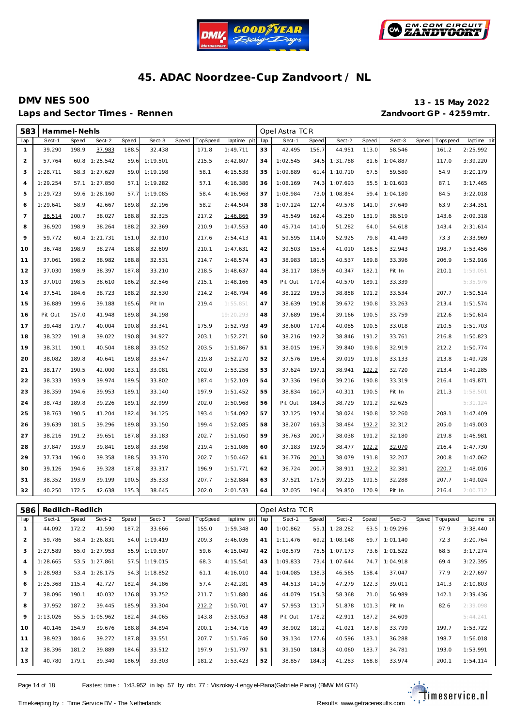![](_page_13_Picture_0.jpeg)

![](_page_13_Picture_1.jpeg)

### **DMV NES 500 13 - 15 May 2022** Laps and Sector Times - Rennen *Zandvoort GP - 4259mtr.*

| 583            | Hammel-Nehls |              |          |       |          |       |          |             |     | Opel Astra TCR |       |          |       |          |       |             |             |
|----------------|--------------|--------------|----------|-------|----------|-------|----------|-------------|-----|----------------|-------|----------|-------|----------|-------|-------------|-------------|
| lap            | Sect-1       | <b>Speed</b> | Sect-2   | Speed | Sect-3   | Speed | TopSpeed | laptime pit | lap | Sect-1         | Speed | Sect-2   | Speed | Sect-3   | Speed | T ops pee d | laptime pit |
| $\mathbf{1}$   | 39.290       | 198.9        | 37.983   | 188.5 | 32.438   |       | 171.8    | 1:49.711    | 33  | 42.495         | 156.7 | 44.951   | 113.0 | 58.546   |       | 161.2       | 2:25.992    |
| $\overline{2}$ | 57.764       | 60.8         | 1:25.542 | 59.6  | 1:19.501 |       | 215.5    | 3:42.807    | 34  | 1:02.545       | 34.5  | 1:31.788 | 81.6  | 1:04.887 |       | 117.0       | 3:39.220    |
| 3              | 1:28.711     | 58.3         | 1:27.629 | 59.0  | 1:19.198 |       | 58.1     | 4:15.538    | 35  | 1:09.889       | 61.4  | 1:10.710 | 67.5  | 59.580   |       | 54.9        | 3:20.179    |
| $\overline{4}$ | 1:29.254     | 57.1         | 1:27.850 | 57.1  | 1:19.282 |       | 57.1     | 4:16.386    | 36  | 1:08.169       | 74.3  | 1:07.693 | 55.5  | 1:01.603 |       | 87.1        | 3:17.465    |
| 5              | 1:29.723     | 59.6         | 1:28.160 | 57.7  | 1:19.085 |       | 58.4     | 4:16.968    | 37  | 1:08.984       | 73.0  | 1:08.854 | 59.4  | 1:04.180 |       | 84.5        | 3:22.018    |
| 6              | 1:29.641     | 58.9         | 42.667   | 189.8 | 32.196   |       | 58.2     | 2:44.504    | 38  | 1:07.124       | 127.4 | 49.578   | 141.0 | 37.649   |       | 63.9        | 2:34.351    |
| $\overline{7}$ | 36.514       | 200.7        | 38.027   | 188.8 | 32.325   |       | 217.2    | 1:46.866    | 39  | 45.549         | 162.4 | 45.250   | 131.9 | 38.519   |       | 143.6       | 2:09.318    |
| 8              | 36.920       | 198.9        | 38.264   | 188.2 | 32.369   |       | 210.9    | 1:47.553    | 40  | 45.714         | 141.0 | 51.282   | 64.0  | 54.618   |       | 143.4       | 2:31.614    |
| 9              | 59.772       | 60.4         | 1:21.731 | 151.0 | 32.910   |       | 217.6    | 2:54.413    | 41  | 59.595         | 114.0 | 52.925   | 79.8  | 41.449   |       | 73.3        | 2:33.969    |
| 10             | 36.748       | 198.9        | 38.274   | 188.8 | 32.609   |       | 210.1    | 1:47.631    | 42  | 39.503         | 155.4 | 41.010   | 188.5 | 32.943   |       | 198.7       | 1:53.456    |
| 11             | 37.061       | 198.2        | 38.982   | 188.8 | 32.531   |       | 214.7    | 1:48.574    | 43  | 38.983         | 181.5 | 40.537   | 189.8 | 33.396   |       | 206.9       | 1:52.916    |
| 12             | 37.030       | 198.9        | 38.397   | 187.8 | 33.210   |       | 218.5    | 1:48.637    | 44  | 38.117         | 186.9 | 40.347   | 182.1 | Pit In   |       | 210.1       | 1:59.051    |
| 13             | 37.010       | 198.5        | 38.610   | 186.2 | 32.546   |       | 215.1    | 1:48.166    | 45  | Pit Out        | 179.4 | 40.570   | 189.1 | 33.339   |       |             | 5:35.976    |
| 14             | 37.541       | 184.6        | 38.723   | 188.2 | 32.530   |       | 214.2    | 1:48.794    | 46  | 38.122         | 195.3 | 38.858   | 191.2 | 33.534   |       | 207.7       | 1:50.514    |
| 15             | 36.889       | 199.6        | 39.188   | 165.6 | Pit In   |       | 219.4    | 1:55.851    | 47  | 38.639         | 190.8 | 39.672   | 190.8 | 33.263   |       | 213.4       | 1:51.574    |
| 16             | Pit Out      | 157.0        | 41.948   | 189.8 | 34.198   |       |          | 19:20.293   | 48  | 37.689         | 196.4 | 39.166   | 190.5 | 33.759   |       | 212.6       | 1:50.614    |
| 17             | 39.448       | 179.7        | 40.004   | 190.8 | 33.341   |       | 175.9    | 1:52.793    | 49  | 38.600         | 179.4 | 40.085   | 190.5 | 33.018   |       | 210.5       | 1:51.703    |
| 18             | 38.322       | 191.8        | 39.022   | 190.8 | 34.927   |       | 203.1    | 1:52.271    | 50  | 38.216         | 192.2 | 38.846   | 191.2 | 33.761   |       | 216.8       | 1:50.823    |
| 19             | 38.311       | 190.1        | 40.504   | 188.8 | 33.052   |       | 203.5    | 1:51.867    | 51  | 38.015         | 196.7 | 39.840   | 190.8 | 32.919   |       | 212.2       | 1:50.774    |
| 20             | 38.082       | 189.8        | 40.641   | 189.8 | 33.547   |       | 219.8    | 1:52.270    | 52  | 37.576         | 196.4 | 39.019   | 191.8 | 33.133   |       | 213.8       | 1:49.728    |
| 21             | 38.177       | 190.5        | 42.000   | 183.1 | 33.081   |       | 202.0    | 1:53.258    | 53  | 37.624         | 197.1 | 38.941   | 192.2 | 32.720   |       | 213.4       | 1:49.285    |
| 22             | 38.333       | 193.9        | 39.974   | 189.5 | 33.802   |       | 187.4    | 1:52.109    | 54  | 37.336         | 196.0 | 39.216   | 190.8 | 33.319   |       | 216.4       | 1:49.871    |
| 23             | 38.359       | 194.6        | 39.953   | 189.1 | 33.140   |       | 197.9    | 1:51.452    | 55  | 38.834         | 160.7 | 40.311   | 190.5 | Pit In   |       | 211.3       | 1:58.501    |
| 24             | 38.743       | 189.8        | 39.226   | 189.1 | 32.999   |       | 202.0    | 1:50.968    | 56  | Pit Out        | 184.3 | 38.729   | 191.2 | 32.625   |       |             | 5:31.124    |
| 25             | 38.763       | 190.5        | 41.204   | 182.4 | 34.125   |       | 193.4    | 1:54.092    | 57  | 37.125         | 197.4 | 38.024   | 190.8 | 32.260   |       | 208.1       | 1:47.409    |
| 26             | 39.639       | 181.5        | 39.296   | 189.8 | 33.150   |       | 199.4    | 1:52.085    | 58  | 38.207         | 169.3 | 38.484   | 192.2 | 32.312   |       | 205.0       | 1:49.003    |
| 27             | 38.216       | 191.2        | 39.651   | 187.8 | 33.183   |       | 202.7    | 1:51.050    | 59  | 36.763         | 200.7 | 38.038   | 191.2 | 32.180   |       | 219.8       | 1:46.981    |
| 28             | 37.847       | 193.9        | 39.841   | 189.8 | 33.398   |       | 219.4    | 1:51.086    | 60  | 37.183         | 192.9 | 38.477   | 192.2 | 32.070   |       | 216.4       | 1:47.730    |
| 29             | 37.734       | 196.0        | 39.358   | 188.5 | 33.370   |       | 202.7    | 1:50.462    | 61  | 36.776         | 201.1 | 38.079   | 191.8 | 32.207   |       | 200.8       | 1:47.062    |
| 30             | 39.126       | 194.6        | 39.328   | 187.8 | 33.317   |       | 196.9    | 1:51.771    | 62  | 36.724         | 200.7 | 38.911   | 192.2 | 32.381   |       | 220.7       | 1:48.016    |
| 31             | 38.352       | 193.9        | 39.199   | 190.5 | 35.333   |       | 207.7    | 1:52.884    | 63  | 37.521         | 175.9 | 39.215   | 191.5 | 32.288   |       | 207.7       | 1:49.024    |
| 32             | 40.250       | 172.5        | 42.638   | 135.3 | 38.645   |       | 202.0    | 2:01.533    | 64  | 37.035         | 196.4 | 39.850   | 170.9 | Pit In   |       | 216.4       | 2:00.712    |

| 586            | Redlich-Redlich |       |               |       |          |       |          |             |     | Opel Astra TCR |       |          |       |          |       |           |             |
|----------------|-----------------|-------|---------------|-------|----------|-------|----------|-------------|-----|----------------|-------|----------|-------|----------|-------|-----------|-------------|
| lap            | Sect-1          | Speed | Sect-2        | Speed | Sect-3   | Speed | TopSpeed | laptime pit | lap | Sect-1         | Speed | Sect-2   | Speed | Sect-3   | Speed | Tops peed | laptime pit |
|                | 44.092          | 172.2 | 41.590        | 187.2 | 33.666   |       | 155.0    | 1:59.348    | 40  | 1:00.862       | 55.1  | 1:28.282 | 63.5  | 1:09.296 |       | 97.9      | 3:38.440    |
| 2              | 59.786          | 58.4  | 1:26.831      | 54.0  | 1:19.419 |       | 209.3    | 3:46.036    | 41  | 1:11.476       | 69.2  | 1:08.148 | 69.7  | 1:01.140 |       | 72.3      | 3:20.764    |
| 3              | 1:27.589        |       | 55.0 1:27.953 | 55.9  | 1:19.507 |       | 59.6     | 4:15.049    | 42  | 1:08.579       | 75.5  | 1:07.173 | 73.6  | 1:01.522 |       | 68.5      | 3:17.274    |
| $\overline{4}$ | 1:28.665        |       | 53.5 1:27.861 | 57.5  | 1:19.015 |       | 68.3     | 4:15.541    | 43  | 1:09.833       | 73.4  | 1:07.644 | 74.7  | 1:04.918 |       | 69.4      | 3:22.395    |
| 5              | 1:28.983        |       | 53.4 1:28.175 | 54.3  | 1:18.852 |       | 61.1     | 4:16.010    | 44  | 1:04.085       | 138.3 | 46.565   | 158.4 | 37.047   |       | 77.9      | 2:27.697    |
| 6              | 1:25.368        | 115.4 | 42.727        | 182.4 | 34.186   |       | 57.4     | 2:42.281    | 45  | 44.513         | 141.9 | 47.279   | 122.3 | 39.011   |       | 141.3     | 2:10.803    |
|                | 38.096          | 190.1 | 40.032        | 176.8 | 33.752   |       | 211.7    | 1:51.880    | 46  | 44.079         | 154.3 | 58.368   | 71.0  | 56.989   |       | 142.1     | 2:39.436    |
| 8              | 37.952          | 187.2 | 39.445        | 185.9 | 33.304   |       | 212.2    | 1:50.701    | 47  | 57.953         | 131.7 | 51.878   | 101.3 | Pit In   |       | 82.6      | 2:39.098    |
| 9              | 1:13.026        | 55.5  | 1:05.962      | 182.4 | 34.065   |       | 143.8    | 2:53.053    | 48  | Pit Out        | 178.2 | 42.911   | 187.2 | 34.609   |       |           | 5:44.241    |
| 10             | 40.146          | 154.9 | 39.676        | 188.8 | 34.894   |       | 200.1    | 1:54.716    | 49  | 38.902         | 181.2 | 41.021   | 187.8 | 33.799   |       | 199.7     | 1:53.722    |
| 11             | 38.923          | 184.6 | 39.272        | 187.8 | 33.551   |       | 207.7    | 1:51.746    | 50  | 39.134         | 177.6 | 40.596   | 183.1 | 36.288   |       | 198.7     | 1:56.018    |
| 12             | 38.396          | 181.2 | 39.889        | 184.6 | 33.512   |       | 197.9    | 1:51.797    | 51  | 39.150         | 184.3 | 40.060   | 183.7 | 34.781   |       | 193.0     | 1:53.991    |
| 13             | 40.780          | 179.1 | 39.340        | 186.9 | 33.303   |       | 181.2    | 1:53.423    | 52  | 38.857         | 184.3 | 41.283   | 168.8 | 33.974   |       | 200.1     | 1:54.114    |

Page 14 of 18 Fastest time : 1:43.952 in lap 57 by nbr. 77 : Viszokay -Lengy el-Piana (Gabriele Piana) (BMW M4 GT4)

![](_page_13_Picture_11.jpeg)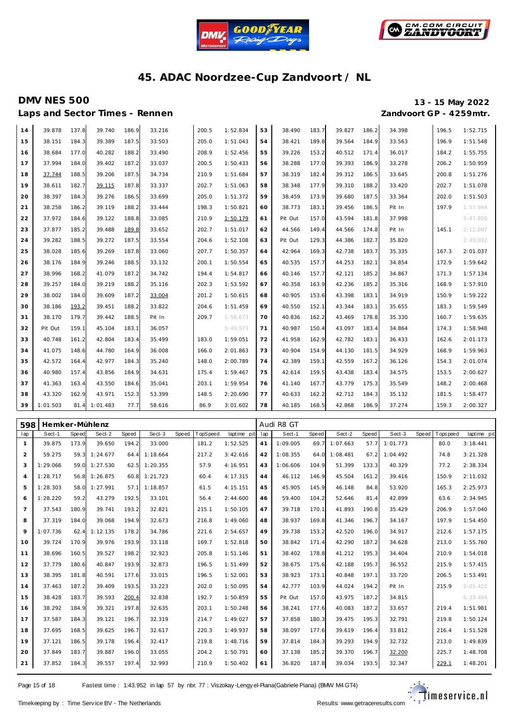![](_page_14_Picture_0.jpeg)

![](_page_14_Picture_1.jpeg)

Laps and Sector Times - Rennen *Zandvoort GP - 4259mtr.* 

# **DMV NES 500 13 - 15 May 2022**

| 14 | 39.878   | 137.8 | 39.740   | 186.9 | 33.216 | 200.5 | 1:52.834 | 53 | 38.490  | 183.7 | 39.827 | 186.2 | 34.398 | 196.5 | 1:52.715 |
|----|----------|-------|----------|-------|--------|-------|----------|----|---------|-------|--------|-------|--------|-------|----------|
| 15 | 38.151   | 184.3 | 39.389   | 187.5 | 33.503 | 205.0 | 1:51.043 | 54 | 38.421  | 189.8 | 39.564 | 184.9 | 33.563 | 196.9 | 1:51.548 |
| 16 | 38.684   | 177.0 | 40.282   | 188.2 | 33.490 | 208.9 | 1:52.456 | 55 | 39.226  | 153.2 | 40.512 | 171.4 | 36.017 | 184.2 | 1:55.755 |
| 17 | 37.994   | 184.0 | 39.402   | 187.2 | 33.037 | 200.5 | 1:50.433 | 56 | 38.288  | 177.0 | 39.393 | 186.9 | 33.278 | 206.2 | 1:50.959 |
| 18 | 37.744   | 188.5 | 39.206   | 187.5 | 34.734 | 210.9 | 1:51.684 | 57 | 38.319  | 182.4 | 39.312 | 186.5 | 33.645 | 200.8 | 1:51.276 |
| 19 | 38.611   | 182.7 | 39.115   | 187.8 | 33.337 | 202.7 | 1:51.063 | 58 | 38.348  | 177.9 | 39.310 | 188.2 | 33.420 | 202.7 | 1:51.078 |
| 20 | 38.397   | 184.3 | 39.276   | 186.5 | 33.699 | 205.0 | 1:51.372 | 59 | 38.459  | 173.9 | 39.680 | 187.5 | 33.364 | 202.0 | 1:51.503 |
| 21 | 38.258   | 186.2 | 39.119   | 188.2 | 33.444 | 198.3 | 1:50.821 | 60 | 38.773  | 183.1 | 39.456 | 186.5 | Pit In | 197.9 | 1:57.944 |
| 22 | 37.972   | 184.6 | 39.122   | 188.8 | 33.085 | 210.9 | 1:50.179 | 61 | Pit Out | 157.0 | 43.594 | 181.8 | 37.998 |       | 5:47.856 |
| 23 | 37.877   | 185.2 | 39.488   | 189.8 | 33.652 | 202.7 | 1:51.017 | 62 | 44.566  | 149.4 | 44.566 | 174.8 | Pit In | 145.1 | 2:12.897 |
| 24 | 39.282   | 188.5 | 39.272   | 187.5 | 33.554 | 204.6 | 1:52.108 | 63 | Pit Out | 129.3 | 44.386 | 182.7 | 35.820 |       | 2:49.892 |
| 25 | 38.028   | 185.6 | 39.269   | 187.8 | 33.060 | 207.7 | 1:50.357 | 64 | 42.964  | 169.3 | 42.738 | 183.7 | 35.335 | 167.3 | 2:01.037 |
| 26 | 38.176   | 184.9 | 39.246   | 188.5 | 33.132 | 200.1 | 1:50.554 | 65 | 40.535  | 157.7 | 44.253 | 182.1 | 34.854 | 172.9 | 1:59.642 |
| 27 | 38.996   | 168.2 | 41.079   | 187.2 | 34.742 | 194.4 | 1:54.817 | 66 | 40.146  | 157.7 | 42.121 | 185.2 | 34.867 | 171.3 | 1:57.134 |
| 28 | 39.257   | 184.0 | 39.219   | 188.2 | 35.116 | 202.3 | 1:53.592 | 67 | 40.358  | 163.9 | 42.236 | 185.2 | 35.316 | 168.9 | 1:57.910 |
| 29 | 38.002   | 184.0 | 39.609   | 187.2 | 33.004 | 201.2 | 1:50.615 | 68 | 40.905  | 153.6 | 43.398 | 183.1 | 34.919 | 150.9 | 1:59.222 |
| 30 | 38.186   | 193.2 | 39.451   | 188.2 | 33.822 | 204.6 | 1:51.459 | 69 | 40.550  | 152.1 | 43.344 | 183.1 | 35.655 | 183.3 | 1:59.549 |
| 31 | 38.170   | 179.7 | 39.442   | 188.5 | Pit In | 209.7 | 1:56.673 | 70 | 40.836  | 162.2 | 43.469 | 178.8 | 35.330 | 160.7 | 1:59.635 |
| 32 | Pit Out  | 159.1 | 45.104   | 183.1 | 36.057 |       | 5:49.973 | 71 | 40.987  | 150.4 | 43.097 | 183.4 | 34.864 | 174.3 | 1:58.948 |
| 33 | 40.748   | 161.2 | 42.804   | 183.4 | 35.499 | 183.0 | 1:59.051 | 72 | 41.958  | 162.9 | 42.782 | 183.1 | 36.433 | 162.6 | 2:01.173 |
| 34 | 41.075   | 148.6 | 44.780   | 164.9 | 36.008 | 166.0 | 2:01.863 | 73 | 40.904  | 154.9 | 44.130 | 181.5 | 34.929 | 168.9 | 1:59.963 |
| 35 | 42.572   | 164.4 | 42.977   | 184.3 | 35.240 | 148.0 | 2:00.789 | 74 | 42.389  | 159.1 | 42.559 | 167.2 | 36.126 | 154.3 | 2:01.074 |
| 36 | 40.980   | 157.4 | 43.856   | 184.9 | 34.631 | 175.4 | 1:59.467 | 75 | 42.614  | 159.5 | 43.438 | 183.4 | 34.575 | 153.5 | 2:00.627 |
| 37 | 41.363   | 163.4 | 43.550   | 184.6 | 35.041 | 203.1 | 1:59.954 | 76 | 41.140  | 167.7 | 43.779 | 175.3 | 35.549 | 148.2 | 2:00.468 |
| 38 | 43.320   | 162.9 | 43.971   | 152.3 | 53.399 | 148.5 | 2:20.690 | 77 | 40.633  | 162.2 | 42.712 | 184.3 | 35.132 | 181.5 | 1:58.477 |
| 39 | 1:01.503 | 81.4  | 1:01.483 | 77.7  | 58.616 | 86.9  | 3:01.602 | 78 | 40.185  | 168.5 | 42.868 | 186.9 | 37.274 | 159.3 | 2:00.327 |

| 598            | Hemker-Mühlenz |       |               |       |          |       |          |             |     | Audi R8 GT |              |          |       |          |                   |             |
|----------------|----------------|-------|---------------|-------|----------|-------|----------|-------------|-----|------------|--------------|----------|-------|----------|-------------------|-------------|
| lap            | Sect-1         | Speed | Sect-2        | Speed | Sect-3   | Speed | TopSpeed | laptime pit | lap | Sect-1     | <b>Speed</b> | Sect-2   | Speed | Sect-3   | Speed   Tops peed | laptime pit |
| $\mathbf{1}$   | 39.875         | 173.9 | 39.650        | 194.2 | 33.000   |       | 181.2    | 1:52.525    | 41  | 1:09.005   | 69.7         | 1:07.663 | 57.7  | 1:01.773 | 80.0              | 3:18.441    |
| 2              | 59.275         | 59.3  | 1:24.677      | 64.4  | 1:18.664 |       | 217.2    | 3:42.616    | 42  | 1:08.355   | 64.0         | 1:08.481 | 67.2  | 1:04.492 | 74.8              | 3:21.328    |
| 3              | 1:29.066       |       | 59.0 1:27.530 | 62.5  | 1:20.355 |       | 57.9     | 4:16.951    | 43  | 1:06.606   | 104.9        | 51.399   | 133.3 | 40.329   | 77.2              | 2:38.334    |
| $\overline{4}$ | 1:28.717       | 56.8  | 1:26.875      | 60.8  | 1:21.723 |       | 60.4     | 4:17.315    | 44  | 46.112     | 146.9        | 45.504   | 161.2 | 39.416   | 150.9             | 2:11.032    |
| 5              | 1:28.303       | 58.0  | 1:27.991      | 57.1  | 1:18.857 |       | 61.5     | 4:15.151    | 45  | 45.905     | 145.9        | 46.148   | 84.8  | 53.920   | 165.3             | 2:25.973    |
| 6              | 1:28.220       | 59.2  | 43.279        | 192.5 | 33.101   |       | 56.4     | 2:44.600    | 46  | 59.400     | 104.2        | 52.646   | 81.4  | 42.899   | 63.6              | 2:34.945    |
| $\overline{7}$ | 37.543         | 180.9 | 39.741        | 193.2 | 32.821   |       | 215.1    | 1:50.105    | 47  | 39.718     | 170.1        | 41.893   | 190.8 | 35.429   | 206.9             | 1:57.040    |
| 8              | 37.319         | 184.0 | 39.068        | 194.9 | 32.673   |       | 216.8    | 1:49.060    | 48  | 38.937     | 169.8        | 41.346   | 196.7 | 34.167   | 197.9             | 1:54.450    |
| 9              | 1:07.736       | 62.4  | 1:12.135      | 178.2 | 34.786   |       | 221.6    | 2:54.657    | 49  | 39.738     | 153.2        | 42.520   | 196.0 | 34.917   | 212.6             | 1:57.175    |
| 10             | 39.724         | 170.9 | 39.976        | 193.9 | 33.118   |       | 169.7    | 1:52.818    | 50  | 38.842     | 171.4        | 42.290   | 187.2 | 34.628   | 213.0             | 1:55.760    |
| 11             | 38.696         | 160.5 | 39.527        | 198.2 | 32.923   |       | 205.8    | 1:51.146    | 51  | 38.402     | 178.8        | 41.212   | 195.3 | 34.404   | 210.9             | 1:54.018    |
| 12             | 37.779         | 180.6 | 40.847        | 193.9 | 32.873   |       | 196.5    | 1:51.499    | 52  | 38.675     | 175.6        | 42.188   | 195.7 | 36.552   | 215.9             | 1:57.415    |
| 13             | 38.395         | 181.8 | 40.591        | 177.6 | 33.015   |       | 196.5    | 1:52.001    | 53  | 38.923     | 173.1        | 40.848   | 197.1 | 33.720   | 206.5             | 1:53.491    |
| 14             | 37.463         | 187.2 | 39.409        | 193.5 | 33.223   |       | 202.0    | 1:50.095    | 54  | 42.777     | 103.9        | 44.024   | 194.2 | Pit In   | 215.9             | 2:05.422    |
| 15             | 38.428         | 183.7 | 39.593        | 200.4 | 32.838   |       | 192.7    | 1:50.859    | 55  | Pit Out    | 157.0        | 43.975   | 187.2 | 34.815   |                   | 6:33.494    |
| 16             | 38.292         | 184.9 | 39.321        | 197.8 | 32.635   |       | 203.1    | 1:50.248    | 56  | 38.241     | 177.6        | 40.083   | 187.2 | 33.657   | 219.4             | 1:51.981    |
| 17             | 37.587         | 184.3 | 39.121        | 196.7 | 32.319   |       | 214.7    | 1:49.027    | 57  | 37.858     | 180.3        | 39.475   | 195.3 | 32.791   | 219.8             | 1:50.124    |
| 18             | 37.695         | 168.5 | 39.625        | 196.7 | 32.617   |       | 220.3    | 1:49.937    | 58  | 38.097     | 177.6        | 39.619   | 196.4 | 33.812   | 216.4             | 1:51.528    |
| 19             | 37.121         | 186.5 | 39.178        | 196.4 | 32.417   |       | 219.8    | 1:48.716    | 59  | 37.814     | 184.3        | 39.293   | 194.9 | 32.732   | 213.0             | 1:49.839    |
| 20             | 37.849         | 183.7 | 39.887        | 196.0 | 33.055   |       | 204.2    | 1:50.791    | 60  | 37.138     | 185.2        | 39.370   | 196.7 | 32.200   | 225.7             | 1:48.708    |
| 21             | 37.852         | 184.3 | 39.557        | 197.4 | 32.993   |       | 210.9    | 1:50.402    | 61  | 36.820     | 187.8        | 39.034   | 193.5 | 32.347   | 229.1             | 1:48.201    |

Page 15 of 18 Fastest time : 1:43.952 in lap 57 by nbr. 77 : Viszokay -Lengy el-Piana (Gabriele Piana) (BMW M4 GT4)

![](_page_14_Picture_12.jpeg)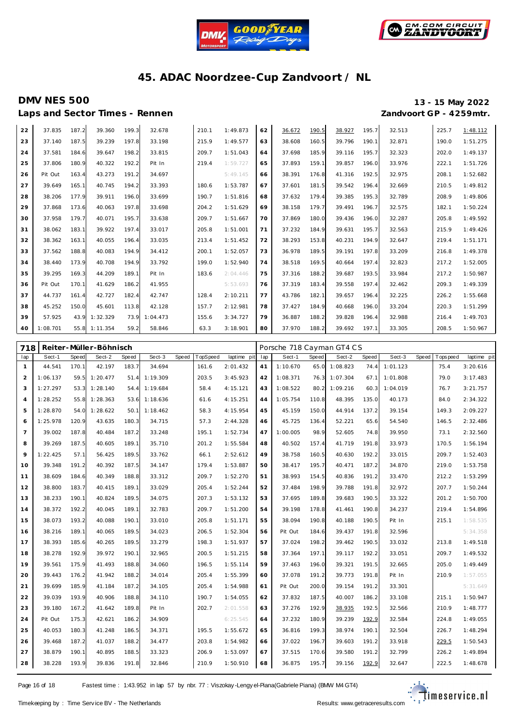![](_page_15_Picture_0.jpeg)

![](_page_15_Picture_1.jpeg)

# **DMV NES 500 13 - 15 May 2022**

Laps and Sector Times - Rennen *Zandvoort GP - 4259mtr.* 

| 22 | 37.835   | 187.2 | 39.360        | 199.3 | 32.678   | 210.1 | 1:49.873 | 62 | 36.672 | 190.5 | 38.927 | 195.7 | 32.513 | 225.7 | 1:48.112 |
|----|----------|-------|---------------|-------|----------|-------|----------|----|--------|-------|--------|-------|--------|-------|----------|
| 23 | 37.140   | 187.5 | 39.239        | 197.8 | 33.198   | 215.9 | 1:49.577 | 63 | 38.608 | 160.5 | 39.796 | 190.1 | 32.871 | 190.0 | 1:51.275 |
| 24 | 37.581   | 184.6 | 39.647        | 198.2 | 33.815   | 209.7 | 1:51.043 | 64 | 37.698 | 185.9 | 39.116 | 195.7 | 32.323 | 202.0 | 1:49.137 |
| 25 | 37.806   | 180.9 | 40.322        | 192.2 | Pit In   | 219.4 | 1:59.727 | 65 | 37.893 | 159.1 | 39.857 | 196.0 | 33.976 | 222.1 | 1:51.726 |
| 26 | Pit Out  | 163.4 | 43.273        | 191.2 | 34.697   |       | 5:49.145 | 66 | 38.391 | 176.8 | 41.316 | 192.5 | 32.975 | 208.1 | 1:52.682 |
| 27 | 39.649   | 165.7 | 40.745        | 194.2 | 33.393   | 180.6 | 1:53.787 | 67 | 37.601 | 181.5 | 39.542 | 196.4 | 32.669 | 210.5 | 1:49.812 |
| 28 | 38.206   | 177.9 | 39.911        | 196.0 | 33.699   | 190.7 | 1:51.816 | 68 | 37.632 | 179.4 | 39.385 | 195.3 | 32.789 | 208.9 | 1:49.806 |
| 29 | 37.868   | 173.6 | 40.063        | 197.8 | 33.698   | 204.2 | 1:51.629 | 69 | 38.158 | 179.7 | 39.491 | 196.7 | 32.575 | 182.1 | 1:50.224 |
| 30 | 37.958   | 179.7 | 40.071        | 195.7 | 33.638   | 209.7 | 1:51.667 | 70 | 37.869 | 180.0 | 39.436 | 196.0 | 32.287 | 205.8 | 1:49.592 |
| 31 | 38.062   | 183.1 | 39.922        | 197.4 | 33.017   | 205.8 | 1:51.001 | 71 | 37.232 | 184.9 | 39.631 | 195.7 | 32.563 | 215.9 | 1:49.426 |
| 32 | 38.362   | 163.1 | 40.055        | 196.4 | 33.035   | 213.4 | 1:51.452 | 72 | 38.293 | 153.8 | 40.231 | 194.9 | 32.647 | 219.4 | 1:51.171 |
| 33 | 37.562   | 188.8 | 40.083        | 194.9 | 34.412   | 200.1 | 1:52.057 | 73 | 36.978 | 189.5 | 39.191 | 197.8 | 33.209 | 216.8 | 1:49.378 |
| 34 | 38.440   | 173.9 | 40.708        | 194.9 | 33.792   | 199.0 | 1:52.940 | 74 | 38.518 | 169.5 | 40.664 | 197.4 | 32.823 | 217.2 | 1:52.005 |
| 35 | 39.295   | 169.3 | 44.209        | 189.1 | Pit In   | 183.6 | 2:04.446 | 75 | 37.316 | 188.2 | 39.687 | 193.5 | 33.984 | 217.2 | 1:50.987 |
| 36 | Pit Out  | 170.7 | 41.629        | 186.2 | 41.955   |       | 5:53.693 | 76 | 37.319 | 183.4 | 39.558 | 197.4 | 32.462 | 209.3 | 1:49.339 |
| 37 | 44.737   | 161.4 | 42.727        | 182.4 | 42.747   | 128.4 | 2:10.211 | 77 | 43.786 | 182.1 | 39.657 | 196.4 | 32.225 | 226.2 | 1:55.668 |
| 38 | 45.252   | 150.0 | 45.601        | 113.8 | 42.128   | 157.7 | 2:12.981 | 78 | 37.427 | 184.9 | 40.668 | 196.0 | 33.204 | 220.3 | 1:51.299 |
| 39 | 57.925   | 43.9  | 1:32.329      | 73.9  | 1:04.473 | 155.6 | 3:34.727 | 79 | 36.887 | 188.2 | 39.828 | 196.4 | 32.988 | 216.4 | 1:49.703 |
| 40 | 1:08.701 |       | 55.8 1:11.354 | 59.2  | 58.846   | 63.3  | 3:18.901 | 80 | 37.970 | 188.2 | 39.692 | 197.1 | 33.305 | 208.5 | 1:50.967 |

| 718            |          |       | Reiter-Müller-Böhnisch |       |               |       |          |             |     | Porsche 718 Cayman GT4 CS |       |          |       |          |       |           |             |
|----------------|----------|-------|------------------------|-------|---------------|-------|----------|-------------|-----|---------------------------|-------|----------|-------|----------|-------|-----------|-------------|
| lap            | Sect-1   | Speed | Sect-2                 | Speed | Sect-3        | Speed | TopSpeed | laptime pit | lap | Sect-1                    | Speed | Sect-2   | Speed | Sect-3   | Speed | Tops peed | laptime pit |
| $\mathbf{1}$   | 44.541   | 170.1 | 42.197                 | 183.7 | 34.694        |       | 161.6    | 2:01.432    | 41  | 1:10.670                  | 65.0  | 1:08.823 | 74.4  | 1:01.123 |       | 75.4      | 3:20.616    |
| $\overline{a}$ | 1:06.137 | 59.5  | 1:20.477               |       | 51.4 1:19.309 |       | 203.5    | 3:45.923    | 42  | 1:08.371                  | 76.3  | 1:07.304 | 67.1  | 1:01.808 |       | 79.0      | 3:17.483    |
| 3              | 1:27.297 | 53.3  | 1:28.140               | 54.4  | 1:19.684      |       | 58.4     | 4:15.121    | 43  | 1:08.522                  | 80.2  | 1:09.216 | 60.3  | 1:04.019 |       | 76.7      | 3:21.757    |
| $\overline{4}$ | 1:28.252 | 55.8  | 1:28.363               | 53.6  | 1:18.636      |       | 61.6     | 4:15.251    | 44  | 1:05.754                  | 110.8 | 48.395   | 135.0 | 40.173   |       | 84.0      | 2:34.322    |
| 5              | 1:28.870 | 54.0  | 1:28.622               | 50.1  | 1:18.462      |       | 58.3     | 4:15.954    | 45  | 45.159                    | 150.0 | 44.914   | 137.2 | 39.154   |       | 149.3     | 2:09.227    |
| 6              | 1:25.978 | 120.9 | 43.635                 | 180.3 | 34.715        |       | 57.3     | 2:44.328    | 46  | 45.725                    | 136.4 | 52.221   | 65.6  | 54.540   |       | 146.5     | 2:32.486    |
| $\overline{7}$ | 39.002   | 187.8 | 40.484                 | 187.2 | 33.248        |       | 195.1    | 1:52.734    | 47  | 1:00.005                  | 98.9  | 52.605   | 74.8  | 39.950   |       | 73.1      | 2:32.560    |
| 8              | 39.269   | 187.5 | 40.605                 | 189.1 | 35.710        |       | 201.2    | 1:55.584    | 48  | 40.502                    | 157.4 | 41.719   | 191.8 | 33.973   |       | 170.5     | 1:56.194    |
| 9              | 1:22.425 | 57.1  | 56.425                 | 189.5 | 33.762        |       | 66.1     | 2:52.612    | 49  | 38.758                    | 160.5 | 40.630   | 192.2 | 33.015   |       | 209.7     | 1:52.403    |
| 10             | 39.348   | 191.2 | 40.392                 | 187.5 | 34.147        |       | 179.4    | 1:53.887    | 50  | 38.417                    | 195.7 | 40.471   | 187.2 | 34.870   |       | 219.0     | 1:53.758    |
| 11             | 38.609   | 184.6 | 40.349                 | 188.8 | 33.312        |       | 209.7    | 1:52.270    | 51  | 38.993                    | 154.5 | 40.836   | 191.2 | 33.470   |       | 212.2     | 1:53.299    |
| 12             | 38.800   | 183.7 | 40.415                 | 189.1 | 33.029        |       | 205.4    | 1:52.244    | 52  | 37.484                    | 198.9 | 39.788   | 191.8 | 32.972   |       | 207.7     | 1:50.244    |
| 13             | 38.233   | 190.1 | 40.824                 | 189.5 | 34.075        |       | 207.3    | 1:53.132    | 53  | 37.695                    | 189.8 | 39.683   | 190.5 | 33.322   |       | 201.2     | 1:50.700    |
| 14             | 38.372   | 192.2 | 40.045                 | 189.1 | 32.783        |       | 209.7    | 1:51.200    | 54  | 39.198                    | 178.8 | 41.461   | 190.8 | 34.237   |       | 219.4     | 1:54.896    |
| 15             | 38.073   | 193.2 | 40.088                 | 190.1 | 33.010        |       | 205.8    | 1:51.171    | 55  | 38.094                    | 190.8 | 40.188   | 190.5 | Pit In   |       | 215.1     | 1:58.535    |
| 16             | 38.216   | 189.1 | 40.065                 | 189.5 | 34.023        |       | 206.5    | 1:52.304    | 56  | Pit Out                   | 184.6 | 39.437   | 191.8 | 32.596   |       |           | 5:34.358    |
| 17             | 38.393   | 185.6 | 40.265                 | 189.5 | 33.279        |       | 198.3    | 1:51.937    | 57  | 37.024                    | 198.2 | 39.462   | 190.5 | 33.032   |       | 213.8     | 1:49.518    |
| 18             | 38.278   | 192.9 | 39.972                 | 190.1 | 32.965        |       | 200.5    | 1:51.215    | 58  | 37.364                    | 197.1 | 39.117   | 192.2 | 33.051   |       | 209.7     | 1:49.532    |
| 19             | 39.561   | 175.9 | 41.493                 | 188.8 | 34.060        |       | 196.5    | 1:55.114    | 59  | 37.463                    | 196.0 | 39.321   | 191.5 | 32.665   |       | 205.0     | 1:49.449    |
| 20             | 39.443   | 176.2 | 41.942                 | 188.2 | 34.014        |       | 205.4    | 1:55.399    | 60  | 37.078                    | 191.2 | 39.773   | 191.8 | Pit In   |       | 210.9     | 1:57.055    |
| 21             | 39.699   | 185.9 | 41.184                 | 187.2 | 34.105        |       | 205.4    | 1:54.988    | 61  | Pit Out                   | 200.0 | 39.154   | 191.2 | 33.301   |       |           | 5:31.649    |
| 22             | 39.039   | 193.9 | 40.906                 | 188.8 | 34.110        |       | 190.7    | 1:54.055    | 62  | 37.832                    | 187.5 | 40.007   | 186.2 | 33.108   |       | 215.1     | 1:50.947    |
| 23             | 39.180   | 167.2 | 41.642                 | 189.8 | Pit In        |       | 202.7    | 2:01.558    | 63  | 37.276                    | 192.9 | 38.935   | 192.5 | 32.566   |       | 210.9     | 1:48.777    |
| 24             | Pit Out  | 175.3 | 42.621                 | 186.2 | 34.909        |       |          | 6:25.545    | 64  | 37.232                    | 180.9 | 39.239   | 192.9 | 32.584   |       | 224.8     | 1:49.055    |
| 25             | 40.053   | 180.3 | 41.248                 | 186.5 | 34.371        |       | 195.5    | 1:55.672    | 65  | 36.816                    | 199.3 | 38.974   | 190.1 | 32.504   |       | 226.7     | 1:48.294    |
| 26             | 39.468   | 187.2 | 41.037                 | 188.2 | 34.477        |       | 203.8    | 1:54.982    | 66  | 37.022                    | 196.7 | 39.603   | 191.2 | 33.918   |       | 229.5     | 1:50.543    |
| 27             | 38.879   | 190.1 | 40.895                 | 188.5 | 33.323        |       | 206.9    | 1:53.097    | 67  | 37.515                    | 170.6 | 39.580   | 191.2 | 32.799   |       | 226.2     | 1:49.894    |
| 28             | 38.228   | 193.9 | 39.836                 | 191.8 | 32.846        |       | 210.9    | 1:50.910    | 68  | 36.875                    | 195.7 | 39.156   | 192.9 | 32.647   |       | 222.5     | 1:48.678    |

Page 16 of 18 Fastest time : 1:43.952 in lap 57 by nbr. 77 : Viszokay -Lengy el-Piana (Gabriele Piana) (BMW M4 GT4)

![](_page_15_Picture_11.jpeg)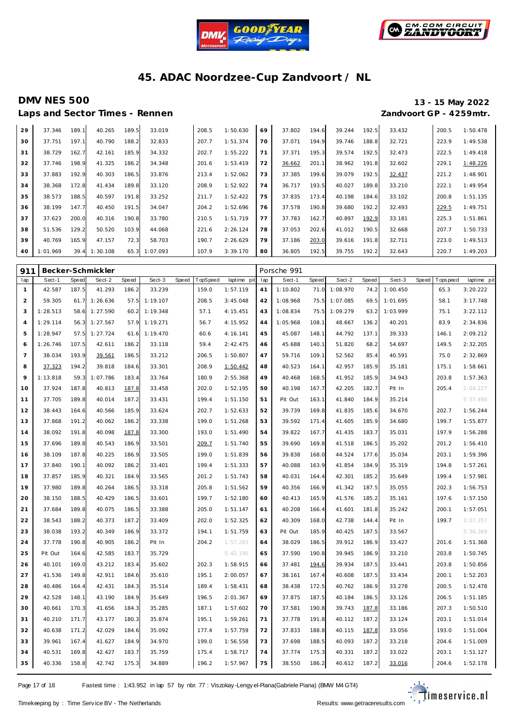![](_page_16_Picture_0.jpeg)

![](_page_16_Picture_1.jpeg)

### **DMV NES 500 13 - 15 May 2022 Laps and Sector Times - Rennen**

|                        |  | 13 - 15 May 2022 |
|------------------------|--|------------------|
| Zandvoort GP - 4259mtr |  |                  |

| –∽~ | $-0.1$   |       | .        |       |          |       |          |    |        |       |        |       |        |       |          |
|-----|----------|-------|----------|-------|----------|-------|----------|----|--------|-------|--------|-------|--------|-------|----------|
| 29  | 37.346   | 189.1 | 40.265   | 189.5 | 33.019   | 208.5 | 1:50.630 | 69 | 37.802 | 194.6 | 39.244 | 192.5 | 33.432 | 200.5 | 1:50.478 |
| 30  | 37.751   | 197.1 | 40.790   | 188.2 | 32.833   | 207.7 | 1:51.374 | 70 | 37.071 | 194.9 | 39.746 | 188.8 | 32.721 | 223.9 | 1:49.538 |
| 31  | 38.729   | 162.7 | 42.161   | 185.9 | 34.332   | 202.7 | 1:55.222 | 71 | 37.371 | 195.3 | 39.574 | 192.5 | 32.473 | 222.5 | 1:49.418 |
| 32  | 37.746   | 198.9 | 41.325   | 186.2 | 34.348   | 201.6 | 1:53.419 | 72 | 36.662 | 201.1 | 38.962 | 191.8 | 32.602 | 229.1 | 1:48.226 |
| 33  | 37.883   | 192.9 | 40.303   | 186.5 | 33.876   | 213.4 | 1:52.062 | 73 | 37.385 | 199.6 | 39.079 | 192.5 | 32.437 | 221.2 | 1:48.901 |
| 34  | 38.368   | 172.8 | 41.434   | 189.8 | 33.120   | 208.9 | 1:52.922 | 74 | 36.717 | 193.5 | 40.027 | 189.8 | 33.210 | 222.1 | 1:49.954 |
| 35  | 38.573   | 188.5 | 40.597   | 191.8 | 33.252   | 211.7 | 1:52.422 | 75 | 37.835 | 173.4 | 40.198 | 184.6 | 33.102 | 200.8 | 1:51.135 |
| 36  | 38.199   | 147.7 | 40.450   | 191.5 | 34.047   | 204.2 | 1:52.696 | 76 | 37.578 | 190.8 | 39.680 | 192.2 | 32.493 | 229.5 | 1:49.751 |
| 37  | 37.623   | 200.0 | 40.316   | 190.8 | 33.780   | 210.5 | 1:51.719 | 77 | 37.783 | 162.7 | 40.897 | 192.9 | 33.181 | 225.3 | 1:51.861 |
| 38  | 51.536   | 129.2 | 50.520   | 103.9 | 44.068   | 221.6 | 2:26.124 | 78 | 37.053 | 202.6 | 41.012 | 190.5 | 32.668 | 207.7 | 1:50.733 |
| 39  | 40.769   | 165.9 | 47.157   | 72.3  | 58.703   | 190.7 | 2:26.629 | 79 | 37.186 | 203.0 | 39.616 | 191.8 | 32.711 | 223.0 | 1:49.513 |
| 40  | 1:01.969 | 39.4  | 1:30.108 | 65.3  | 1:07.093 | 107.9 | 3:39.170 | 80 | 36.805 | 192.5 | 39.755 | 192.2 | 32.643 | 220.7 | 1:49.203 |

| 911            | Becker-Schmickler |              |          |       |          |              |          |             | Porsche 991 |          |       |          |              |          |       |             |             |
|----------------|-------------------|--------------|----------|-------|----------|--------------|----------|-------------|-------------|----------|-------|----------|--------------|----------|-------|-------------|-------------|
| lap            | Sect-1            | <b>Speed</b> | Sect-2   | Speed | Sect-3   | <b>Speed</b> | TopSpeed | laptime pit | lap         | Sect-1   | Speed | Sect-2   | <b>Speed</b> | Sect-3   | Speed | T ops pee d | laptime pit |
| $\mathbf{1}$   | 42.587            | 187.5        | 41.293   | 186.2 | 33.239   |              | 159.0    | 1:57.119    | 41          | 1:10.802 | 71.0  | 1:08.970 | 74.2         | 1:00.450 |       | 65.3        | 3:20.222    |
| $\overline{2}$ | 59.305            | 61.7         | 1:26.636 | 57.5  | 1:19.107 |              | 208.5    | 3:45.048    | 42          | 1:08.968 | 75.5  | 1:07.085 | 69.5         | 1:01.695 |       | 58.1        | 3:17.748    |
| 3              | 1:28.513          | 58.6         | 1:27.590 | 60.2  | 1:19.348 |              | 57.1     | 4:15.451    | 43          | 1:08.834 | 75.5  | 1:09.279 | 63.2         | 1:03.999 |       | 75.1        | 3:22.112    |
| $\overline{4}$ | 1:29.114          | 56.3         | 1:27.567 | 57.9  | 1:19.271 |              | 56.7     | 4:15.952    | 44          | 1:05.968 | 108.1 | 48.667   | 136.2        | 40.201   |       | 83.9        | 2:34.836    |
| 5              | 1:28.947          | 57.5         | 1:27.724 | 61.6  | 1:19.470 |              | 60.6     | 4:16.141    | 45          | 45.087   | 148.1 | 44.792   | 137.1        | 39.333   |       | 146.1       | 2:09.212    |
| 6              | 1:26.746          | 107.5        | 42.611   | 186.2 | 33.118   |              | 59.4     | 2:42.475    | 46          | 45.688   | 140.1 | 51.820   | 68.2         | 54.697   |       | 149.5       | 2:32.205    |
| $\overline{7}$ | 38.034            | 193.9        | 39.561   | 186.5 | 33.212   |              | 206.5    | 1:50.807    | 47          | 59.716   | 109.1 | 52.562   | 85.4         | 40.591   |       | 75.0        | 2:32.869    |
| 8              | 37.323            | 194.2        | 39.818   | 184.6 | 33.301   |              | 208.9    | 1:50.442    | 48          | 40.523   | 164.1 | 42.957   | 185.9        | 35.181   |       | 175.1       | 1:58.661    |
| 9              | 1:13.818          | 59.3         | 1:07.786 | 183.4 | 33.764   |              | 180.9    | 2:55.368    | 49          | 40.468   | 168.5 | 41.952   | 185.9        | 34.943   |       | 203.8       | 1:57.363    |
| 10             | 37.924            | 187.8        | 40.813   | 187.8 | 33.458   |              | 202.0    | 1:52.195    | 50          | 40.198   | 167.7 | 42.205   | 182.7        | Pit In   |       | 205.4       | 2:04.227    |
| 11             | 37.705            | 189.8        | 40.014   | 187.2 | 33.431   |              | 199.4    | 1:51.150    | 51          | Pit Out  | 163.1 | 41.840   | 184.9        | 35.214   |       |             | 5:37.488    |
| 12             | 38.443            | 164.6        | 40.566   | 185.9 | 33.624   |              | 202.7    | 1:52.633    | 52          | 39.739   | 169.8 | 41.835   | 185.6        | 34.670   |       | 202.7       | 1:56.244    |
| 13             | 37.868            | 191.2        | 40.062   | 186.2 | 33.338   |              | 199.0    | 1:51.268    | 53          | 39.592   | 171.4 | 41.605   | 185.9        | 34.680   |       | 199.7       | 1:55.877    |
| 14             | 38.092            | 191.8        | 40.098   | 187.8 | 33.300   |              | 193.0    | 1:51.490    | 54          | 39.822   | 167.7 | 41.435   | 183.7        | 35.031   |       | 197.9       | 1:56.288    |
| 15             | 37.696            | 189.8        | 40.543   | 186.9 | 33.501   |              | 209.7    | 1:51.740    | 55          | 39.690   | 169.8 | 41.518   | 186.5        | 35.202   |       | 201.2       | 1:56.410    |
| 16             | 38.109            | 187.8        | 40.225   | 186.9 | 33.505   |              | 199.0    | 1:51.839    | 56          | 39.838   | 168.0 | 44.524   | 177.6        | 35.034   |       | 203.1       | 1:59.396    |
| 17             | 37.840            | 190.1        | 40.092   | 186.2 | 33.401   |              | 199.4    | 1:51.333    | 57          | 40.088   | 163.9 | 41.854   | 184.9        | 35.319   |       | 194.8       | 1:57.261    |
| 18             | 37.857            | 185.9        | 40.321   | 184.9 | 33.565   |              | 201.2    | 1:51.743    | 58          | 40.031   | 164.4 | 42.301   | 185.2        | 35.649   |       | 199.4       | 1:57.981    |
| 19             | 37.980            | 189.8        | 40.264   | 186.5 | 33.318   |              | 205.8    | 1:51.562    | 59          | 40.356   | 166.9 | 41.342   | 187.5        | 35.055   |       | 202.3       | 1:56.753    |
| 20             | 38.150            | 188.5        | 40.429   | 186.5 | 33.601   |              | 199.7    | 1:52.180    | 60          | 40.413   | 165.9 | 41.576   | 185.2        | 35.161   |       | 197.6       | 1:57.150    |
| 21             | 37.684            | 189.8        | 40.075   | 186.5 | 33.388   |              | 205.0    | 1:51.147    | 61          | 40.208   | 166.4 | 41.601   | 181.8        | 35.242   |       | 200.1       | 1:57.051    |
| 22             | 38.543            | 188.2        | 40.373   | 187.2 | 33.409   |              | 202.0    | 1:52.325    | 62          | 40.309   | 168.0 | 42.738   | 144.4        | Pit In   |       | 199.7       | 2:07.357    |
| 23             | 38.038            | 193.2        | 40.349   | 186.9 | 33.372   |              | 194.1    | 1:51.759    | 63          | Pit Out  | 185.9 | 40.425   | 187.5        | 33.567   |       |             | 5:36.369    |
| 24             | 37.778            | 190.8        | 40.905   | 186.2 | Pit In   |              | 204.2    | 1:57.283    | 64          | 38.029   | 186.5 | 39.912   | 186.9        | 33.427   |       | 201.6       | 1:51.368    |
| 25             | Pit Out           | 164.6        | 42.585   | 183.7 | 35.729   |              |          | 5:42.190    | 65          | 37.590   | 190.8 | 39.945   | 186.9        | 33.210   |       | 203.8       | 1:50.745    |
| 26             | 40.101            | 169.0        | 43.212   | 183.4 | 35.602   |              | 202.3    | 1:58.915    | 66          | 37.481   | 194.6 | 39.934   | 187.5        | 33.441   |       | 203.8       | 1:50.856    |
| 27             | 41.536            | 149.8        | 42.911   | 184.6 | 35.610   |              | 195.1    | 2:00.057    | 67          | 38.161   | 167.4 | 40.608   | 187.5        | 33.434   |       | 200.1       | 1:52.203    |
| 28             | 40.486            | 164.4        | 42.431   | 184.3 | 35.514   |              | 189.4    | 1:58.431    | 68          | 38.438   | 172.5 | 40.762   | 186.9        | 33.278   |       | 200.5       | 1:52.478    |
| 29             | 42.528            | 148.1        | 43.190   | 184.9 | 35.649   |              | 196.5    | 2:01.367    | 69          | 37.875   | 187.5 | 40.184   | 186.5        | 33.126   |       | 206.5       | 1:51.185    |
| 30             | 40.661            | 170.3        | 41.656   | 184.3 | 35.285   |              | 187.1    | 1:57.602    | 70          | 37.581   | 190.8 | 39.743   | 187.8        | 33.186   |       | 207.3       | 1:50.510    |
| 31             | 40.210            | 171.7        | 43.177   | 180.3 | 35.874   |              | 195.1    | 1:59.261    | 71          | 37.778   | 191.8 | 40.112   | 187.2        | 33.124   |       | 203.1       | 1:51.014    |
| 32             | 40.638            | 171.2        | 42.029   | 184.6 | 35.092   |              | 177.4    | 1:57.759    | 72          | 37.833   | 188.8 | 40.115   | 187.8        | 33.056   |       | 193.0       | 1:51.004    |
| 33             | 39.961            | 167.4        | 41.627   | 184.9 | 34.970   |              | 199.0    | 1:56.558    | 73          | 37.698   | 188.5 | 40.093   | 187.2        | 33.218   |       | 204.6       | 1:51.009    |
| 34             | 40.531            | 169.8        | 42.427   | 183.7 | 35.759   |              | 175.4    | 1:58.717    | 74          | 37.774   | 175.3 | 40.331   | 187.2        | 33.022   |       | 203.1       | 1:51.127    |
| 35             | 40.336            | 158.8        | 42.742   | 175.3 | 34.889   |              | 196.2    | 1:57.967    | 75          | 38.550   | 186.2 | 40.612   | 187.2        | 33.016   |       | 204.6       | 1:52.178    |

Page 17 of 18 Fastest time : 1:43.952 in lap 57 by nbr. 77 : Viszokay -Lengy el-Piana (Gabriele Piana) (BMW M4 GT4)

![](_page_16_Picture_12.jpeg)